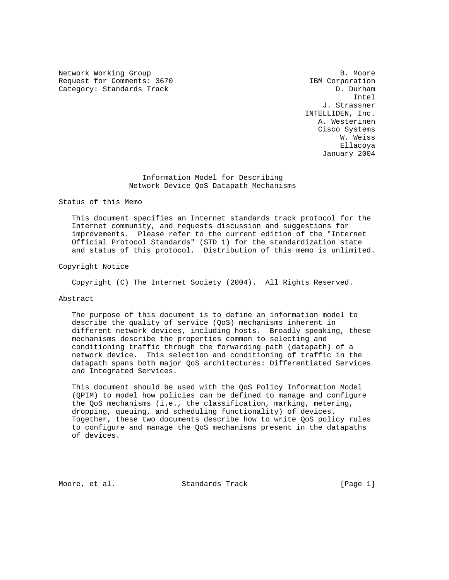Network Working Group and the set of the set of the set of the set of the set of the set of the set of the set of the set of the set of the set of the set of the set of the set of the set of the set of the set of the set o Request for Comments: 3670 **IBM** Corporation Category: Standards Track D. Durham

 Intel J. Strassner INTELLIDEN, Inc. A. Westerinen Cisco Systems W. Weiss Ellacoya January 2004

> Information Model for Describing Network Device QoS Datapath Mechanisms

Status of this Memo

 This document specifies an Internet standards track protocol for the Internet community, and requests discussion and suggestions for improvements. Please refer to the current edition of the "Internet Official Protocol Standards" (STD 1) for the standardization state and status of this protocol. Distribution of this memo is unlimited.

Copyright Notice

Copyright (C) The Internet Society (2004). All Rights Reserved.

### Abstract

 The purpose of this document is to define an information model to describe the quality of service (QoS) mechanisms inherent in different network devices, including hosts. Broadly speaking, these mechanisms describe the properties common to selecting and conditioning traffic through the forwarding path (datapath) of a network device. This selection and conditioning of traffic in the datapath spans both major QoS architectures: Differentiated Services and Integrated Services.

 This document should be used with the QoS Policy Information Model (QPIM) to model how policies can be defined to manage and configure the QoS mechanisms (i.e., the classification, marking, metering, dropping, queuing, and scheduling functionality) of devices. Together, these two documents describe how to write QoS policy rules to configure and manage the QoS mechanisms present in the datapaths of devices.

Moore, et al. Standards Track [Page 1]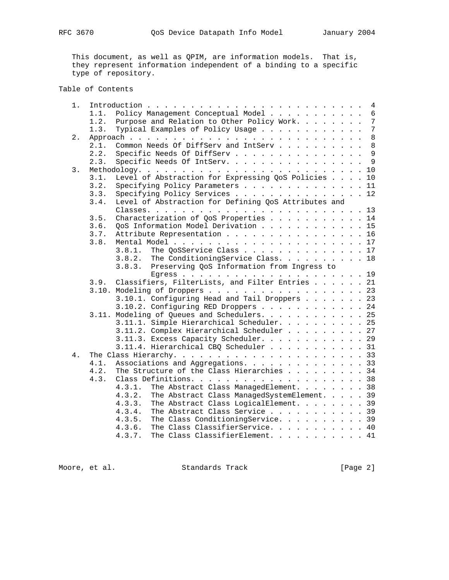This document, as well as QPIM, are information models. That is, they represent information independent of a binding to a specific type of repository.

# Table of Contents

| 1.1.<br>1.2.<br>1.3.<br>2.<br>2.1.<br>2.2.<br>Specific Needs Of DiffServ<br>Specific Needs Of IntServ. 9<br>2.3.<br>3.<br>Level of Abstraction for Expressing QoS Policies 10<br>3.1.<br>3.2.<br>Specifying Policy Parameters<br>Specifying Policy Services 12<br>3.3.<br>Level of Abstraction for Defining QoS Attributes and<br>3.4.<br>Characterization of QoS Properties 14<br>3.5.<br>QoS Information Model Derivation 15<br>3.6.<br>Attribute Representation 16<br>3.7.<br>3.8.<br>The QoSService Class 17<br>3.8.1.<br>The ConditioningService Class. 18<br>3.8.2.<br>Preserving QoS Information from Ingress to<br>3.8.3.<br>Classifiers, FilterLists, and Filter Entries 21<br>3.9.<br>3.10. Modeling of Droppers 23<br>3.10.1. Configuring Head and Tail Droppers 23<br>3.10.2. Configuring RED Droppers 24<br>3.11. Modeling of Queues and Schedulers. 25<br>3.11.1. Simple Hierarchical Scheduler. 25<br>3.11.2. Complex Hierarchical Scheduler 27<br>3.11.3. Excess Capacity Scheduler. 29<br>3.11.4. Hierarchical CBQ Scheduler 31<br>4.<br>Associations and Aggregations. 33<br>4.1.<br>4.2.<br>The Structure of the Class Hierarchies 34<br>4.3.<br>The Abstract Class ManagedElement. 38<br>4.3.1.<br>The Abstract Class ManagedSystemElement. 39<br>4.3.2.<br>The Abstract Class LogicalElement. 39<br>4.3.3.<br>The Abstract Class Service 39<br>4.3.4.<br>The Class ConditioningService. 39<br>4.3.5.<br>4.3.6.<br>The Class ClassifierService. 40<br>The Class ClassifierElement. 41<br>4.3.7. | 1. | 4 |                                                               |  |  |  |  |
|---------------------------------------------------------------------------------------------------------------------------------------------------------------------------------------------------------------------------------------------------------------------------------------------------------------------------------------------------------------------------------------------------------------------------------------------------------------------------------------------------------------------------------------------------------------------------------------------------------------------------------------------------------------------------------------------------------------------------------------------------------------------------------------------------------------------------------------------------------------------------------------------------------------------------------------------------------------------------------------------------------------------------------------------------------------------------------------------------------------------------------------------------------------------------------------------------------------------------------------------------------------------------------------------------------------------------------------------------------------------------------------------------------------------------------------------------------------------------------------------------------------------|----|---|---------------------------------------------------------------|--|--|--|--|
|                                                                                                                                                                                                                                                                                                                                                                                                                                                                                                                                                                                                                                                                                                                                                                                                                                                                                                                                                                                                                                                                                                                                                                                                                                                                                                                                                                                                                                                                                                                     |    |   | $6\,$<br>Policy Management Conceptual Model                   |  |  |  |  |
|                                                                                                                                                                                                                                                                                                                                                                                                                                                                                                                                                                                                                                                                                                                                                                                                                                                                                                                                                                                                                                                                                                                                                                                                                                                                                                                                                                                                                                                                                                                     |    |   | $7\overline{ }$<br>Purpose and Relation to Other Policy Work. |  |  |  |  |
|                                                                                                                                                                                                                                                                                                                                                                                                                                                                                                                                                                                                                                                                                                                                                                                                                                                                                                                                                                                                                                                                                                                                                                                                                                                                                                                                                                                                                                                                                                                     |    |   | $\overline{7}$<br>Typical Examples of Policy Usage            |  |  |  |  |
|                                                                                                                                                                                                                                                                                                                                                                                                                                                                                                                                                                                                                                                                                                                                                                                                                                                                                                                                                                                                                                                                                                                                                                                                                                                                                                                                                                                                                                                                                                                     |    |   | 8                                                             |  |  |  |  |
|                                                                                                                                                                                                                                                                                                                                                                                                                                                                                                                                                                                                                                                                                                                                                                                                                                                                                                                                                                                                                                                                                                                                                                                                                                                                                                                                                                                                                                                                                                                     |    |   | $8\,$<br>Common Needs Of DiffServ and IntServ                 |  |  |  |  |
|                                                                                                                                                                                                                                                                                                                                                                                                                                                                                                                                                                                                                                                                                                                                                                                                                                                                                                                                                                                                                                                                                                                                                                                                                                                                                                                                                                                                                                                                                                                     |    |   | $\overline{9}$                                                |  |  |  |  |
|                                                                                                                                                                                                                                                                                                                                                                                                                                                                                                                                                                                                                                                                                                                                                                                                                                                                                                                                                                                                                                                                                                                                                                                                                                                                                                                                                                                                                                                                                                                     |    |   |                                                               |  |  |  |  |
|                                                                                                                                                                                                                                                                                                                                                                                                                                                                                                                                                                                                                                                                                                                                                                                                                                                                                                                                                                                                                                                                                                                                                                                                                                                                                                                                                                                                                                                                                                                     |    |   |                                                               |  |  |  |  |
|                                                                                                                                                                                                                                                                                                                                                                                                                                                                                                                                                                                                                                                                                                                                                                                                                                                                                                                                                                                                                                                                                                                                                                                                                                                                                                                                                                                                                                                                                                                     |    |   |                                                               |  |  |  |  |
|                                                                                                                                                                                                                                                                                                                                                                                                                                                                                                                                                                                                                                                                                                                                                                                                                                                                                                                                                                                                                                                                                                                                                                                                                                                                                                                                                                                                                                                                                                                     |    |   | 11                                                            |  |  |  |  |
|                                                                                                                                                                                                                                                                                                                                                                                                                                                                                                                                                                                                                                                                                                                                                                                                                                                                                                                                                                                                                                                                                                                                                                                                                                                                                                                                                                                                                                                                                                                     |    |   |                                                               |  |  |  |  |
|                                                                                                                                                                                                                                                                                                                                                                                                                                                                                                                                                                                                                                                                                                                                                                                                                                                                                                                                                                                                                                                                                                                                                                                                                                                                                                                                                                                                                                                                                                                     |    |   |                                                               |  |  |  |  |
|                                                                                                                                                                                                                                                                                                                                                                                                                                                                                                                                                                                                                                                                                                                                                                                                                                                                                                                                                                                                                                                                                                                                                                                                                                                                                                                                                                                                                                                                                                                     |    |   |                                                               |  |  |  |  |
|                                                                                                                                                                                                                                                                                                                                                                                                                                                                                                                                                                                                                                                                                                                                                                                                                                                                                                                                                                                                                                                                                                                                                                                                                                                                                                                                                                                                                                                                                                                     |    |   |                                                               |  |  |  |  |
|                                                                                                                                                                                                                                                                                                                                                                                                                                                                                                                                                                                                                                                                                                                                                                                                                                                                                                                                                                                                                                                                                                                                                                                                                                                                                                                                                                                                                                                                                                                     |    |   |                                                               |  |  |  |  |
|                                                                                                                                                                                                                                                                                                                                                                                                                                                                                                                                                                                                                                                                                                                                                                                                                                                                                                                                                                                                                                                                                                                                                                                                                                                                                                                                                                                                                                                                                                                     |    |   |                                                               |  |  |  |  |
|                                                                                                                                                                                                                                                                                                                                                                                                                                                                                                                                                                                                                                                                                                                                                                                                                                                                                                                                                                                                                                                                                                                                                                                                                                                                                                                                                                                                                                                                                                                     |    |   |                                                               |  |  |  |  |
|                                                                                                                                                                                                                                                                                                                                                                                                                                                                                                                                                                                                                                                                                                                                                                                                                                                                                                                                                                                                                                                                                                                                                                                                                                                                                                                                                                                                                                                                                                                     |    |   |                                                               |  |  |  |  |
|                                                                                                                                                                                                                                                                                                                                                                                                                                                                                                                                                                                                                                                                                                                                                                                                                                                                                                                                                                                                                                                                                                                                                                                                                                                                                                                                                                                                                                                                                                                     |    |   |                                                               |  |  |  |  |
|                                                                                                                                                                                                                                                                                                                                                                                                                                                                                                                                                                                                                                                                                                                                                                                                                                                                                                                                                                                                                                                                                                                                                                                                                                                                                                                                                                                                                                                                                                                     |    |   |                                                               |  |  |  |  |
|                                                                                                                                                                                                                                                                                                                                                                                                                                                                                                                                                                                                                                                                                                                                                                                                                                                                                                                                                                                                                                                                                                                                                                                                                                                                                                                                                                                                                                                                                                                     |    |   |                                                               |  |  |  |  |
|                                                                                                                                                                                                                                                                                                                                                                                                                                                                                                                                                                                                                                                                                                                                                                                                                                                                                                                                                                                                                                                                                                                                                                                                                                                                                                                                                                                                                                                                                                                     |    |   |                                                               |  |  |  |  |
|                                                                                                                                                                                                                                                                                                                                                                                                                                                                                                                                                                                                                                                                                                                                                                                                                                                                                                                                                                                                                                                                                                                                                                                                                                                                                                                                                                                                                                                                                                                     |    |   |                                                               |  |  |  |  |
|                                                                                                                                                                                                                                                                                                                                                                                                                                                                                                                                                                                                                                                                                                                                                                                                                                                                                                                                                                                                                                                                                                                                                                                                                                                                                                                                                                                                                                                                                                                     |    |   |                                                               |  |  |  |  |
|                                                                                                                                                                                                                                                                                                                                                                                                                                                                                                                                                                                                                                                                                                                                                                                                                                                                                                                                                                                                                                                                                                                                                                                                                                                                                                                                                                                                                                                                                                                     |    |   |                                                               |  |  |  |  |
|                                                                                                                                                                                                                                                                                                                                                                                                                                                                                                                                                                                                                                                                                                                                                                                                                                                                                                                                                                                                                                                                                                                                                                                                                                                                                                                                                                                                                                                                                                                     |    |   |                                                               |  |  |  |  |
|                                                                                                                                                                                                                                                                                                                                                                                                                                                                                                                                                                                                                                                                                                                                                                                                                                                                                                                                                                                                                                                                                                                                                                                                                                                                                                                                                                                                                                                                                                                     |    |   |                                                               |  |  |  |  |
|                                                                                                                                                                                                                                                                                                                                                                                                                                                                                                                                                                                                                                                                                                                                                                                                                                                                                                                                                                                                                                                                                                                                                                                                                                                                                                                                                                                                                                                                                                                     |    |   |                                                               |  |  |  |  |
|                                                                                                                                                                                                                                                                                                                                                                                                                                                                                                                                                                                                                                                                                                                                                                                                                                                                                                                                                                                                                                                                                                                                                                                                                                                                                                                                                                                                                                                                                                                     |    |   |                                                               |  |  |  |  |
|                                                                                                                                                                                                                                                                                                                                                                                                                                                                                                                                                                                                                                                                                                                                                                                                                                                                                                                                                                                                                                                                                                                                                                                                                                                                                                                                                                                                                                                                                                                     |    |   |                                                               |  |  |  |  |
|                                                                                                                                                                                                                                                                                                                                                                                                                                                                                                                                                                                                                                                                                                                                                                                                                                                                                                                                                                                                                                                                                                                                                                                                                                                                                                                                                                                                                                                                                                                     |    |   |                                                               |  |  |  |  |
|                                                                                                                                                                                                                                                                                                                                                                                                                                                                                                                                                                                                                                                                                                                                                                                                                                                                                                                                                                                                                                                                                                                                                                                                                                                                                                                                                                                                                                                                                                                     |    |   |                                                               |  |  |  |  |
|                                                                                                                                                                                                                                                                                                                                                                                                                                                                                                                                                                                                                                                                                                                                                                                                                                                                                                                                                                                                                                                                                                                                                                                                                                                                                                                                                                                                                                                                                                                     |    |   |                                                               |  |  |  |  |
|                                                                                                                                                                                                                                                                                                                                                                                                                                                                                                                                                                                                                                                                                                                                                                                                                                                                                                                                                                                                                                                                                                                                                                                                                                                                                                                                                                                                                                                                                                                     |    |   |                                                               |  |  |  |  |
|                                                                                                                                                                                                                                                                                                                                                                                                                                                                                                                                                                                                                                                                                                                                                                                                                                                                                                                                                                                                                                                                                                                                                                                                                                                                                                                                                                                                                                                                                                                     |    |   |                                                               |  |  |  |  |
|                                                                                                                                                                                                                                                                                                                                                                                                                                                                                                                                                                                                                                                                                                                                                                                                                                                                                                                                                                                                                                                                                                                                                                                                                                                                                                                                                                                                                                                                                                                     |    |   |                                                               |  |  |  |  |
|                                                                                                                                                                                                                                                                                                                                                                                                                                                                                                                                                                                                                                                                                                                                                                                                                                                                                                                                                                                                                                                                                                                                                                                                                                                                                                                                                                                                                                                                                                                     |    |   |                                                               |  |  |  |  |
|                                                                                                                                                                                                                                                                                                                                                                                                                                                                                                                                                                                                                                                                                                                                                                                                                                                                                                                                                                                                                                                                                                                                                                                                                                                                                                                                                                                                                                                                                                                     |    |   |                                                               |  |  |  |  |
|                                                                                                                                                                                                                                                                                                                                                                                                                                                                                                                                                                                                                                                                                                                                                                                                                                                                                                                                                                                                                                                                                                                                                                                                                                                                                                                                                                                                                                                                                                                     |    |   |                                                               |  |  |  |  |
|                                                                                                                                                                                                                                                                                                                                                                                                                                                                                                                                                                                                                                                                                                                                                                                                                                                                                                                                                                                                                                                                                                                                                                                                                                                                                                                                                                                                                                                                                                                     |    |   |                                                               |  |  |  |  |
|                                                                                                                                                                                                                                                                                                                                                                                                                                                                                                                                                                                                                                                                                                                                                                                                                                                                                                                                                                                                                                                                                                                                                                                                                                                                                                                                                                                                                                                                                                                     |    |   |                                                               |  |  |  |  |
|                                                                                                                                                                                                                                                                                                                                                                                                                                                                                                                                                                                                                                                                                                                                                                                                                                                                                                                                                                                                                                                                                                                                                                                                                                                                                                                                                                                                                                                                                                                     |    |   |                                                               |  |  |  |  |

Moore, et al. Standards Track [Page 2]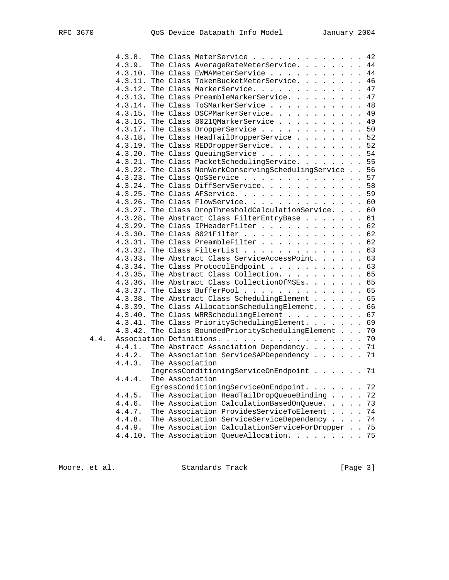4.3.8. The Class MeterService . . . . . . . . . . . . 42 4.3.9. The Class AverageRateMeterService. . . . . . . 44 4.3.10. The Class EWMAMeterService . . . . . . . . . . 44 4.3.11. The Class TokenBucketMeterService. . . . . . . 46 4.3.12. The Class MarkerService. . . . . . . . . . . . . 47 4.3.13. The Class PreambleMarkerService. . . . . . . . 47 4.3.14. The Class ToSMarkerService . . . . . . . . . . . 48 4.3.15. The Class DSCPMarkerService. . . . . . . . . . . 49 4.3.16. The Class 8021QMarkerService . . . . . . . . . . 49 4.3.17. The Class DropperService . . . . . . . . . . . 50 4.3.18. The Class HeadTailDropperService . . . . . . . . 52 4.3.19. The Class REDDropperService. . . . . . . . . . 52 4.3.20. The Class QueuingService . . . . . . . . . . . . 54 4.3.21. The Class PacketSchedulingService. . . . . . . . 55 4.3.22. The Class NonWorkConservingSchedulingService . . 56 4.3.23. The Class QoSService . . . . . . . . . . . . . . 57 4.3.24. The Class DiffServService. . . . . . . . . . . . 58 4.3.25. The Class AFService. . . . . . . . . . . . . . . 59 4.3.26. The Class FlowService. . . . . . . . . . . . . . 60 4.3.27. The Class DropThresholdCalculationService. . . . 60 4.3.28. The Abstract Class FilterEntryBase . . . . . . . 61 4.3.29. The Class IPHeaderFilter . . . . . . . . . . . . 62 4.3.30. The Class 8021Filter . . . . . . . . . . . . . . 62 4.3.31. The Class PreambleFilter . . . . . . . . . . . . 62 4.3.32. The Class FilterList . . . . . . . . . . . . . . 63 4.3.33. The Abstract Class ServiceAccessPoint. . . . . . 63 4.3.34. The Class ProtocolEndpoint . . . . . . . . . . 63 4.3.35. The Abstract Class Collection. . . . . . . . . . 65 4.3.36. The Abstract Class CollectionOfMSEs. . . . . . . 65 4.3.37. The Class BufferPool . . . . . . . . . . . . . . 65 4.3.38. The Abstract Class SchedulingElement . . . . . . 65 4.3.39. The Class AllocationSchedulingElement. . . . . . 66 4.3.40. The Class WRRSchedulingElement . . . . . . . . 67 4.3.41. The Class PrioritySchedulingElement. . . . . . . 69 4.3.42. The Class BoundedPrioritySchedulingElement . . . 70 4.4. Association Definitions. . . . . . . . . . . . . . . . . 70 4.4.1. The Abstract Association Dependency. . . . . . . 71 4.4.2. The Association ServiceSAPDependency . . . . . . 71 4.4.3. The Association IngressConditioningServiceOnEndpoint . . . . . . 71 4.4.4. The Association EgressConditioningServiceOnEndpoint. . . . . . . 72 4.4.5. The Association HeadTailDropQueueBinding . . . . 72 4.4.6. The Association CalculationBasedOnQueue. . . . . 73 4.4.7. The Association ProvidesServiceToElement . . . . 74 4.4.8. The Association ServiceServiceDependency . . . . 74 4.4.9. The Association CalculationServiceForDropper . . 75 4.4.10. The Association QueueAllocation. . . . . . . . 75

Moore, et al. Standards Track [Page 3]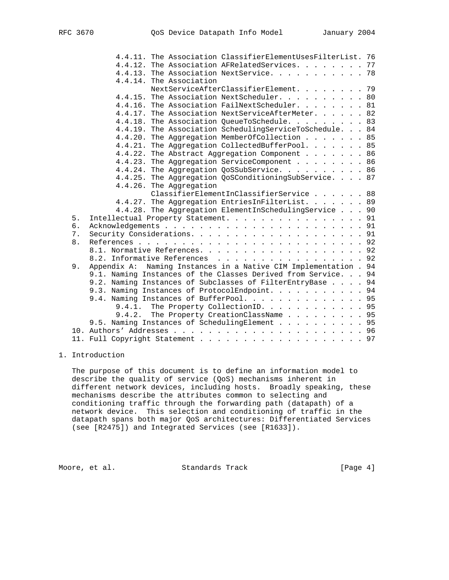|    | 4.4.11. The Association ClassifierElementUsesFilterList. 76      |  |
|----|------------------------------------------------------------------|--|
|    | 4.4.12. The Association AFRelatedServices. 77                    |  |
|    | 4.4.13. The Association NextService. 78                          |  |
|    | 4.4.14. The Association                                          |  |
|    | NextServiceAfterClassifierElement. 79                            |  |
|    | 4.4.15. The Association NextScheduler. 80                        |  |
|    | 4.4.16. The Association FailNextScheduler. 81                    |  |
|    | 4.4.17. The Association NextServiceAfterMeter. 82                |  |
|    | 4.4.18. The Association QueueToSchedule. 83                      |  |
|    | 4.4.19. The Association SchedulingServiceToSchedule. 84          |  |
|    | 4.4.20. The Aggregation MemberOfCollection 85                    |  |
|    | 4.4.21. The Aggregation CollectedBufferPool. 85                  |  |
|    | 4.4.22. The Abstract Aggregation Component 86                    |  |
|    | 4.4.23. The Aggregation ServiceComponent 86                      |  |
|    | 4.4.24. The Aggregation QoSSubService. 86                        |  |
|    | 4.4.25. The Aggregation QoSConditioningSubService. 87            |  |
|    | 4.4.26. The Aggregation                                          |  |
|    | ClassifierElementInClassifierService 88                          |  |
|    | 4.4.27. The Aggregation EntriesInFilterList. 89                  |  |
|    | 4.4.28. The Aggregation ElementInSchedulingService 90            |  |
| 5. | Intellectual Property Statement. 91                              |  |
| б. |                                                                  |  |
| 7. |                                                                  |  |
| 8. |                                                                  |  |
|    | 8.1. Normative References. 92                                    |  |
|    | 8.2. Informative References 92                                   |  |
| 9. | Appendix A: Naming Instances in a Native CIM Implementation . 94 |  |
|    | 9.1. Naming Instances of the Classes Derived from Service. 94    |  |
|    | 9.2. Naming Instances of Subclasses of FilterEntryBase 94        |  |
|    | 9.3. Naming Instances of ProtocolEndpoint. 94                    |  |
|    | 9.4. Naming Instances of BufferPool. 95                          |  |
|    | 9.4.1. The Property CollectionID. 95                             |  |
|    | 9.4.2. The Property CreationClassName 95                         |  |
|    | 9.5. Naming Instances of Scheduling Element 95                   |  |
|    |                                                                  |  |
|    |                                                                  |  |
|    |                                                                  |  |

# 1. Introduction

 The purpose of this document is to define an information model to describe the quality of service (QoS) mechanisms inherent in different network devices, including hosts. Broadly speaking, these mechanisms describe the attributes common to selecting and conditioning traffic through the forwarding path (datapath) of a network device. This selection and conditioning of traffic in the datapath spans both major QoS architectures: Differentiated Services (see [R2475]) and Integrated Services (see [R1633]).

Moore, et al. Standards Track [Page 4]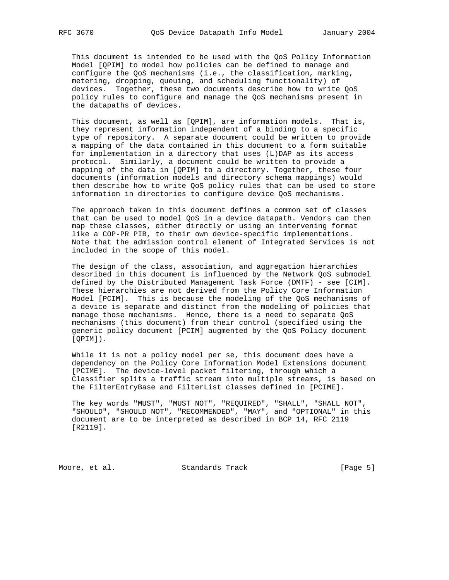This document is intended to be used with the QoS Policy Information Model [QPIM] to model how policies can be defined to manage and configure the QoS mechanisms (i.e., the classification, marking, metering, dropping, queuing, and scheduling functionality) of devices. Together, these two documents describe how to write QoS policy rules to configure and manage the QoS mechanisms present in the datapaths of devices.

 This document, as well as [QPIM], are information models. That is, they represent information independent of a binding to a specific type of repository. A separate document could be written to provide a mapping of the data contained in this document to a form suitable for implementation in a directory that uses (L)DAP as its access protocol. Similarly, a document could be written to provide a mapping of the data in [QPIM] to a directory. Together, these four documents (information models and directory schema mappings) would then describe how to write QoS policy rules that can be used to store information in directories to configure device QoS mechanisms.

 The approach taken in this document defines a common set of classes that can be used to model QoS in a device datapath. Vendors can then map these classes, either directly or using an intervening format like a COP-PR PIB, to their own device-specific implementations. Note that the admission control element of Integrated Services is not included in the scope of this model.

 The design of the class, association, and aggregation hierarchies described in this document is influenced by the Network QoS submodel defined by the Distributed Management Task Force (DMTF) - see [CIM]. These hierarchies are not derived from the Policy Core Information Model [PCIM]. This is because the modeling of the QoS mechanisms of a device is separate and distinct from the modeling of policies that manage those mechanisms. Hence, there is a need to separate QoS mechanisms (this document) from their control (specified using the generic policy document [PCIM] augmented by the QoS Policy document [QPIM]).

 While it is not a policy model per se, this document does have a dependency on the Policy Core Information Model Extensions document [PCIME]. The device-level packet filtering, through which a Classifier splits a traffic stream into multiple streams, is based on the FilterEntryBase and FilterList classes defined in [PCIME].

 The key words "MUST", "MUST NOT", "REQUIRED", "SHALL", "SHALL NOT", "SHOULD", "SHOULD NOT", "RECOMMENDED", "MAY", and "OPTIONAL" in this document are to be interpreted as described in BCP 14, RFC 2119 [R2119].

Moore, et al. Standards Track [Page 5]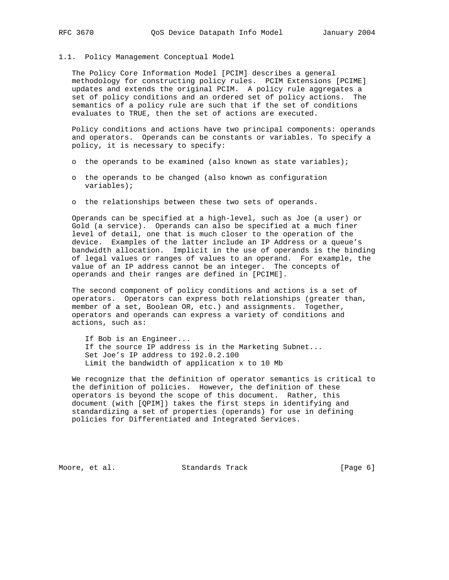#### 1.1. Policy Management Conceptual Model

 The Policy Core Information Model [PCIM] describes a general methodology for constructing policy rules. PCIM Extensions [PCIME] updates and extends the original PCIM. A policy rule aggregates a set of policy conditions and an ordered set of policy actions. The semantics of a policy rule are such that if the set of conditions evaluates to TRUE, then the set of actions are executed.

 Policy conditions and actions have two principal components: operands and operators. Operands can be constants or variables. To specify a policy, it is necessary to specify:

- o the operands to be examined (also known as state variables);
- o the operands to be changed (also known as configuration variables);
- o the relationships between these two sets of operands.

 Operands can be specified at a high-level, such as Joe (a user) or Gold (a service). Operands can also be specified at a much finer level of detail, one that is much closer to the operation of the device. Examples of the latter include an IP Address or a queue's bandwidth allocation. Implicit in the use of operands is the binding of legal values or ranges of values to an operand. For example, the value of an IP address cannot be an integer. The concepts of operands and their ranges are defined in [PCIME].

 The second component of policy conditions and actions is a set of operators. Operators can express both relationships (greater than, member of a set, Boolean OR, etc.) and assignments. Together, operators and operands can express a variety of conditions and actions, such as:

 If Bob is an Engineer... If the source IP address is in the Marketing Subnet... Set Joe's IP address to 192.0.2.100 Limit the bandwidth of application x to 10 Mb

 We recognize that the definition of operator semantics is critical to the definition of policies. However, the definition of these operators is beyond the scope of this document. Rather, this document (with [QPIM]) takes the first steps in identifying and standardizing a set of properties (operands) for use in defining policies for Differentiated and Integrated Services.

Moore, et al. Standards Track [Page 6]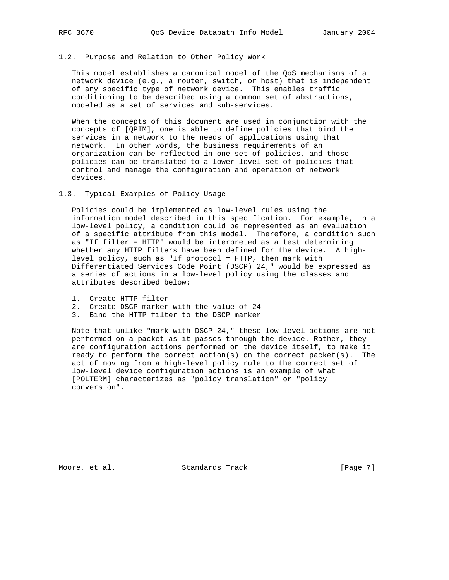#### 1.2. Purpose and Relation to Other Policy Work

 This model establishes a canonical model of the QoS mechanisms of a network device (e.g., a router, switch, or host) that is independent of any specific type of network device. This enables traffic conditioning to be described using a common set of abstractions, modeled as a set of services and sub-services.

 When the concepts of this document are used in conjunction with the concepts of [QPIM], one is able to define policies that bind the services in a network to the needs of applications using that network. In other words, the business requirements of an organization can be reflected in one set of policies, and those policies can be translated to a lower-level set of policies that control and manage the configuration and operation of network devices.

1.3. Typical Examples of Policy Usage

 Policies could be implemented as low-level rules using the information model described in this specification. For example, in a low-level policy, a condition could be represented as an evaluation of a specific attribute from this model. Therefore, a condition such as "If filter = HTTP" would be interpreted as a test determining whether any HTTP filters have been defined for the device. A high level policy, such as "If protocol = HTTP, then mark with Differentiated Services Code Point (DSCP) 24," would be expressed as a series of actions in a low-level policy using the classes and attributes described below:

- 1. Create HTTP filter
- 2. Create DSCP marker with the value of 24
- 3. Bind the HTTP filter to the DSCP marker

 Note that unlike "mark with DSCP 24," these low-level actions are not performed on a packet as it passes through the device. Rather, they are configuration actions performed on the device itself, to make it ready to perform the correct  $action(s)$  on the correct  $packet(s)$ . The act of moving from a high-level policy rule to the correct set of low-level device configuration actions is an example of what [POLTERM] characterizes as "policy translation" or "policy conversion".

Moore, et al. Standards Track [Page 7]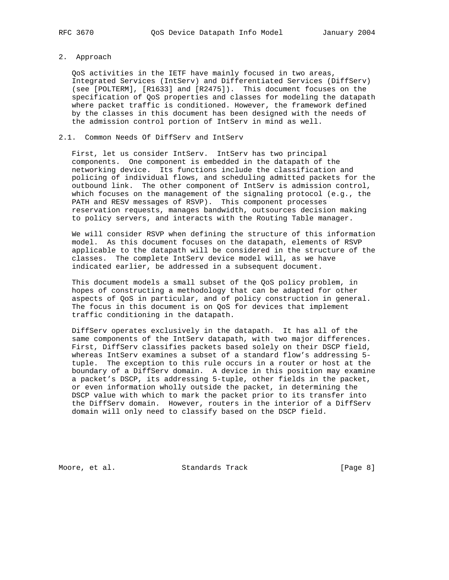# 2. Approach

 QoS activities in the IETF have mainly focused in two areas, Integrated Services (IntServ) and Differentiated Services (DiffServ) (see [POLTERM], [R1633] and [R2475]). This document focuses on the specification of QoS properties and classes for modeling the datapath where packet traffic is conditioned. However, the framework defined by the classes in this document has been designed with the needs of the admission control portion of IntServ in mind as well.

# 2.1. Common Needs Of DiffServ and IntServ

 First, let us consider IntServ. IntServ has two principal components. One component is embedded in the datapath of the networking device. Its functions include the classification and policing of individual flows, and scheduling admitted packets for the outbound link. The other component of IntServ is admission control, which focuses on the management of the signaling protocol (e.g., the PATH and RESV messages of RSVP). This component processes reservation requests, manages bandwidth, outsources decision making to policy servers, and interacts with the Routing Table manager.

 We will consider RSVP when defining the structure of this information model. As this document focuses on the datapath, elements of RSVP applicable to the datapath will be considered in the structure of the classes. The complete IntServ device model will, as we have indicated earlier, be addressed in a subsequent document.

 This document models a small subset of the QoS policy problem, in hopes of constructing a methodology that can be adapted for other aspects of QoS in particular, and of policy construction in general. The focus in this document is on QoS for devices that implement traffic conditioning in the datapath.

 DiffServ operates exclusively in the datapath. It has all of the same components of the IntServ datapath, with two major differences. First, DiffServ classifies packets based solely on their DSCP field, whereas IntServ examines a subset of a standard flow's addressing 5 tuple. The exception to this rule occurs in a router or host at the boundary of a DiffServ domain. A device in this position may examine a packet's DSCP, its addressing 5-tuple, other fields in the packet, or even information wholly outside the packet, in determining the DSCP value with which to mark the packet prior to its transfer into the DiffServ domain. However, routers in the interior of a DiffServ domain will only need to classify based on the DSCP field.

Moore, et al. Standards Track [Page 8]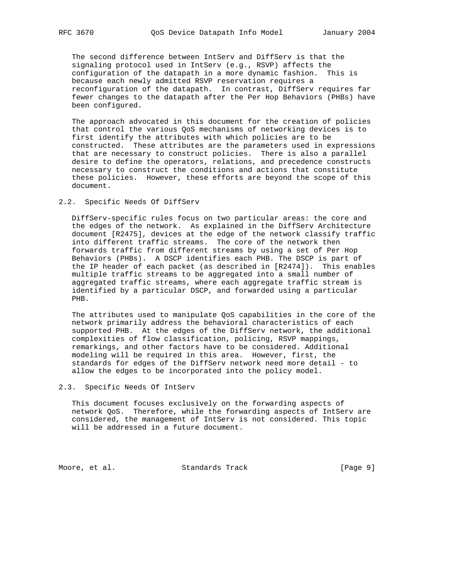The second difference between IntServ and DiffServ is that the signaling protocol used in IntServ (e.g., RSVP) affects the configuration of the datapath in a more dynamic fashion. This is because each newly admitted RSVP reservation requires a reconfiguration of the datapath. In contrast, DiffServ requires far fewer changes to the datapath after the Per Hop Behaviors (PHBs) have been configured.

 The approach advocated in this document for the creation of policies that control the various QoS mechanisms of networking devices is to first identify the attributes with which policies are to be constructed. These attributes are the parameters used in expressions that are necessary to construct policies. There is also a parallel desire to define the operators, relations, and precedence constructs necessary to construct the conditions and actions that constitute these policies. However, these efforts are beyond the scope of this document.

## 2.2. Specific Needs Of DiffServ

 DiffServ-specific rules focus on two particular areas: the core and the edges of the network. As explained in the DiffServ Architecture document [R2475], devices at the edge of the network classify traffic into different traffic streams. The core of the network then forwards traffic from different streams by using a set of Per Hop Behaviors (PHBs). A DSCP identifies each PHB. The DSCP is part of the IP header of each packet (as described in [R2474]). This enables multiple traffic streams to be aggregated into a small number of aggregated traffic streams, where each aggregate traffic stream is identified by a particular DSCP, and forwarded using a particular PHB.

 The attributes used to manipulate QoS capabilities in the core of the network primarily address the behavioral characteristics of each supported PHB. At the edges of the DiffServ network, the additional complexities of flow classification, policing, RSVP mappings, remarkings, and other factors have to be considered. Additional modeling will be required in this area. However, first, the standards for edges of the DiffServ network need more detail - to allow the edges to be incorporated into the policy model.

### 2.3. Specific Needs Of IntServ

 This document focuses exclusively on the forwarding aspects of network QoS. Therefore, while the forwarding aspects of IntServ are considered, the management of IntServ is not considered. This topic will be addressed in a future document.

Moore, et al. Standards Track [Page 9]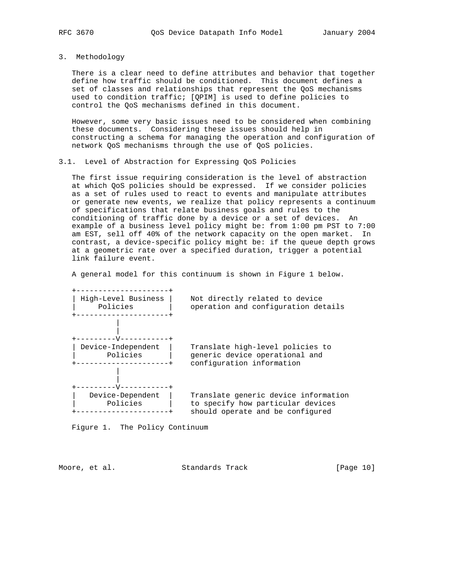3. Methodology

 There is a clear need to define attributes and behavior that together define how traffic should be conditioned. This document defines a set of classes and relationships that represent the QoS mechanisms used to condition traffic; [QPIM] is used to define policies to control the QoS mechanisms defined in this document.

 However, some very basic issues need to be considered when combining these documents. Considering these issues should help in constructing a schema for managing the operation and configuration of network QoS mechanisms through the use of QoS policies.

### 3.1. Level of Abstraction for Expressing QoS Policies

 The first issue requiring consideration is the level of abstraction at which QoS policies should be expressed. If we consider policies as a set of rules used to react to events and manipulate attributes or generate new events, we realize that policy represents a continuum of specifications that relate business goals and rules to the conditioning of traffic done by a device or a set of devices. An example of a business level policy might be: from 1:00 pm PST to 7:00 am EST, sell off 40% of the network capacity on the open market. In contrast, a device-specific policy might be: if the queue depth grows at a geometric rate over a specified duration, trigger a potential link failure event.

A general model for this continuum is shown in Figure 1 below.



Figure 1. The Policy Continuum

Moore, et al. Standards Track [Page 10]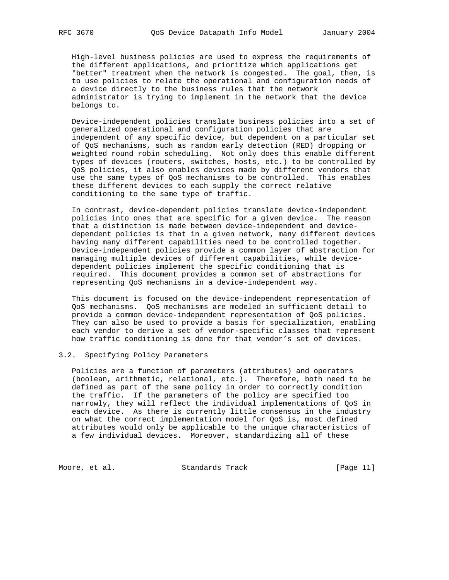High-level business policies are used to express the requirements of the different applications, and prioritize which applications get "better" treatment when the network is congested. The goal, then, is to use policies to relate the operational and configuration needs of a device directly to the business rules that the network administrator is trying to implement in the network that the device belongs to.

 Device-independent policies translate business policies into a set of generalized operational and configuration policies that are independent of any specific device, but dependent on a particular set of QoS mechanisms, such as random early detection (RED) dropping or weighted round robin scheduling. Not only does this enable different types of devices (routers, switches, hosts, etc.) to be controlled by QoS policies, it also enables devices made by different vendors that use the same types of QoS mechanisms to be controlled. This enables these different devices to each supply the correct relative conditioning to the same type of traffic.

 In contrast, device-dependent policies translate device-independent policies into ones that are specific for a given device. The reason that a distinction is made between device-independent and device dependent policies is that in a given network, many different devices having many different capabilities need to be controlled together. Device-independent policies provide a common layer of abstraction for managing multiple devices of different capabilities, while device dependent policies implement the specific conditioning that is required. This document provides a common set of abstractions for representing QoS mechanisms in a device-independent way.

 This document is focused on the device-independent representation of QoS mechanisms. QoS mechanisms are modeled in sufficient detail to provide a common device-independent representation of QoS policies. They can also be used to provide a basis for specialization, enabling each vendor to derive a set of vendor-specific classes that represent how traffic conditioning is done for that vendor's set of devices.

#### 3.2. Specifying Policy Parameters

 Policies are a function of parameters (attributes) and operators (boolean, arithmetic, relational, etc.). Therefore, both need to be defined as part of the same policy in order to correctly condition the traffic. If the parameters of the policy are specified too narrowly, they will reflect the individual implementations of QoS in each device. As there is currently little consensus in the industry on what the correct implementation model for QoS is, most defined attributes would only be applicable to the unique characteristics of a few individual devices. Moreover, standardizing all of these

Moore, et al. Standards Track [Page 11]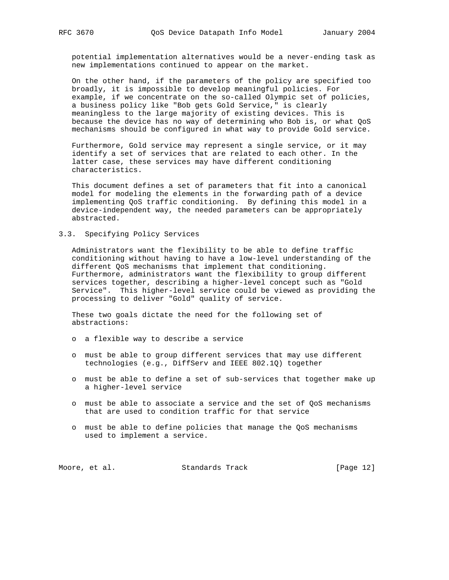potential implementation alternatives would be a never-ending task as new implementations continued to appear on the market.

 On the other hand, if the parameters of the policy are specified too broadly, it is impossible to develop meaningful policies. For example, if we concentrate on the so-called Olympic set of policies, a business policy like "Bob gets Gold Service," is clearly meaningless to the large majority of existing devices. This is because the device has no way of determining who Bob is, or what QoS mechanisms should be configured in what way to provide Gold service.

 Furthermore, Gold service may represent a single service, or it may identify a set of services that are related to each other. In the latter case, these services may have different conditioning characteristics.

 This document defines a set of parameters that fit into a canonical model for modeling the elements in the forwarding path of a device implementing QoS traffic conditioning. By defining this model in a device-independent way, the needed parameters can be appropriately abstracted.

3.3. Specifying Policy Services

 Administrators want the flexibility to be able to define traffic conditioning without having to have a low-level understanding of the different QoS mechanisms that implement that conditioning. Furthermore, administrators want the flexibility to group different services together, describing a higher-level concept such as "Gold Service". This higher-level service could be viewed as providing the processing to deliver "Gold" quality of service.

 These two goals dictate the need for the following set of abstractions:

- o a flexible way to describe a service
- o must be able to group different services that may use different technologies (e.g., DiffServ and IEEE 802.1Q) together
- o must be able to define a set of sub-services that together make up a higher-level service
- o must be able to associate a service and the set of QoS mechanisms that are used to condition traffic for that service
- o must be able to define policies that manage the QoS mechanisms used to implement a service.

| Moore, et al. |  | Standards Track | [Page $12$ ] |  |  |
|---------------|--|-----------------|--------------|--|--|
|---------------|--|-----------------|--------------|--|--|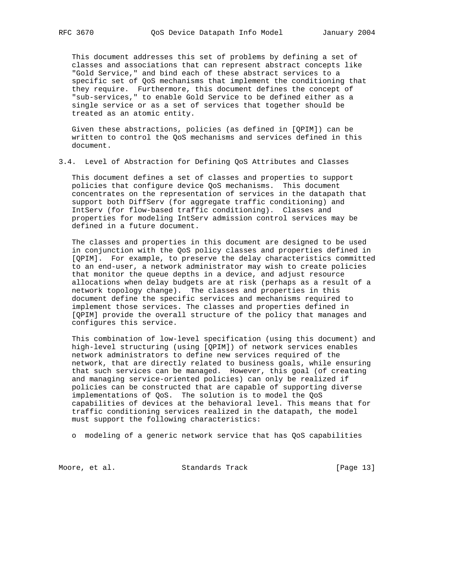This document addresses this set of problems by defining a set of classes and associations that can represent abstract concepts like "Gold Service," and bind each of these abstract services to a specific set of QoS mechanisms that implement the conditioning that they require. Furthermore, this document defines the concept of "sub-services," to enable Gold Service to be defined either as a single service or as a set of services that together should be treated as an atomic entity.

 Given these abstractions, policies (as defined in [QPIM]) can be written to control the QoS mechanisms and services defined in this document.

3.4. Level of Abstraction for Defining QoS Attributes and Classes

 This document defines a set of classes and properties to support policies that configure device QoS mechanisms. This document concentrates on the representation of services in the datapath that support both DiffServ (for aggregate traffic conditioning) and IntServ (for flow-based traffic conditioning). Classes and properties for modeling IntServ admission control services may be defined in a future document.

 The classes and properties in this document are designed to be used in conjunction with the QoS policy classes and properties defined in [QPIM]. For example, to preserve the delay characteristics committed to an end-user, a network administrator may wish to create policies that monitor the queue depths in a device, and adjust resource allocations when delay budgets are at risk (perhaps as a result of a network topology change). The classes and properties in this document define the specific services and mechanisms required to implement those services. The classes and properties defined in [QPIM] provide the overall structure of the policy that manages and configures this service.

 This combination of low-level specification (using this document) and high-level structuring (using [QPIM]) of network services enables network administrators to define new services required of the network, that are directly related to business goals, while ensuring that such services can be managed. However, this goal (of creating and managing service-oriented policies) can only be realized if policies can be constructed that are capable of supporting diverse implementations of QoS. The solution is to model the QoS capabilities of devices at the behavioral level. This means that for traffic conditioning services realized in the datapath, the model must support the following characteristics:

o modeling of a generic network service that has QoS capabilities

Moore, et al. Standards Track [Page 13]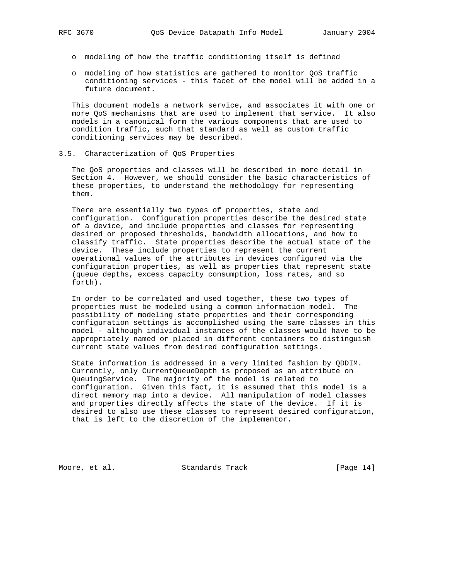- - o modeling of how the traffic conditioning itself is defined
	- o modeling of how statistics are gathered to monitor QoS traffic conditioning services - this facet of the model will be added in a future document.

 This document models a network service, and associates it with one or more QoS mechanisms that are used to implement that service. It also models in a canonical form the various components that are used to condition traffic, such that standard as well as custom traffic conditioning services may be described.

#### 3.5. Characterization of QoS Properties

 The QoS properties and classes will be described in more detail in Section 4. However, we should consider the basic characteristics of these properties, to understand the methodology for representing them.

 There are essentially two types of properties, state and configuration. Configuration properties describe the desired state of a device, and include properties and classes for representing desired or proposed thresholds, bandwidth allocations, and how to classify traffic. State properties describe the actual state of the device. These include properties to represent the current operational values of the attributes in devices configured via the configuration properties, as well as properties that represent state (queue depths, excess capacity consumption, loss rates, and so forth).

 In order to be correlated and used together, these two types of properties must be modeled using a common information model. The possibility of modeling state properties and their corresponding configuration settings is accomplished using the same classes in this model - although individual instances of the classes would have to be appropriately named or placed in different containers to distinguish current state values from desired configuration settings.

 State information is addressed in a very limited fashion by QDDIM. Currently, only CurrentQueueDepth is proposed as an attribute on QueuingService. The majority of the model is related to configuration. Given this fact, it is assumed that this model is a direct memory map into a device. All manipulation of model classes and properties directly affects the state of the device. If it is desired to also use these classes to represent desired configuration, that is left to the discretion of the implementor.

Moore, et al. Standards Track [Page 14]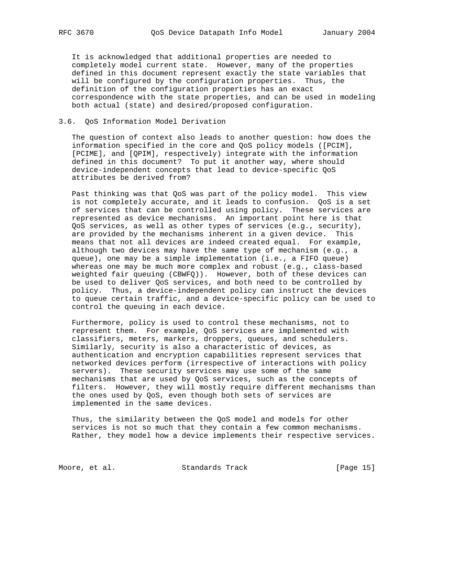It is acknowledged that additional properties are needed to completely model current state. However, many of the properties defined in this document represent exactly the state variables that will be configured by the configuration properties. Thus, the definition of the configuration properties has an exact correspondence with the state properties, and can be used in modeling both actual (state) and desired/proposed configuration.

#### 3.6. QoS Information Model Derivation

 The question of context also leads to another question: how does the information specified in the core and QoS policy models ([PCIM], [PCIME], and [QPIM], respectively) integrate with the information defined in this document? To put it another way, where should device-independent concepts that lead to device-specific QoS attributes be derived from?

 Past thinking was that QoS was part of the policy model. This view is not completely accurate, and it leads to confusion. QoS is a set of services that can be controlled using policy. These services are represented as device mechanisms. An important point here is that QoS services, as well as other types of services (e.g., security), are provided by the mechanisms inherent in a given device. This means that not all devices are indeed created equal. For example, although two devices may have the same type of mechanism (e.g., a queue), one may be a simple implementation (i.e., a FIFO queue) whereas one may be much more complex and robust (e.g., class-based weighted fair queuing (CBWFQ)). However, both of these devices can be used to deliver QoS services, and both need to be controlled by policy. Thus, a device-independent policy can instruct the devices to queue certain traffic, and a device-specific policy can be used to control the queuing in each device.

 Furthermore, policy is used to control these mechanisms, not to represent them. For example, QoS services are implemented with classifiers, meters, markers, droppers, queues, and schedulers. Similarly, security is also a characteristic of devices, as authentication and encryption capabilities represent services that networked devices perform (irrespective of interactions with policy servers). These security services may use some of the same mechanisms that are used by QoS services, such as the concepts of filters. However, they will mostly require different mechanisms than the ones used by QoS, even though both sets of services are implemented in the same devices.

 Thus, the similarity between the QoS model and models for other services is not so much that they contain a few common mechanisms. Rather, they model how a device implements their respective services.

Moore, et al. Standards Track [Page 15]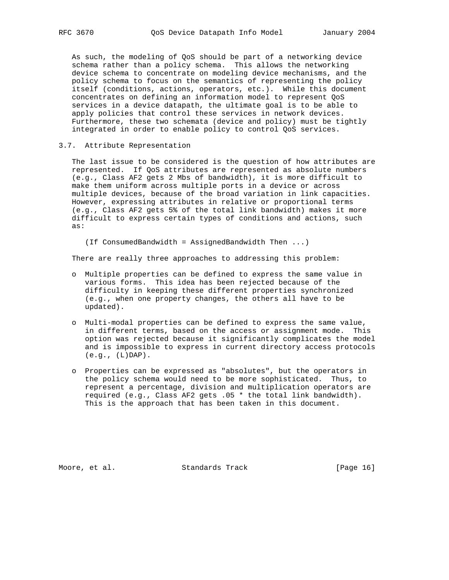As such, the modeling of QoS should be part of a networking device schema rather than a policy schema. This allows the networking device schema to concentrate on modeling device mechanisms, and the policy schema to focus on the semantics of representing the policy itself (conditions, actions, operators, etc.). While this document concentrates on defining an information model to represent QoS services in a device datapath, the ultimate goal is to be able to apply policies that control these services in network devices. Furthermore, these two schemata (device and policy) must be tightly integrated in order to enable policy to control QoS services.

#### 3.7. Attribute Representation

 The last issue to be considered is the question of how attributes are represented. If QoS attributes are represented as absolute numbers (e.g., Class AF2 gets 2 Mbs of bandwidth), it is more difficult to make them uniform across multiple ports in a device or across multiple devices, because of the broad variation in link capacities. However, expressing attributes in relative or proportional terms (e.g., Class AF2 gets 5% of the total link bandwidth) makes it more difficult to express certain types of conditions and actions, such as:

(If ConsumedBandwidth = AssignedBandwidth Then ...)

There are really three approaches to addressing this problem:

- o Multiple properties can be defined to express the same value in various forms. This idea has been rejected because of the difficulty in keeping these different properties synchronized (e.g., when one property changes, the others all have to be updated).
- o Multi-modal properties can be defined to express the same value, in different terms, based on the access or assignment mode. This option was rejected because it significantly complicates the model and is impossible to express in current directory access protocols  $(e.g., (L)DAP)$ .
- o Properties can be expressed as "absolutes", but the operators in the policy schema would need to be more sophisticated. Thus, to represent a percentage, division and multiplication operators are required (e.g., Class AF2 gets .05 \* the total link bandwidth). This is the approach that has been taken in this document.

Moore, et al. Standards Track [Page 16]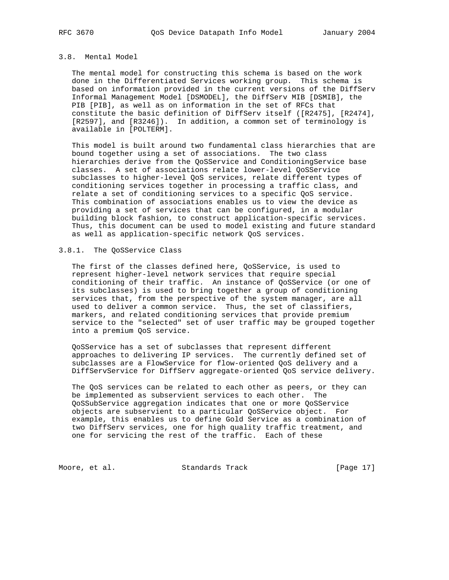## 3.8. Mental Model

 The mental model for constructing this schema is based on the work done in the Differentiated Services working group. This schema is based on information provided in the current versions of the DiffServ Informal Management Model [DSMODEL], the DiffServ MIB [DSMIB], the PIB [PIB], as well as on information in the set of RFCs that constitute the basic definition of DiffServ itself ([R2475], [R2474], [R2597], and [R3246]). In addition, a common set of terminology is available in [POLTERM].

 This model is built around two fundamental class hierarchies that are bound together using a set of associations. The two class hierarchies derive from the QoSService and ConditioningService base classes. A set of associations relate lower-level QoSService subclasses to higher-level QoS services, relate different types of conditioning services together in processing a traffic class, and relate a set of conditioning services to a specific QoS service. This combination of associations enables us to view the device as providing a set of services that can be configured, in a modular building block fashion, to construct application-specific services. Thus, this document can be used to model existing and future standard as well as application-specific network QoS services.

#### 3.8.1. The QoSService Class

 The first of the classes defined here, QoSService, is used to represent higher-level network services that require special conditioning of their traffic. An instance of QoSService (or one of its subclasses) is used to bring together a group of conditioning services that, from the perspective of the system manager, are all used to deliver a common service. Thus, the set of classifiers, markers, and related conditioning services that provide premium service to the "selected" set of user traffic may be grouped together into a premium QoS service.

 QoSService has a set of subclasses that represent different approaches to delivering IP services. The currently defined set of subclasses are a FlowService for flow-oriented QoS delivery and a DiffServService for DiffServ aggregate-oriented QoS service delivery.

 The QoS services can be related to each other as peers, or they can be implemented as subservient services to each other. The QoSSubService aggregation indicates that one or more QoSService objects are subservient to a particular QoSService object. For example, this enables us to define Gold Service as a combination of two DiffServ services, one for high quality traffic treatment, and one for servicing the rest of the traffic. Each of these

Moore, et al. Standards Track [Page 17]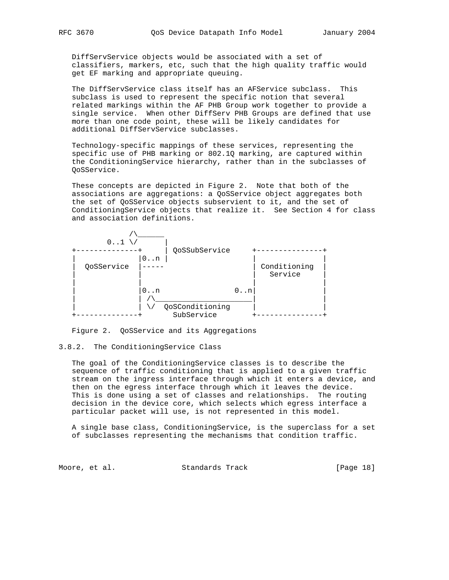DiffServService objects would be associated with a set of classifiers, markers, etc, such that the high quality traffic would get EF marking and appropriate queuing.

 The DiffServService class itself has an AFService subclass. This subclass is used to represent the specific notion that several related markings within the AF PHB Group work together to provide a single service. When other DiffServ PHB Groups are defined that use more than one code point, these will be likely candidates for additional DiffServService subclasses.

 Technology-specific mappings of these services, representing the specific use of PHB marking or 802.1Q marking, are captured within the ConditioningService hierarchy, rather than in the subclasses of QoSService.

 These concepts are depicted in Figure 2. Note that both of the associations are aggregations: a QoSService object aggregates both the set of QoSService objects subservient to it, and the set of ConditioningService objects that realize it. See Section 4 for class and association definitions.



Figure 2. QoSService and its Aggregations

#### 3.8.2. The ConditioningService Class

 The goal of the ConditioningService classes is to describe the sequence of traffic conditioning that is applied to a given traffic stream on the ingress interface through which it enters a device, and then on the egress interface through which it leaves the device. This is done using a set of classes and relationships. The routing decision in the device core, which selects which egress interface a particular packet will use, is not represented in this model.

 A single base class, ConditioningService, is the superclass for a set of subclasses representing the mechanisms that condition traffic.

Moore, et al. Standards Track [Page 18]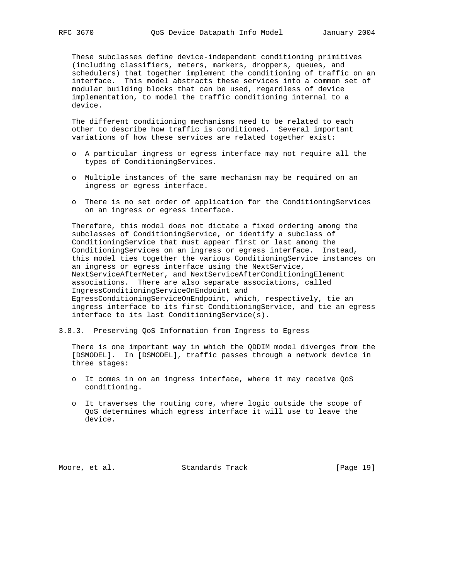These subclasses define device-independent conditioning primitives (including classifiers, meters, markers, droppers, queues, and schedulers) that together implement the conditioning of traffic on an interface. This model abstracts these services into a common set of modular building blocks that can be used, regardless of device implementation, to model the traffic conditioning internal to a device.

 The different conditioning mechanisms need to be related to each other to describe how traffic is conditioned. Several important variations of how these services are related together exist:

- o A particular ingress or egress interface may not require all the types of ConditioningServices.
- o Multiple instances of the same mechanism may be required on an ingress or egress interface.
- o There is no set order of application for the ConditioningServices on an ingress or egress interface.

 Therefore, this model does not dictate a fixed ordering among the subclasses of ConditioningService, or identify a subclass of ConditioningService that must appear first or last among the ConditioningServices on an ingress or egress interface. Instead, this model ties together the various ConditioningService instances on an ingress or egress interface using the NextService, NextServiceAfterMeter, and NextServiceAfterConditioningElement associations. There are also separate associations, called IngressConditioningServiceOnEndpoint and EgressConditioningServiceOnEndpoint, which, respectively, tie an ingress interface to its first ConditioningService, and tie an egress interface to its last ConditioningService(s).

3.8.3. Preserving QoS Information from Ingress to Egress

 There is one important way in which the QDDIM model diverges from the [DSMODEL]. In [DSMODEL], traffic passes through a network device in three stages:

- o It comes in on an ingress interface, where it may receive QoS conditioning.
- o It traverses the routing core, where logic outside the scope of QoS determines which egress interface it will use to leave the device.

Moore, et al. Standards Track [Page 19]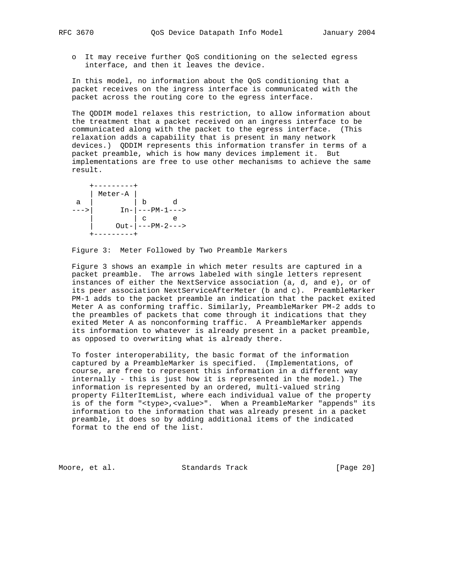o It may receive further QoS conditioning on the selected egress interface, and then it leaves the device.

 In this model, no information about the QoS conditioning that a packet receives on the ingress interface is communicated with the packet across the routing core to the egress interface.

 The QDDIM model relaxes this restriction, to allow information about the treatment that a packet received on an ingress interface to be communicated along with the packet to the egress interface. (This relaxation adds a capability that is present in many network devices.) QDDIM represents this information transfer in terms of a packet preamble, which is how many devices implement it. But implementations are free to use other mechanisms to achieve the same result.



Figure 3: Meter Followed by Two Preamble Markers

 Figure 3 shows an example in which meter results are captured in a packet preamble. The arrows labeled with single letters represent instances of either the NextService association (a, d, and e), or of its peer association NextServiceAfterMeter (b and c). PreambleMarker PM-1 adds to the packet preamble an indication that the packet exited Meter A as conforming traffic. Similarly, PreambleMarker PM-2 adds to the preambles of packets that come through it indications that they exited Meter A as nonconforming traffic. A PreambleMarker appends its information to whatever is already present in a packet preamble, as opposed to overwriting what is already there.

 To foster interoperability, the basic format of the information captured by a PreambleMarker is specified. (Implementations, of course, are free to represent this information in a different way internally - this is just how it is represented in the model.) The information is represented by an ordered, multi-valued string property FilterItemList, where each individual value of the property is of the form "<type>,<value>". When a PreambleMarker "appends" its information to the information that was already present in a packet preamble, it does so by adding additional items of the indicated format to the end of the list.

Moore, et al. Standards Track [Page 20]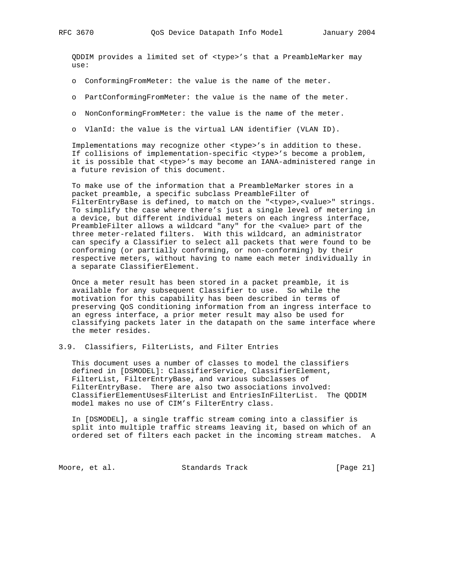QDDIM provides a limited set of <type>'s that a PreambleMarker may use:

- o ConformingFromMeter: the value is the name of the meter.
- o PartConformingFromMeter: the value is the name of the meter.
- o NonConformingFromMeter: the value is the name of the meter.
- o VlanId: the value is the virtual LAN identifier (VLAN ID).

 Implementations may recognize other <type>'s in addition to these. If collisions of implementation-specific <type>'s become a problem, it is possible that <type>'s may become an IANA-administered range in a future revision of this document.

 To make use of the information that a PreambleMarker stores in a packet preamble, a specific subclass PreambleFilter of FilterEntryBase is defined, to match on the "<type>,<value>" strings. To simplify the case where there's just a single level of metering in a device, but different individual meters on each ingress interface, PreambleFilter allows a wildcard "any" for the <value> part of the three meter-related filters. With this wildcard, an administrator can specify a Classifier to select all packets that were found to be conforming (or partially conforming, or non-conforming) by their respective meters, without having to name each meter individually in a separate ClassifierElement.

 Once a meter result has been stored in a packet preamble, it is available for any subsequent Classifier to use. So while the motivation for this capability has been described in terms of preserving QoS conditioning information from an ingress interface to an egress interface, a prior meter result may also be used for classifying packets later in the datapath on the same interface where the meter resides.

3.9. Classifiers, FilterLists, and Filter Entries

 This document uses a number of classes to model the classifiers defined in [DSMODEL]: ClassifierService, ClassifierElement, FilterList, FilterEntryBase, and various subclasses of FilterEntryBase. There are also two associations involved: ClassifierElementUsesFilterList and EntriesInFilterList. The QDDIM model makes no use of CIM's FilterEntry class.

 In [DSMODEL], a single traffic stream coming into a classifier is split into multiple traffic streams leaving it, based on which of an ordered set of filters each packet in the incoming stream matches. A

Moore, et al. Standards Track [Page 21]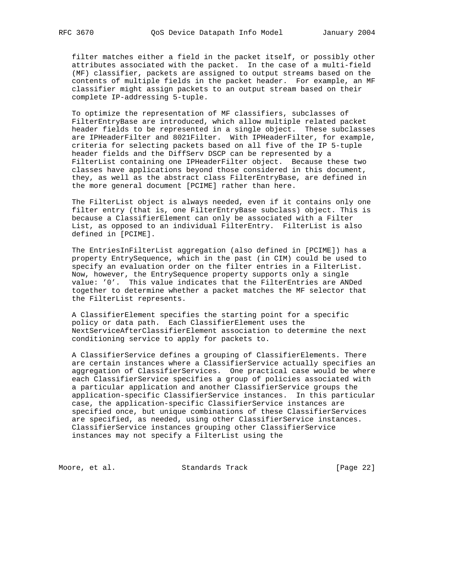filter matches either a field in the packet itself, or possibly other attributes associated with the packet. In the case of a multi-field (MF) classifier, packets are assigned to output streams based on the contents of multiple fields in the packet header. For example, an MF classifier might assign packets to an output stream based on their complete IP-addressing 5-tuple.

 To optimize the representation of MF classifiers, subclasses of FilterEntryBase are introduced, which allow multiple related packet header fields to be represented in a single object. These subclasses are IPHeaderFilter and 8021Filter. With IPHeaderFilter, for example, criteria for selecting packets based on all five of the IP 5-tuple header fields and the DiffServ DSCP can be represented by a FilterList containing one IPHeaderFilter object. Because these two classes have applications beyond those considered in this document, they, as well as the abstract class FilterEntryBase, are defined in the more general document [PCIME] rather than here.

 The FilterList object is always needed, even if it contains only one filter entry (that is, one FilterEntryBase subclass) object. This is because a ClassifierElement can only be associated with a Filter List, as opposed to an individual FilterEntry. FilterList is also defined in [PCIME].

 The EntriesInFilterList aggregation (also defined in [PCIME]) has a property EntrySequence, which in the past (in CIM) could be used to specify an evaluation order on the filter entries in a FilterList. Now, however, the EntrySequence property supports only a single value: '0'. This value indicates that the FilterEntries are ANDed together to determine whether a packet matches the MF selector that the FilterList represents.

 A ClassifierElement specifies the starting point for a specific policy or data path. Each ClassifierElement uses the NextServiceAfterClassifierElement association to determine the next conditioning service to apply for packets to.

 A ClassifierService defines a grouping of ClassifierElements. There are certain instances where a ClassifierService actually specifies an aggregation of ClassifierServices. One practical case would be where each ClassifierService specifies a group of policies associated with a particular application and another ClassifierService groups the application-specific ClassifierService instances. In this particular case, the application-specific ClassifierService instances are specified once, but unique combinations of these ClassifierServices are specified, as needed, using other ClassifierService instances. ClassifierService instances grouping other ClassifierService instances may not specify a FilterList using the

Moore, et al. Standards Track [Page 22]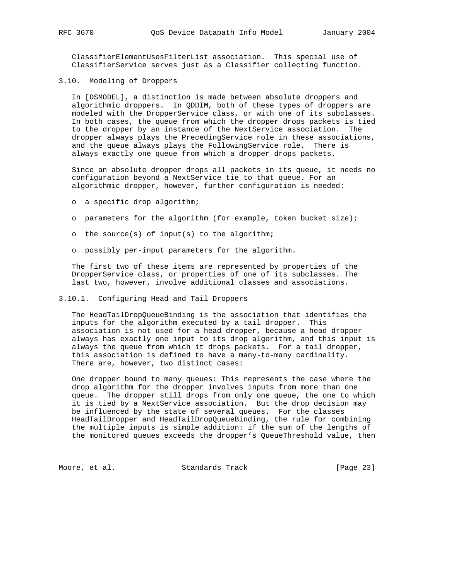ClassifierElementUsesFilterList association. This special use of ClassifierService serves just as a Classifier collecting function.

3.10. Modeling of Droppers

 In [DSMODEL], a distinction is made between absolute droppers and algorithmic droppers. In QDDIM, both of these types of droppers are modeled with the DropperService class, or with one of its subclasses. In both cases, the queue from which the dropper drops packets is tied to the dropper by an instance of the NextService association. The dropper always plays the PrecedingService role in these associations, and the queue always plays the FollowingService role. There is always exactly one queue from which a dropper drops packets.

 Since an absolute dropper drops all packets in its queue, it needs no configuration beyond a NextService tie to that queue. For an algorithmic dropper, however, further configuration is needed:

- o a specific drop algorithm;
- o parameters for the algorithm (for example, token bucket size);
- o the source(s) of input(s) to the algorithm;
- o possibly per-input parameters for the algorithm.

 The first two of these items are represented by properties of the DropperService class, or properties of one of its subclasses. The last two, however, involve additional classes and associations.

### 3.10.1. Configuring Head and Tail Droppers

 The HeadTailDropQueueBinding is the association that identifies the inputs for the algorithm executed by a tail dropper. This association is not used for a head dropper, because a head dropper always has exactly one input to its drop algorithm, and this input is always the queue from which it drops packets. For a tail dropper, this association is defined to have a many-to-many cardinality. There are, however, two distinct cases:

 One dropper bound to many queues: This represents the case where the drop algorithm for the dropper involves inputs from more than one queue. The dropper still drops from only one queue, the one to which it is tied by a NextService association. But the drop decision may be influenced by the state of several queues. For the classes HeadTailDropper and HeadTailDropQueueBinding, the rule for combining the multiple inputs is simple addition: if the sum of the lengths of the monitored queues exceeds the dropper's QueueThreshold value, then

Moore, et al. Standards Track [Page 23]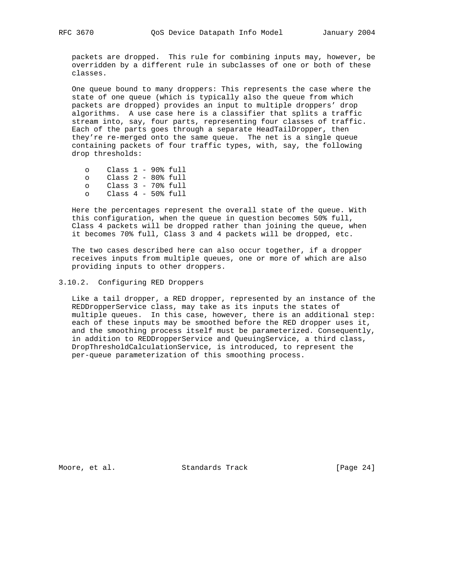packets are dropped. This rule for combining inputs may, however, be overridden by a different rule in subclasses of one or both of these classes.

 One queue bound to many droppers: This represents the case where the state of one queue (which is typically also the queue from which packets are dropped) provides an input to multiple droppers' drop algorithms. A use case here is a classifier that splits a traffic stream into, say, four parts, representing four classes of traffic. Each of the parts goes through a separate HeadTailDropper, then they're re-merged onto the same queue. The net is a single queue containing packets of four traffic types, with, say, the following drop thresholds:

 o Class 1 - 90% full o Class 2 - 80% full o Class 3 - 70% full o Class 4 - 50% full

 Here the percentages represent the overall state of the queue. With this configuration, when the queue in question becomes 50% full, Class 4 packets will be dropped rather than joining the queue, when it becomes 70% full, Class 3 and 4 packets will be dropped, etc.

 The two cases described here can also occur together, if a dropper receives inputs from multiple queues, one or more of which are also providing inputs to other droppers.

3.10.2. Configuring RED Droppers

 Like a tail dropper, a RED dropper, represented by an instance of the REDDropperService class, may take as its inputs the states of multiple queues. In this case, however, there is an additional step: each of these inputs may be smoothed before the RED dropper uses it, and the smoothing process itself must be parameterized. Consequently, in addition to REDDropperService and QueuingService, a third class, DropThresholdCalculationService, is introduced, to represent the per-queue parameterization of this smoothing process.

Moore, et al. Standards Track [Page 24]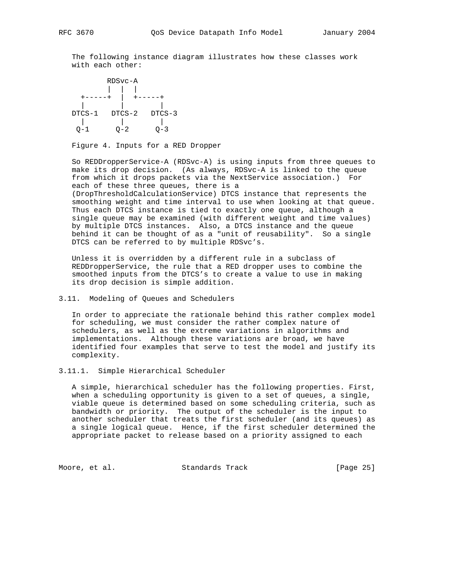The following instance diagram illustrates how these classes work with each other:



Figure 4. Inputs for a RED Dropper

 So REDDropperService-A (RDSvc-A) is using inputs from three queues to make its drop decision. (As always, RDSvc-A is linked to the queue from which it drops packets via the NextService association.) For each of these three queues, there is a (DropThresholdCalculationService) DTCS instance that represents the smoothing weight and time interval to use when looking at that queue. Thus each DTCS instance is tied to exactly one queue, although a single queue may be examined (with different weight and time values) by multiple DTCS instances. Also, a DTCS instance and the queue behind it can be thought of as a "unit of reusability". So a single DTCS can be referred to by multiple RDSvc's.

 Unless it is overridden by a different rule in a subclass of REDDropperService, the rule that a RED dropper uses to combine the smoothed inputs from the DTCS's to create a value to use in making its drop decision is simple addition.

### 3.11. Modeling of Queues and Schedulers

 In order to appreciate the rationale behind this rather complex model for scheduling, we must consider the rather complex nature of schedulers, as well as the extreme variations in algorithms and implementations. Although these variations are broad, we have identified four examples that serve to test the model and justify its complexity.

3.11.1. Simple Hierarchical Scheduler

 A simple, hierarchical scheduler has the following properties. First, when a scheduling opportunity is given to a set of queues, a single, viable queue is determined based on some scheduling criteria, such as bandwidth or priority. The output of the scheduler is the input to another scheduler that treats the first scheduler (and its queues) as a single logical queue. Hence, if the first scheduler determined the appropriate packet to release based on a priority assigned to each

Moore, et al. Standards Track [Page 25]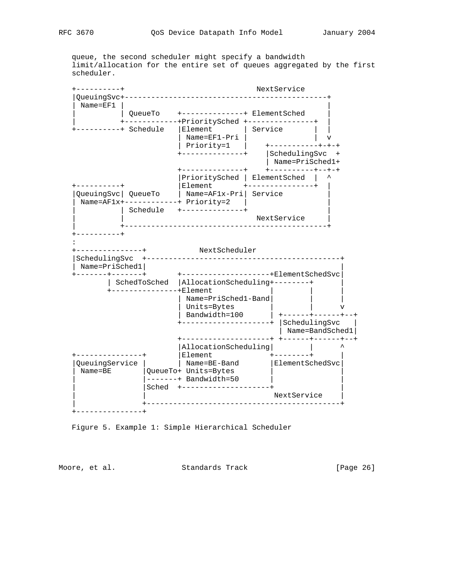queue, the second scheduler might specify a bandwidth limit/allocation for the entire set of queues aggregated by the first scheduler.



Figure 5. Example 1: Simple Hierarchical Scheduler

Moore, et al. Standards Track [Page 26]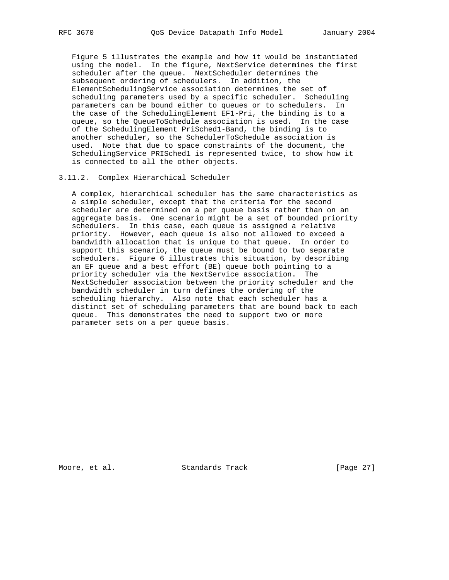Figure 5 illustrates the example and how it would be instantiated using the model. In the figure, NextService determines the first scheduler after the queue. NextScheduler determines the subsequent ordering of schedulers. In addition, the ElementSchedulingService association determines the set of scheduling parameters used by a specific scheduler. Scheduling parameters can be bound either to queues or to schedulers. In the case of the SchedulingElement EF1-Pri, the binding is to a queue, so the QueueToSchedule association is used. In the case of the SchedulingElement PriSched1-Band, the binding is to another scheduler, so the SchedulerToSchedule association is used. Note that due to space constraints of the document, the SchedulingService PRISched1 is represented twice, to show how it is connected to all the other objects.

#### 3.11.2. Complex Hierarchical Scheduler

 A complex, hierarchical scheduler has the same characteristics as a simple scheduler, except that the criteria for the second scheduler are determined on a per queue basis rather than on an aggregate basis. One scenario might be a set of bounded priority schedulers. In this case, each queue is assigned a relative priority. However, each queue is also not allowed to exceed a bandwidth allocation that is unique to that queue. In order to support this scenario, the queue must be bound to two separate schedulers. Figure 6 illustrates this situation, by describing an EF queue and a best effort (BE) queue both pointing to a priority scheduler via the NextService association. The NextScheduler association between the priority scheduler and the bandwidth scheduler in turn defines the ordering of the scheduling hierarchy. Also note that each scheduler has a distinct set of scheduling parameters that are bound back to each queue. This demonstrates the need to support two or more parameter sets on a per queue basis.

Moore, et al. Standards Track [Page 27]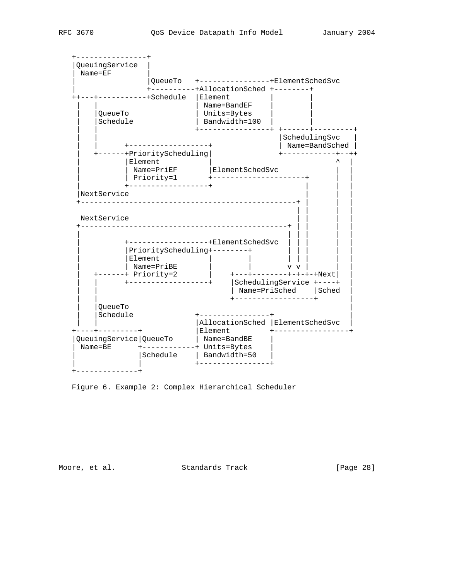

Figure 6. Example 2: Complex Hierarchical Scheduler

Moore, et al. Standards Track [Page 28]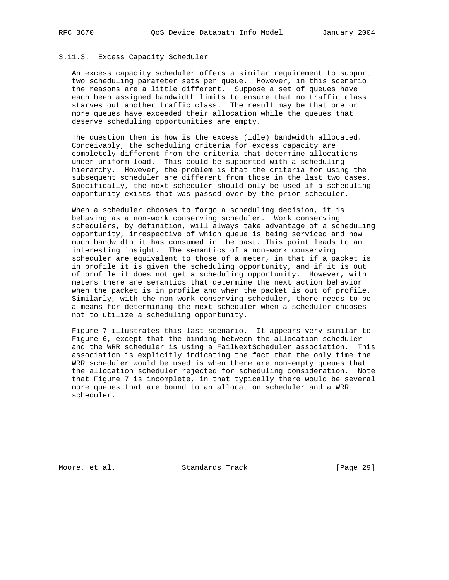#### 3.11.3. Excess Capacity Scheduler

 An excess capacity scheduler offers a similar requirement to support two scheduling parameter sets per queue. However, in this scenario the reasons are a little different. Suppose a set of queues have each been assigned bandwidth limits to ensure that no traffic class starves out another traffic class. The result may be that one or more queues have exceeded their allocation while the queues that deserve scheduling opportunities are empty.

 The question then is how is the excess (idle) bandwidth allocated. Conceivably, the scheduling criteria for excess capacity are completely different from the criteria that determine allocations under uniform load. This could be supported with a scheduling hierarchy. However, the problem is that the criteria for using the subsequent scheduler are different from those in the last two cases. Specifically, the next scheduler should only be used if a scheduling opportunity exists that was passed over by the prior scheduler.

 When a scheduler chooses to forgo a scheduling decision, it is behaving as a non-work conserving scheduler. Work conserving schedulers, by definition, will always take advantage of a scheduling opportunity, irrespective of which queue is being serviced and how much bandwidth it has consumed in the past. This point leads to an interesting insight. The semantics of a non-work conserving scheduler are equivalent to those of a meter, in that if a packet is in profile it is given the scheduling opportunity, and if it is out of profile it does not get a scheduling opportunity. However, with meters there are semantics that determine the next action behavior when the packet is in profile and when the packet is out of profile. Similarly, with the non-work conserving scheduler, there needs to be a means for determining the next scheduler when a scheduler chooses not to utilize a scheduling opportunity.

 Figure 7 illustrates this last scenario. It appears very similar to Figure 6, except that the binding between the allocation scheduler and the WRR scheduler is using a FailNextScheduler association. This association is explicitly indicating the fact that the only time the WRR scheduler would be used is when there are non-empty queues that the allocation scheduler rejected for scheduling consideration. Note that Figure 7 is incomplete, in that typically there would be several more queues that are bound to an allocation scheduler and a WRR scheduler.

Moore, et al. Standards Track [Page 29]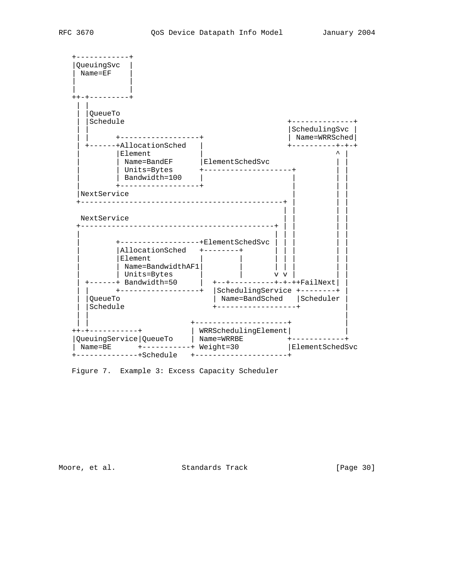

Figure 7. Example 3: Excess Capacity Scheduler

Moore, et al. Standards Track [Page 30]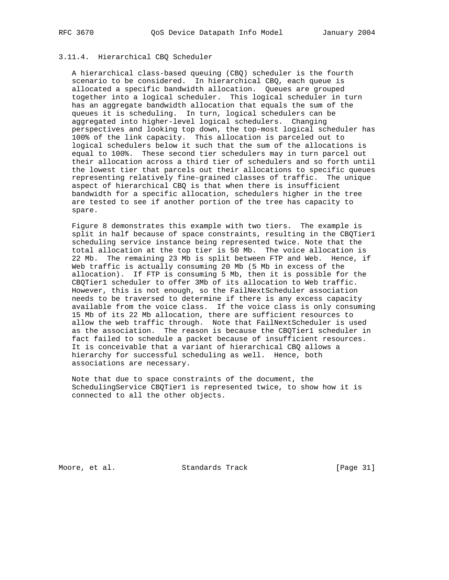## 3.11.4. Hierarchical CBQ Scheduler

 A hierarchical class-based queuing (CBQ) scheduler is the fourth scenario to be considered. In hierarchical CBQ, each queue is allocated a specific bandwidth allocation. Queues are grouped together into a logical scheduler. This logical scheduler in turn has an aggregate bandwidth allocation that equals the sum of the queues it is scheduling. In turn, logical schedulers can be aggregated into higher-level logical schedulers. Changing perspectives and looking top down, the top-most logical scheduler has 100% of the link capacity. This allocation is parceled out to logical schedulers below it such that the sum of the allocations is equal to 100%. These second tier schedulers may in turn parcel out their allocation across a third tier of schedulers and so forth until the lowest tier that parcels out their allocations to specific queues representing relatively fine-grained classes of traffic. The unique aspect of hierarchical CBQ is that when there is insufficient bandwidth for a specific allocation, schedulers higher in the tree are tested to see if another portion of the tree has capacity to spare.

 Figure 8 demonstrates this example with two tiers. The example is split in half because of space constraints, resulting in the CBQTier1 scheduling service instance being represented twice. Note that the total allocation at the top tier is 50 Mb. The voice allocation is 22 Mb. The remaining 23 Mb is split between FTP and Web. Hence, if Web traffic is actually consuming 20 Mb (5 Mb in excess of the allocation). If FTP is consuming 5 Mb, then it is possible for the CBQTier1 scheduler to offer 3Mb of its allocation to Web traffic. However, this is not enough, so the FailNextScheduler association needs to be traversed to determine if there is any excess capacity available from the voice class. If the voice class is only consuming 15 Mb of its 22 Mb allocation, there are sufficient resources to allow the web traffic through. Note that FailNextScheduler is used as the association. The reason is because the CBQTier1 scheduler in fact failed to schedule a packet because of insufficient resources. It is conceivable that a variant of hierarchical CBQ allows a hierarchy for successful scheduling as well. Hence, both associations are necessary.

 Note that due to space constraints of the document, the SchedulingService CBQTier1 is represented twice, to show how it is connected to all the other objects.

Moore, et al. Standards Track [Page 31]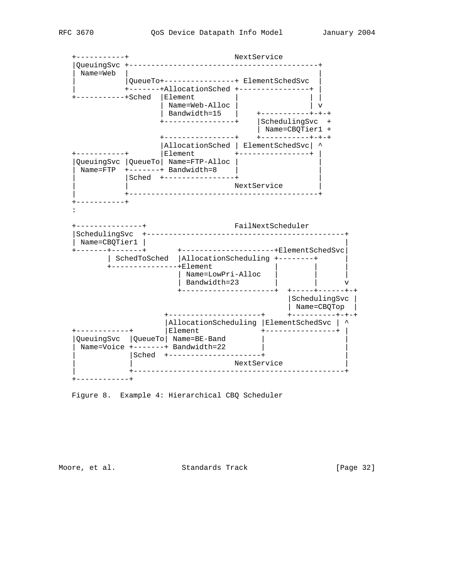+-----------+ NextService |QueuingSvc +-------------------------------------------+ | Name=Web | | | |QueueTo+----------------+ ElementSchedSvc | | +-------+AllocationSched +----------------+ | +-----------+Sched | Element | Name=Web-Alloc | v | Bandwidth=15 | +-----------+-+-+ +----------------+ |SchedulingSvc + | Name=CBQTier1 + +----------------+ +-----------+-+-+ |AllocationSched | ElementSchedSvc| ^ +-----------+ |Element +----------------+ | |QueuingSvc |QueueTo| Name=FTP-Alloc | | Name=FTP +-------+ Bandwidth=8 | |Sched +----------------+ | NextService | +-------------------------------------------+ +-----------+ : +---------------+ FailNextScheduler |SchedulingSvc +---------------------------------------------+ | Name=CBQTier1 | | +-------+-------+ +---------------------+ElementSchedSvc| | SchedToSched |AllocationScheduling +--------+ | +--------------+Element | Name=LowPri-Alloc | | | | Bandwidth=23 | | v +---------------------+ +-----+------+-+ |SchedulingSvc | | Name=CBQTop | +---------------------+ +----------+-+-+ |AllocationScheduling |ElementSchedSvc | ^ +------------+ |Element +----------------+ | |QueuingSvc |QueueTo| Name=BE-Band | |  $Name= Voice +-----+ Bandwidth=22$  | |Sched +---------------------+ | NextService | +------------------------------------------------+ +------------+

Figure 8. Example 4: Hierarchical CBQ Scheduler

Moore, et al. Standards Track [Page 32]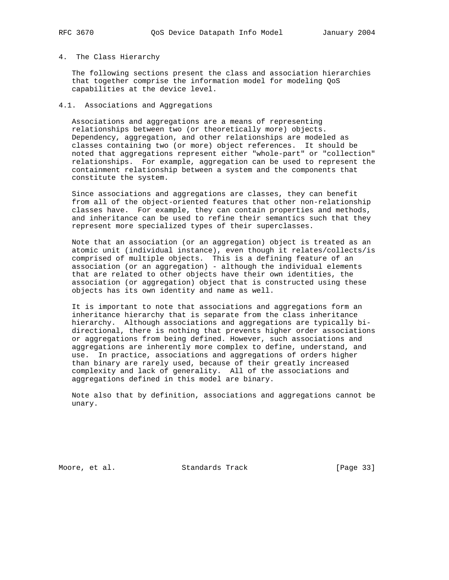#### 4. The Class Hierarchy

 The following sections present the class and association hierarchies that together comprise the information model for modeling QoS capabilities at the device level.

#### 4.1. Associations and Aggregations

 Associations and aggregations are a means of representing relationships between two (or theoretically more) objects. Dependency, aggregation, and other relationships are modeled as classes containing two (or more) object references. It should be noted that aggregations represent either "whole-part" or "collection" relationships. For example, aggregation can be used to represent the containment relationship between a system and the components that constitute the system.

 Since associations and aggregations are classes, they can benefit from all of the object-oriented features that other non-relationship classes have. For example, they can contain properties and methods, and inheritance can be used to refine their semantics such that they represent more specialized types of their superclasses.

 Note that an association (or an aggregation) object is treated as an atomic unit (individual instance), even though it relates/collects/is comprised of multiple objects. This is a defining feature of an association (or an aggregation) - although the individual elements that are related to other objects have their own identities, the association (or aggregation) object that is constructed using these objects has its own identity and name as well.

 It is important to note that associations and aggregations form an inheritance hierarchy that is separate from the class inheritance hierarchy. Although associations and aggregations are typically bi directional, there is nothing that prevents higher order associations or aggregations from being defined. However, such associations and aggregations are inherently more complex to define, understand, and use. In practice, associations and aggregations of orders higher than binary are rarely used, because of their greatly increased complexity and lack of generality. All of the associations and aggregations defined in this model are binary.

 Note also that by definition, associations and aggregations cannot be unary.

Moore, et al. Standards Track [Page 33]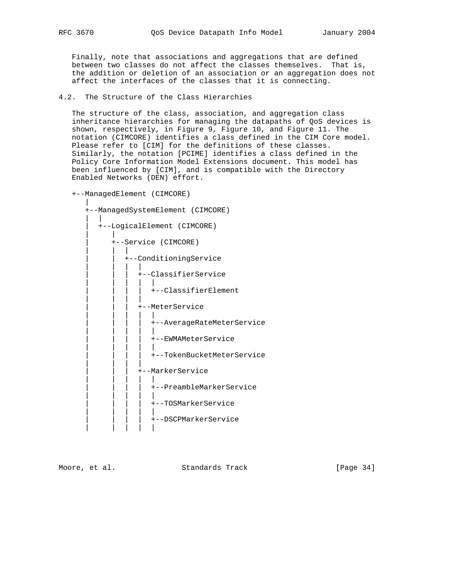Finally, note that associations and aggregations that are defined between two classes do not affect the classes themselves. That is, the addition or deletion of an association or an aggregation does not affect the interfaces of the classes that it is connecting.

4.2. The Structure of the Class Hierarchies

 The structure of the class, association, and aggregation class inheritance hierarchies for managing the datapaths of QoS devices is shown, respectively, in Figure 9, Figure 10, and Figure 11. The notation (CIMCORE) identifies a class defined in the CIM Core model. Please refer to [CIM] for the definitions of these classes. Similarly, the notation [PCIME] identifies a class defined in the Policy Core Information Model Extensions document. This model has been influenced by [CIM], and is compatible with the Directory Enabled Networks (DEN) effort.

+--ManagedElement (CIMCORE)

```
 |
      +--ManagedSystemElement (CIMCORE)
| | | | |
         | +--LogicalElement (CIMCORE)
 | |
            | +--Service (CIMCORE)
| | | | | | |
               | | +--ConditioningService
 | | | |
                 | | | +--ClassifierService
 | | | | |
                    | | | | +--ClassifierElement
 | | | |
                 | | | +--MeterService
 | | | | |
                    | | | | +--AverageRateMeterService
 | | | | |
                    | | | | +--EWMAMeterService
 | | | | |
                    | | | | +--TokenBucketMeterService
 | | | |
                 | | | +--MarkerService
 | | | | |
                    | | | | +--PreambleMarkerService
 | | | | |
                    | | | | +--TOSMarkerService
 | | | | |
                    | | | | +--DSCPMarkerService
 | | | | |
```
Moore, et al. Standards Track [Page 34]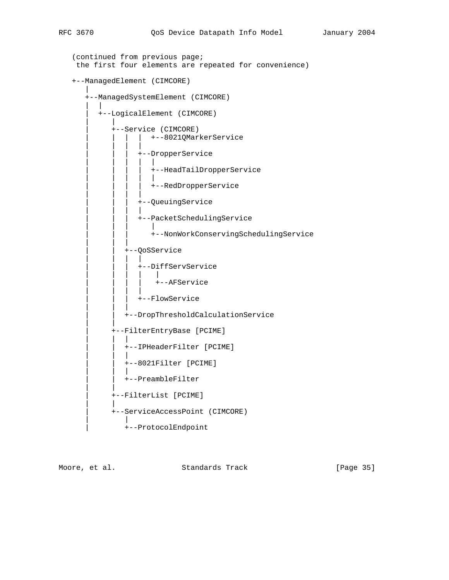```
 (continued from previous page;
    the first four elements are repeated for convenience)
   +--ManagedElement (CIMCORE)
 |
      +--ManagedSystemElement (CIMCORE)
        \blacksquare | +--LogicalElement (CIMCORE)
 | |
            | +--Service (CIMCORE)
                    | | | | +--8021QMarkerService
 | | | |
                 | | | +--DropperService
 | | | | |
                     | | | | +--HeadTailDropperService
 | | | | |
                    | | | | +--RedDropperService
 | | | |
                  | | | +--QueuingService
 | | | |
                  | | | +--PacketSchedulingService
| | | | | | | | | |
                     | | | +--NonWorkConservingSchedulingService
| | | | | |
               | | +--QoSService
 | | | |
                  | | | +--DiffServService
 | | | | |
                      | | | | +--AFService
 | | | |
                 | | | +--FlowService
| | | | | | |
               | | +--DropThresholdCalculationService
 | |
            | +--FilterEntryBase [PCIME]
| | | | | |
               | | +--IPHeaderFilter [PCIME]
| | | | | | |
               | | +--8021Filter [PCIME]
| | | | | | |
               | | +--PreambleFilter
 | |
```
 | | | +--ServiceAccessPoint (CIMCORE) | | | +--ProtocolEndpoint

| +--FilterList [PCIME]

Moore, et al. Standards Track [Page 35]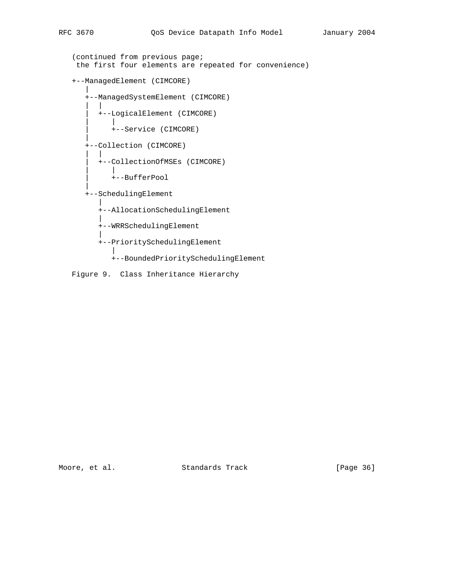```
 (continued from previous page;
    the first four elements are repeated for convenience)
   +--ManagedElement (CIMCORE)
 |
      +--ManagedSystemElement (CIMCORE)
       \blacksquare | +--LogicalElement (CIMCORE)
 | |
         | +--Service (CIMCORE)
 |
      +--Collection (CIMCORE)
| | | | |
        | +--CollectionOfMSEs (CIMCORE)
 | |
         | +--BufferPool
 |
      +--SchedulingElement
 |
         +--AllocationSchedulingElement
 |
         +--WRRSchedulingElement
 |
         +--PrioritySchedulingElement
 |
           +--BoundedPrioritySchedulingElement
```

```
 Figure 9. Class Inheritance Hierarchy
```
Moore, et al. Standards Track [Page 36]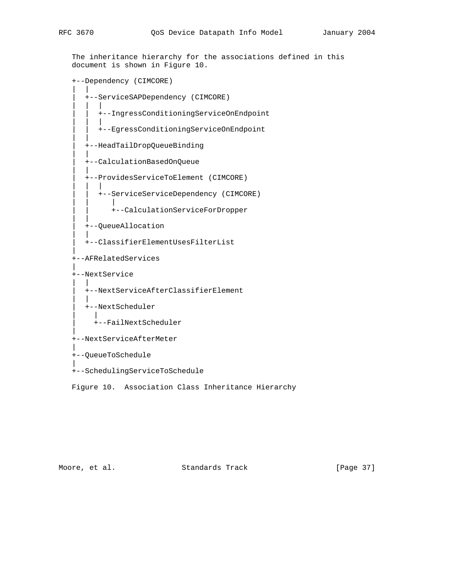The inheritance hierarchy for the associations defined in this document is shown in Figure 10.

+--Dependency (CIMCORE)

| | | | +--ServiceSAPDependency (CIMCORE)  $\blacksquare$  | | +--IngressConditioningServiceOnEndpoint | | | | | +--EgressConditioningServiceOnEndpoint | | | | +--HeadTailDropQueueBinding | | | | +--CalculationBasedOnQueue | | | | +--ProvidesServiceToElement (CIMCORE) | | | | | +--ServiceServiceDependency (CIMCORE) | | | | | +--CalculationServiceForDropper | | | | +--QueueAllocation | | | | +--ClassifierElementUsesFilterList || || || +--AFRelatedServices || +--NextService | | | | +--NextServiceAfterClassifierElement | | | | +--NextScheduler | | | +--FailNextScheduler || || || +--NextServiceAfterMeter || || || +--QueueToSchedule || +--SchedulingServiceToSchedule Figure 10. Association Class Inheritance Hierarchy

Moore, et al. Standards Track [Page 37]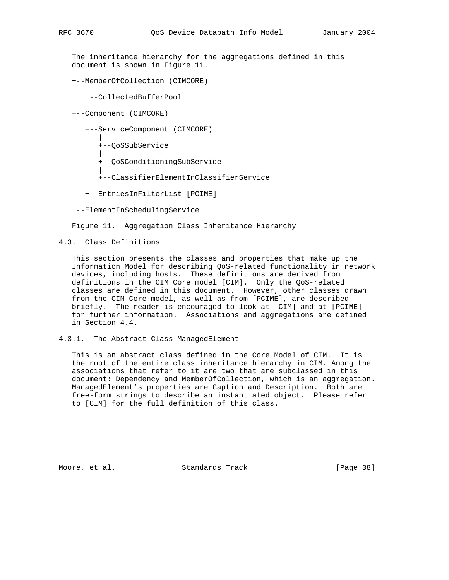The inheritance hierarchy for the aggregations defined in this document is shown in Figure 11.

 +--MemberOfCollection (CIMCORE) | | | | +--CollectedBufferPool || || || +--Component (CIMCORE) | | | | +--ServiceComponent (CIMCORE) | | | | | +--QoSSubService | | | | | +--QoSConditioningSubService | | | | | +--ClassifierElementInClassifierService | | | | +--EntriesInFilterList [PCIME] || || || +--ElementInSchedulingService

Figure 11. Aggregation Class Inheritance Hierarchy

# 4.3. Class Definitions

 This section presents the classes and properties that make up the Information Model for describing QoS-related functionality in network devices, including hosts. These definitions are derived from definitions in the CIM Core model [CIM]. Only the QoS-related classes are defined in this document. However, other classes drawn from the CIM Core model, as well as from [PCIME], are described briefly. The reader is encouraged to look at [CIM] and at [PCIME] for further information. Associations and aggregations are defined in Section 4.4.

4.3.1. The Abstract Class ManagedElement

 This is an abstract class defined in the Core Model of CIM. It is the root of the entire class inheritance hierarchy in CIM. Among the associations that refer to it are two that are subclassed in this document: Dependency and MemberOfCollection, which is an aggregation. ManagedElement's properties are Caption and Description. Both are free-form strings to describe an instantiated object. Please refer to [CIM] for the full definition of this class.

Moore, et al. Standards Track [Page 38]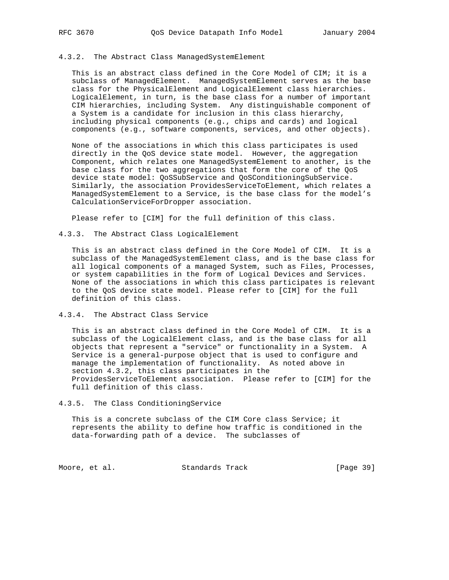### 4.3.2. The Abstract Class ManagedSystemElement

 This is an abstract class defined in the Core Model of CIM; it is a subclass of ManagedElement. ManagedSystemElement serves as the base class for the PhysicalElement and LogicalElement class hierarchies. LogicalElement, in turn, is the base class for a number of important CIM hierarchies, including System. Any distinguishable component of a System is a candidate for inclusion in this class hierarchy, including physical components (e.g., chips and cards) and logical components (e.g., software components, services, and other objects).

 None of the associations in which this class participates is used directly in the QoS device state model. However, the aggregation Component, which relates one ManagedSystemElement to another, is the base class for the two aggregations that form the core of the QoS device state model: QoSSubService and QoSConditioningSubService. Similarly, the association ProvidesServiceToElement, which relates a ManagedSystemElement to a Service, is the base class for the model's CalculationServiceForDropper association.

Please refer to [CIM] for the full definition of this class.

# 4.3.3. The Abstract Class LogicalElement

 This is an abstract class defined in the Core Model of CIM. It is a subclass of the ManagedSystemElement class, and is the base class for all logical components of a managed System, such as Files, Processes, or system capabilities in the form of Logical Devices and Services. None of the associations in which this class participates is relevant to the QoS device state model. Please refer to [CIM] for the full definition of this class.

## 4.3.4. The Abstract Class Service

 This is an abstract class defined in the Core Model of CIM. It is a subclass of the LogicalElement class, and is the base class for all objects that represent a "service" or functionality in a System. A Service is a general-purpose object that is used to configure and manage the implementation of functionality. As noted above in section 4.3.2, this class participates in the ProvidesServiceToElement association. Please refer to [CIM] for the full definition of this class.

#### 4.3.5. The Class ConditioningService

 This is a concrete subclass of the CIM Core class Service; it represents the ability to define how traffic is conditioned in the data-forwarding path of a device. The subclasses of

Moore, et al. Standards Track [Page 39]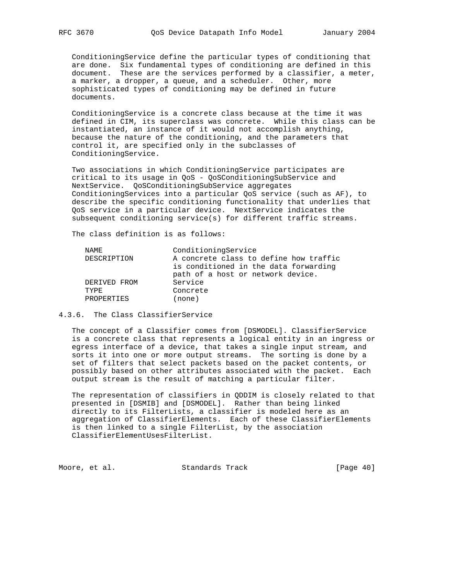ConditioningService define the particular types of conditioning that are done. Six fundamental types of conditioning are defined in this document. These are the services performed by a classifier, a meter, a marker, a dropper, a queue, and a scheduler. Other, more sophisticated types of conditioning may be defined in future documents.

 ConditioningService is a concrete class because at the time it was defined in CIM, its superclass was concrete. While this class can be instantiated, an instance of it would not accomplish anything, because the nature of the conditioning, and the parameters that control it, are specified only in the subclasses of ConditioningService.

 Two associations in which ConditioningService participates are critical to its usage in QoS - QoSConditioningSubService and NextService. QoSConditioningSubService aggregates ConditioningServices into a particular QoS service (such as AF), to describe the specific conditioning functionality that underlies that QoS service in a particular device. NextService indicates the subsequent conditioning service(s) for different traffic streams.

The class definition is as follows:

| NAMF.        | ConditioningService                                                                                                  |
|--------------|----------------------------------------------------------------------------------------------------------------------|
| DESCRIPTION  | A concrete class to define how traffic<br>is conditioned in the data forwarding<br>path of a host or network device. |
| DERIVED FROM | Service                                                                                                              |
| TYPF.        | Concrete                                                                                                             |
| PROPERTIES   | none)                                                                                                                |

## 4.3.6. The Class ClassifierService

 The concept of a Classifier comes from [DSMODEL]. ClassifierService is a concrete class that represents a logical entity in an ingress or egress interface of a device, that takes a single input stream, and sorts it into one or more output streams. The sorting is done by a set of filters that select packets based on the packet contents, or possibly based on other attributes associated with the packet. Each output stream is the result of matching a particular filter.

 The representation of classifiers in QDDIM is closely related to that presented in [DSMIB] and [DSMODEL]. Rather than being linked directly to its FilterLists, a classifier is modeled here as an aggregation of ClassifierElements. Each of these ClassifierElements is then linked to a single FilterList, by the association ClassifierElementUsesFilterList.

Moore, et al. Standards Track [Page 40]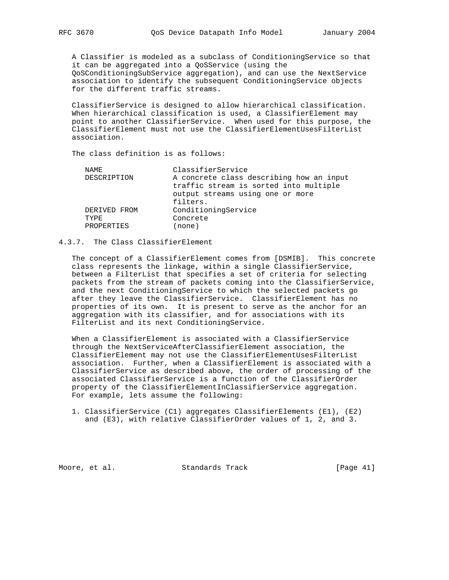A Classifier is modeled as a subclass of ConditioningService so that it can be aggregated into a QoSService (using the QoSConditioningSubService aggregation), and can use the NextService association to identify the subsequent ConditioningService objects for the different traffic streams.

 ClassifierService is designed to allow hierarchical classification. When hierarchical classification is used, a ClassifierElement may point to another ClassifierService. When used for this purpose, the ClassifierElement must not use the ClassifierElementUsesFilterList association.

The class definition is as follows:

| NAME.        | ClassifierService                        |
|--------------|------------------------------------------|
| DESCRIPTION  | A concrete class describing how an input |
|              | traffic stream is sorted into multiple   |
|              | output streams using one or more         |
|              | filters.                                 |
| DERIVED FROM | ConditioningService                      |
| TYPF.        | Concrete                                 |
| PROPERTIES   | (none)                                   |
|              |                                          |

## 4.3.7. The Class ClassifierElement

 The concept of a ClassifierElement comes from [DSMIB]. This concrete class represents the linkage, within a single ClassifierService, between a FilterList that specifies a set of criteria for selecting packets from the stream of packets coming into the ClassifierService, and the next ConditioningService to which the selected packets go after they leave the ClassifierService. ClassifierElement has no properties of its own. It is present to serve as the anchor for an aggregation with its classifier, and for associations with its FilterList and its next ConditioningService.

 When a ClassifierElement is associated with a ClassifierService through the NextServiceAfterClassifierElement association, the ClassifierElement may not use the ClassifierElementUsesFilterList association. Further, when a ClassifierElement is associated with a ClassifierService as described above, the order of processing of the associated ClassifierService is a function of the ClassifierOrder property of the ClassifierElementInClassifierService aggregation. For example, lets assume the following:

 1. ClassifierService (C1) aggregates ClassifierElements (E1), (E2) and (E3), with relative ClassifierOrder values of 1, 2, and 3.

Moore, et al. Standards Track [Page 41]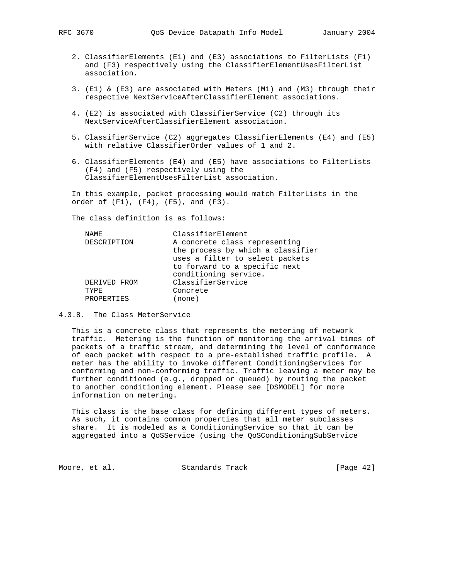- 2. ClassifierElements (E1) and (E3) associations to FilterLists (F1) and (F3) respectively using the ClassifierElementUsesFilterList association.
- 3. (E1) & (E3) are associated with Meters (M1) and (M3) through their respective NextServiceAfterClassifierElement associations.
- 4. (E2) is associated with ClassifierService (C2) through its NextServiceAfterClassifierElement association.
- 5. ClassifierService (C2) aggregates ClassifierElements (E4) and (E5) with relative ClassifierOrder values of 1 and 2.
- 6. ClassifierElements (E4) and (E5) have associations to FilterLists (F4) and (F5) respectively using the ClassifierElementUsesFilterList association.

 In this example, packet processing would match FilterLists in the order of (F1), (F4), (F5), and (F3).

The class definition is as follows:

| NAME         | ClassifierElement                 |
|--------------|-----------------------------------|
| DESCRIPTION  | A concrete class representing     |
|              | the process by which a classifier |
|              | uses a filter to select packets   |
|              | to forward to a specific next     |
|              | conditioning service.             |
| DERIVED FROM | ClassifierService                 |
| TYPF.        | Concrete                          |
| PROPERTIES   | (none)                            |

## 4.3.8. The Class MeterService

 This is a concrete class that represents the metering of network traffic. Metering is the function of monitoring the arrival times of packets of a traffic stream, and determining the level of conformance of each packet with respect to a pre-established traffic profile. A meter has the ability to invoke different ConditioningServices for conforming and non-conforming traffic. Traffic leaving a meter may be further conditioned (e.g., dropped or queued) by routing the packet to another conditioning element. Please see [DSMODEL] for more information on metering.

 This class is the base class for defining different types of meters. As such, it contains common properties that all meter subclasses share. It is modeled as a ConditioningService so that it can be aggregated into a QoSService (using the QoSConditioningSubService

Moore, et al. Standards Track [Page 42]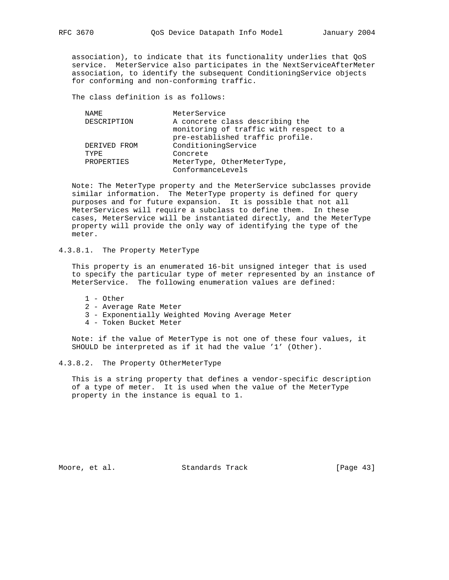association), to indicate that its functionality underlies that QoS service. MeterService also participates in the NextServiceAfterMeter association, to identify the subsequent ConditioningService objects for conforming and non-conforming traffic.

The class definition is as follows:

| NAME.                 | MeterService                                                                                                   |
|-----------------------|----------------------------------------------------------------------------------------------------------------|
| DESCRIPTION           | A concrete class describing the<br>monitoring of traffic with respect to a<br>pre-established traffic profile. |
| DERIVED FROM<br>TYPE. | ConditioningService<br>Concrete                                                                                |
| PROPERTIES            | MeterType, OtherMeterType,<br>ConformanceLevels                                                                |
|                       |                                                                                                                |

 Note: The MeterType property and the MeterService subclasses provide similar information. The MeterType property is defined for query purposes and for future expansion. It is possible that not all MeterServices will require a subclass to define them. In these cases, MeterService will be instantiated directly, and the MeterType property will provide the only way of identifying the type of the meter.

# 4.3.8.1. The Property MeterType

 This property is an enumerated 16-bit unsigned integer that is used to specify the particular type of meter represented by an instance of MeterService. The following enumeration values are defined:

- 1 Other
- 2 Average Rate Meter
- 3 Exponentially Weighted Moving Average Meter
- 4 Token Bucket Meter

 Note: if the value of MeterType is not one of these four values, it SHOULD be interpreted as if it had the value '1' (Other).

4.3.8.2. The Property OtherMeterType

 This is a string property that defines a vendor-specific description of a type of meter. It is used when the value of the MeterType property in the instance is equal to 1.

Moore, et al. Standards Track [Page 43]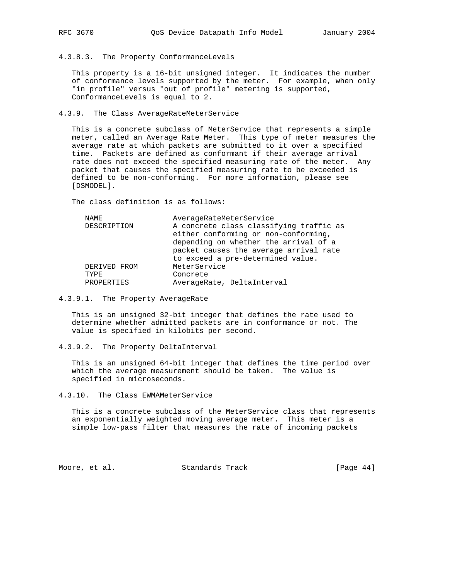4.3.8.3. The Property ConformanceLevels

 This property is a 16-bit unsigned integer. It indicates the number of conformance levels supported by the meter. For example, when only "in profile" versus "out of profile" metering is supported, ConformanceLevels is equal to 2.

## 4.3.9. The Class AverageRateMeterService

 This is a concrete subclass of MeterService that represents a simple meter, called an Average Rate Meter. This type of meter measures the average rate at which packets are submitted to it over a specified time. Packets are defined as conformant if their average arrival rate does not exceed the specified measuring rate of the meter. Any packet that causes the specified measuring rate to be exceeded is defined to be non-conforming. For more information, please see [DSMODEL].

The class definition is as follows:

| NAME         | AverageRateMeterService                                                                                              |
|--------------|----------------------------------------------------------------------------------------------------------------------|
| DESCRIPTION  | A concrete class classifying traffic as<br>either conforming or non-conforming,                                      |
|              | depending on whether the arrival of a<br>packet causes the average arrival rate<br>to exceed a pre-determined value. |
| DERIVED FROM | MeterService                                                                                                         |
| TYPE.        | Concrete                                                                                                             |
| PROPERTIES   | AverageRate, DeltaInterval                                                                                           |

#### 4.3.9.1. The Property AverageRate

 This is an unsigned 32-bit integer that defines the rate used to determine whether admitted packets are in conformance or not. The value is specified in kilobits per second.

4.3.9.2. The Property DeltaInterval

 This is an unsigned 64-bit integer that defines the time period over which the average measurement should be taken. The value is specified in microseconds.

4.3.10. The Class EWMAMeterService

 This is a concrete subclass of the MeterService class that represents an exponentially weighted moving average meter. This meter is a simple low-pass filter that measures the rate of incoming packets

Moore, et al. Standards Track [Page 44]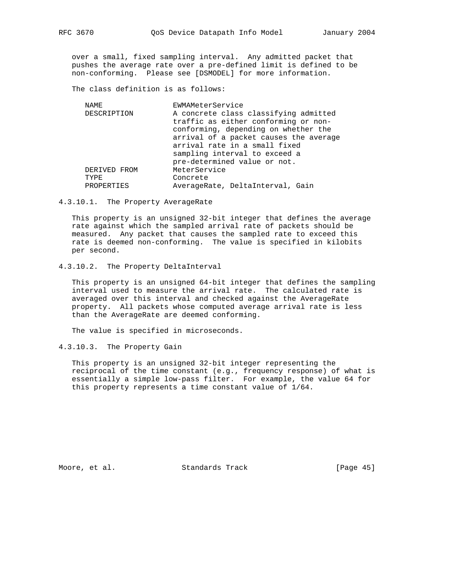over a small, fixed sampling interval. Any admitted packet that pushes the average rate over a pre-defined limit is defined to be non-conforming. Please see [DSMODEL] for more information.

The class definition is as follows:

| NAME               | EWMAMeterService                       |
|--------------------|----------------------------------------|
| <b>DESCRIPTION</b> | A concrete class classifying admitted  |
|                    | traffic as either conforming or non-   |
|                    | conforming, depending on whether the   |
|                    | arrival of a packet causes the average |
|                    | arrival rate in a small fixed          |
|                    | sampling interval to exceed a          |
|                    | pre-determined value or not.           |
| DERIVED FROM       | MeterService                           |
| TYPE               | Concrete                               |
| PROPERTIES         | AverageRate, DeltaInterval, Gain       |

4.3.10.1. The Property AverageRate

 This property is an unsigned 32-bit integer that defines the average rate against which the sampled arrival rate of packets should be measured. Any packet that causes the sampled rate to exceed this rate is deemed non-conforming. The value is specified in kilobits per second.

4.3.10.2. The Property DeltaInterval

 This property is an unsigned 64-bit integer that defines the sampling interval used to measure the arrival rate. The calculated rate is averaged over this interval and checked against the AverageRate property. All packets whose computed average arrival rate is less than the AverageRate are deemed conforming.

The value is specified in microseconds.

4.3.10.3. The Property Gain

 This property is an unsigned 32-bit integer representing the reciprocal of the time constant (e.g., frequency response) of what is essentially a simple low-pass filter. For example, the value 64 for this property represents a time constant value of 1/64.

Moore, et al. Standards Track [Page 45]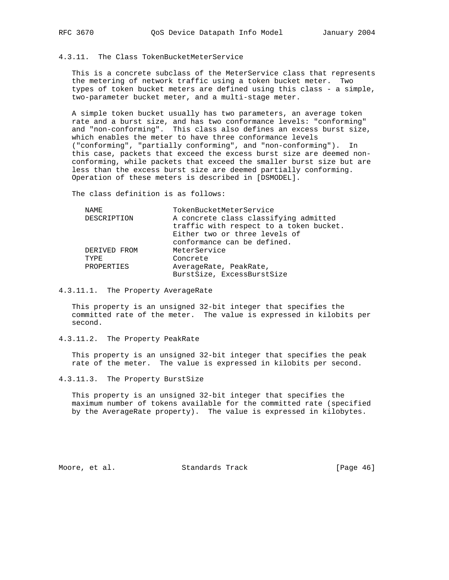# 4.3.11. The Class TokenBucketMeterService

 This is a concrete subclass of the MeterService class that represents the metering of network traffic using a token bucket meter. Two types of token bucket meters are defined using this class - a simple, two-parameter bucket meter, and a multi-stage meter.

 A simple token bucket usually has two parameters, an average token rate and a burst size, and has two conformance levels: "conforming" and "non-conforming". This class also defines an excess burst size, which enables the meter to have three conformance levels ("conforming", "partially conforming", and "non-conforming"). In this case, packets that exceed the excess burst size are deemed non conforming, while packets that exceed the smaller burst size but are less than the excess burst size are deemed partially conforming. Operation of these meters is described in [DSMODEL].

The class definition is as follows:

| NAME         | TokenBucketMeterService                                                          |
|--------------|----------------------------------------------------------------------------------|
| DESCRIPTION  | A concrete class classifying admitted<br>traffic with respect to a token bucket. |
|              | Either two or three levels of                                                    |
|              | conformance can be defined.                                                      |
| DERIVED FROM | MeterService                                                                     |
| TYPE.        | Concrete                                                                         |
| PROPERTIES   | AverageRate, PeakRate,<br>BurstSize, ExcessBurstSize                             |

# 4.3.11.1. The Property AverageRate

 This property is an unsigned 32-bit integer that specifies the committed rate of the meter. The value is expressed in kilobits per second.

## 4.3.11.2. The Property PeakRate

 This property is an unsigned 32-bit integer that specifies the peak rate of the meter. The value is expressed in kilobits per second.

## 4.3.11.3. The Property BurstSize

 This property is an unsigned 32-bit integer that specifies the maximum number of tokens available for the committed rate (specified by the AverageRate property). The value is expressed in kilobytes.

Moore, et al. Standards Track [Page 46]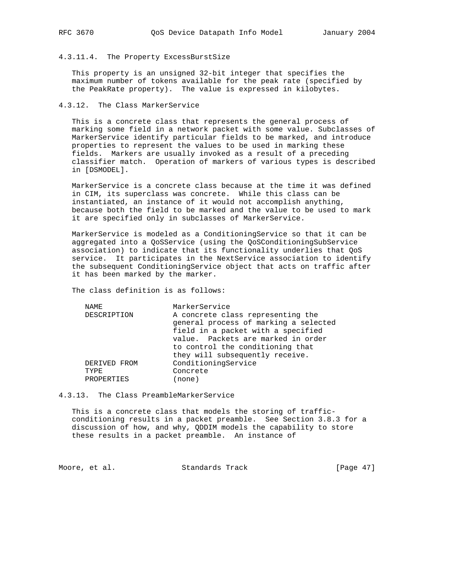### 4.3.11.4. The Property ExcessBurstSize

 This property is an unsigned 32-bit integer that specifies the maximum number of tokens available for the peak rate (specified by the PeakRate property). The value is expressed in kilobytes.

# 4.3.12. The Class MarkerService

 This is a concrete class that represents the general process of marking some field in a network packet with some value. Subclasses of MarkerService identify particular fields to be marked, and introduce properties to represent the values to be used in marking these fields. Markers are usually invoked as a result of a preceding classifier match. Operation of markers of various types is described in [DSMODEL].

 MarkerService is a concrete class because at the time it was defined in CIM, its superclass was concrete. While this class can be instantiated, an instance of it would not accomplish anything, because both the field to be marked and the value to be used to mark it are specified only in subclasses of MarkerService.

 MarkerService is modeled as a ConditioningService so that it can be aggregated into a QoSService (using the QoSConditioningSubService association) to indicate that its functionality underlies that QoS service. It participates in the NextService association to identify the subsequent ConditioningService object that acts on traffic after it has been marked by the marker.

The class definition is as follows:

| NAME         | MarkerService                                                                                                                                                                              |
|--------------|--------------------------------------------------------------------------------------------------------------------------------------------------------------------------------------------|
| DESCRIPTION  | A concrete class representing the<br>general process of marking a selected<br>field in a packet with a specified<br>value. Packets are marked in order<br>to control the conditioning that |
|              | they will subsequently receive.                                                                                                                                                            |
| DERIVED FROM | ConditioningService                                                                                                                                                                        |
| TYPE.        | Concrete                                                                                                                                                                                   |
| PROPERTIES   | none)                                                                                                                                                                                      |

4.3.13. The Class PreambleMarkerService

 This is a concrete class that models the storing of traffic conditioning results in a packet preamble. See Section 3.8.3 for a discussion of how, and why, QDDIM models the capability to store these results in a packet preamble. An instance of

Moore, et al. Standards Track [Page 47]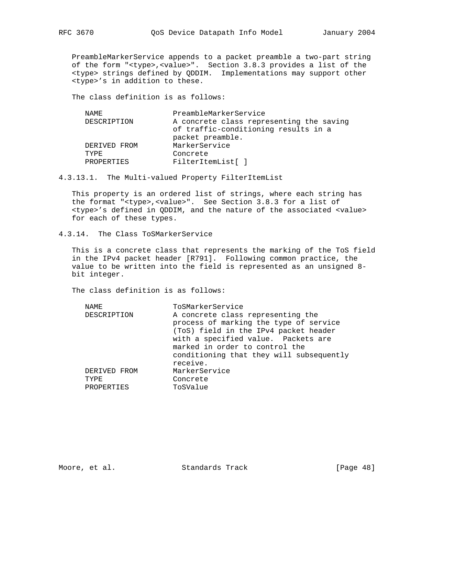PreambleMarkerService appends to a packet preamble a two-part string of the form "<type>,<value>". Section 3.8.3 provides a list of the <type> strings defined by QDDIM. Implementations may support other <type>'s in addition to these.

The class definition is as follows:

| NAMF.        | PreambleMarkerService                                                                                |
|--------------|------------------------------------------------------------------------------------------------------|
| DESCRIPTION  | A concrete class representing the saving<br>of traffic-conditioning results in a<br>packet preamble. |
| DERIVED FROM | MarkerService                                                                                        |
| TYPR.        | Concrete                                                                                             |
| PROPERTIES   | FilterItemList[ ]                                                                                    |

4.3.13.1. The Multi-valued Property FilterItemList

 This property is an ordered list of strings, where each string has the format "<type>,<value>". See Section 3.8.3 for a list of <type>'s defined in QDDIM, and the nature of the associated <value> for each of these types.

4.3.14. The Class ToSMarkerService

 This is a concrete class that represents the marking of the ToS field in the IPv4 packet header [R791]. Following common practice, the value to be written into the field is represented as an unsigned 8 bit integer.

The class definition is as follows:

| NAME         | ToSMarkerService                         |
|--------------|------------------------------------------|
| DESCRIPTION  | A concrete class representing the        |
|              | process of marking the type of service   |
|              | (ToS) field in the IPv4 packet header    |
|              | with a specified value. Packets are      |
|              | marked in order to control the           |
|              | conditioning that they will subsequently |
|              | receive.                                 |
| DERIVED FROM | MarkerService                            |
| TYPE         | Concrete                                 |
| PROPERTIES   | ToSValue                                 |
|              |                                          |

Moore, et al. Standards Track [Page 48]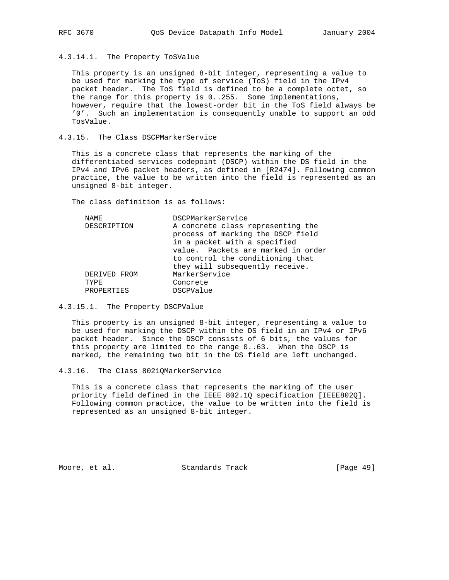# 4.3.14.1. The Property ToSValue

 This property is an unsigned 8-bit integer, representing a value to be used for marking the type of service (ToS) field in the IPv4 packet header. The ToS field is defined to be a complete octet, so the range for this property is 0..255. Some implementations, however, require that the lowest-order bit in the ToS field always be '0'. Such an implementation is consequently unable to support an odd TosValue.

4.3.15. The Class DSCPMarkerService

 This is a concrete class that represents the marking of the differentiated services codepoint (DSCP) within the DS field in the IPv4 and IPv6 packet headers, as defined in [R2474]. Following common practice, the value to be written into the field is represented as an unsigned 8-bit integer.

The class definition is as follows:

| A concrete class representing the  |
|------------------------------------|
| process of marking the DSCP field  |
|                                    |
| value. Packets are marked in order |
|                                    |
|                                    |
|                                    |
|                                    |
|                                    |
|                                    |

4.3.15.1. The Property DSCPValue

 This property is an unsigned 8-bit integer, representing a value to be used for marking the DSCP within the DS field in an IPv4 or IPv6 packet header. Since the DSCP consists of 6 bits, the values for this property are limited to the range 0..63. When the DSCP is marked, the remaining two bit in the DS field are left unchanged.

4.3.16. The Class 8021QMarkerService

 This is a concrete class that represents the marking of the user priority field defined in the IEEE 802.1Q specification [IEEE802Q]. Following common practice, the value to be written into the field is represented as an unsigned 8-bit integer.

Moore, et al. Standards Track [Page 49]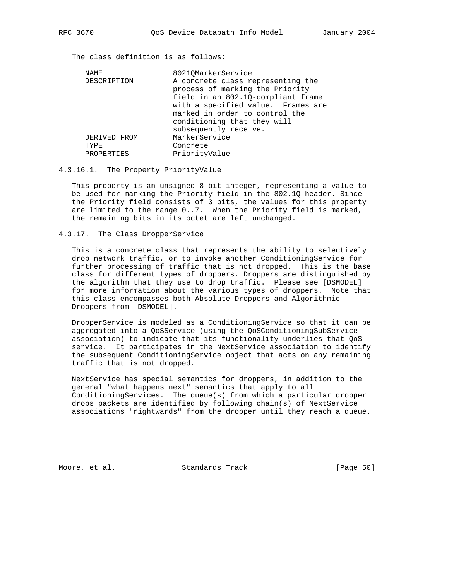| NAME               | 80210MarkerService                 |
|--------------------|------------------------------------|
| <b>DESCRIPTION</b> | A concrete class representing the  |
|                    | process of marking the Priority    |
|                    | field in an 802.1Q-compliant frame |
|                    | with a specified value. Frames are |
|                    | marked in order to control the     |
|                    | conditioning that they will        |
|                    | subsequently receive.              |
| DERIVED FROM       | MarkerService                      |
| TYPE               | Concrete                           |
| PROPERTIES         | PriorityValue                      |

4.3.16.1. The Property PriorityValue

 This property is an unsigned 8-bit integer, representing a value to be used for marking the Priority field in the 802.1Q header. Since the Priority field consists of 3 bits, the values for this property are limited to the range 0..7. When the Priority field is marked, the remaining bits in its octet are left unchanged.

## 4.3.17. The Class DropperService

 This is a concrete class that represents the ability to selectively drop network traffic, or to invoke another ConditioningService for further processing of traffic that is not dropped. This is the base class for different types of droppers. Droppers are distinguished by the algorithm that they use to drop traffic. Please see [DSMODEL] for more information about the various types of droppers. Note that this class encompasses both Absolute Droppers and Algorithmic Droppers from [DSMODEL].

 DropperService is modeled as a ConditioningService so that it can be aggregated into a QoSService (using the QoSConditioningSubService association) to indicate that its functionality underlies that QoS service. It participates in the NextService association to identify the subsequent ConditioningService object that acts on any remaining traffic that is not dropped.

 NextService has special semantics for droppers, in addition to the general "what happens next" semantics that apply to all ConditioningServices. The queue(s) from which a particular dropper drops packets are identified by following chain(s) of NextService associations "rightwards" from the dropper until they reach a queue.

Moore, et al. Standards Track [Page 50]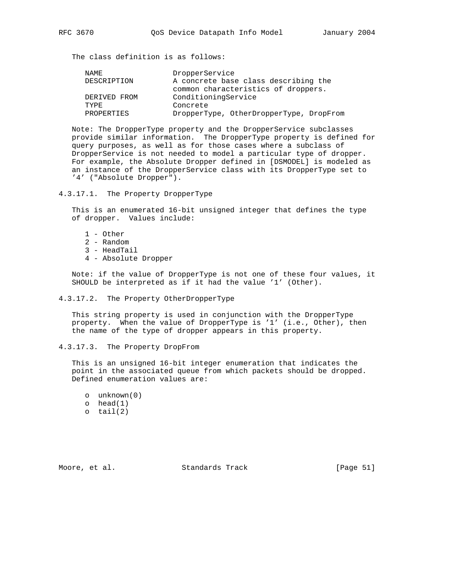| NAMF.        | DropperService                          |
|--------------|-----------------------------------------|
| DESCRIPTION  | A concrete base class describing the    |
|              | common characteristics of droppers.     |
| DERIVED FROM | ConditioningService                     |
| TYPF.        | Concrete                                |
| PROPERTIES   | DropperType, OtherDropperType, DropFrom |

 Note: The DropperType property and the DropperService subclasses provide similar information. The DropperType property is defined for query purposes, as well as for those cases where a subclass of DropperService is not needed to model a particular type of dropper. For example, the Absolute Dropper defined in [DSMODEL] is modeled as an instance of the DropperService class with its DropperType set to '4' ("Absolute Dropper").

4.3.17.1. The Property DropperType

 This is an enumerated 16-bit unsigned integer that defines the type of dropper. Values include:

- 1 Other
- 2 Random
- 3 HeadTail
- 4 Absolute Dropper

 Note: if the value of DropperType is not one of these four values, it SHOULD be interpreted as if it had the value '1' (Other).

# 4.3.17.2. The Property OtherDropperType

 This string property is used in conjunction with the DropperType property. When the value of DropperType is '1' (i.e., Other), then the name of the type of dropper appears in this property.

# 4.3.17.3. The Property DropFrom

 This is an unsigned 16-bit integer enumeration that indicates the point in the associated queue from which packets should be dropped. Defined enumeration values are:

 o unknown(0) o head(1) o tail(2)

Moore, et al. Standards Track [Page 51]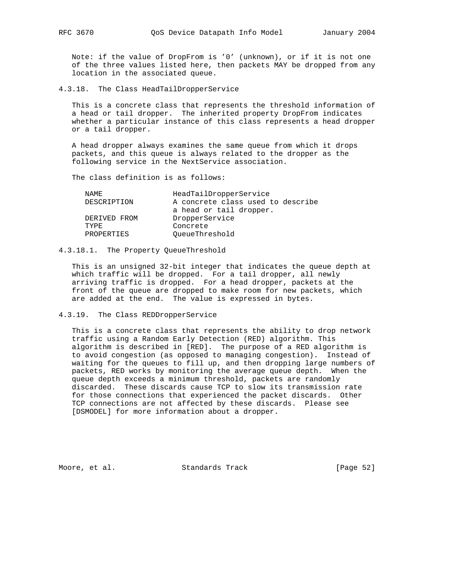Note: if the value of DropFrom is '0' (unknown), or if it is not one of the three values listed here, then packets MAY be dropped from any location in the associated queue.

4.3.18. The Class HeadTailDropperService

 This is a concrete class that represents the threshold information of a head or tail dropper. The inherited property DropFrom indicates whether a particular instance of this class represents a head dropper or a tail dropper.

 A head dropper always examines the same queue from which it drops packets, and this queue is always related to the dropper as the following service in the NextService association.

The class definition is as follows:

| NAME         | HeadTailDropperService            |
|--------------|-----------------------------------|
| DESCRIPTION  | A concrete class used to describe |
|              | a head or tail dropper.           |
| DERIVED FROM | DropperService                    |
| TYPF.        | Concrete                          |
| PROPERTIES   | OueueThreshold                    |

## 4.3.18.1. The Property QueueThreshold

 This is an unsigned 32-bit integer that indicates the queue depth at which traffic will be dropped. For a tail dropper, all newly arriving traffic is dropped. For a head dropper, packets at the front of the queue are dropped to make room for new packets, which are added at the end. The value is expressed in bytes.

4.3.19. The Class REDDropperService

 This is a concrete class that represents the ability to drop network traffic using a Random Early Detection (RED) algorithm. This algorithm is described in [RED]. The purpose of a RED algorithm is to avoid congestion (as opposed to managing congestion). Instead of waiting for the queues to fill up, and then dropping large numbers of packets, RED works by monitoring the average queue depth. When the queue depth exceeds a minimum threshold, packets are randomly discarded. These discards cause TCP to slow its transmission rate for those connections that experienced the packet discards. Other TCP connections are not affected by these discards. Please see [DSMODEL] for more information about a dropper.

Moore, et al. Standards Track [Page 52]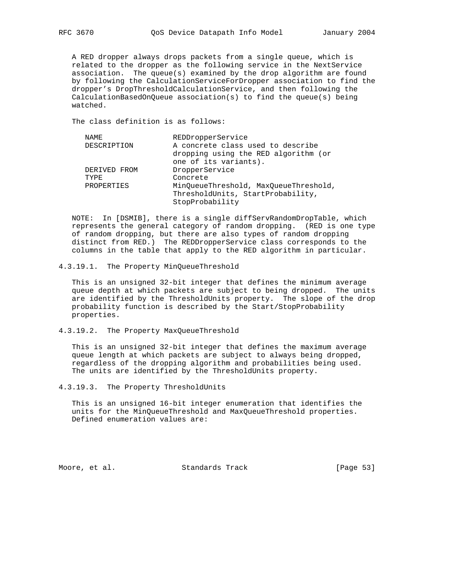A RED dropper always drops packets from a single queue, which is related to the dropper as the following service in the NextService association. The queue(s) examined by the drop algorithm are found by following the CalculationServiceForDropper association to find the dropper's DropThresholdCalculationService, and then following the CalculationBasedOnQueue association(s) to find the queue(s) being watched.

The class definition is as follows:

| NAME                  | REDDropperService                                                                                  |
|-----------------------|----------------------------------------------------------------------------------------------------|
| DESCRIPTION           | A concrete class used to describe<br>dropping using the RED algorithm (or<br>one of its variants). |
| DERIVED FROM<br>TYPF. | DropperService<br>Concrete                                                                         |
| PROPERTIES            | MinQueueThreshold, MaxQueueThreshold,<br>ThresholdUnits, StartProbability,<br>StopProbability      |

 NOTE: In [DSMIB], there is a single diffServRandomDropTable, which represents the general category of random dropping. (RED is one type of random dropping, but there are also types of random dropping distinct from RED.) The REDDropperService class corresponds to the columns in the table that apply to the RED algorithm in particular.

4.3.19.1. The Property MinQueueThreshold

 This is an unsigned 32-bit integer that defines the minimum average queue depth at which packets are subject to being dropped. The units are identified by the ThresholdUnits property. The slope of the drop probability function is described by the Start/StopProbability properties.

4.3.19.2. The Property MaxQueueThreshold

 This is an unsigned 32-bit integer that defines the maximum average queue length at which packets are subject to always being dropped, regardless of the dropping algorithm and probabilities being used. The units are identified by the ThresholdUnits property.

4.3.19.3. The Property ThresholdUnits

 This is an unsigned 16-bit integer enumeration that identifies the units for the MinQueueThreshold and MaxQueueThreshold properties. Defined enumeration values are:

Moore, et al. Standards Track [Page 53]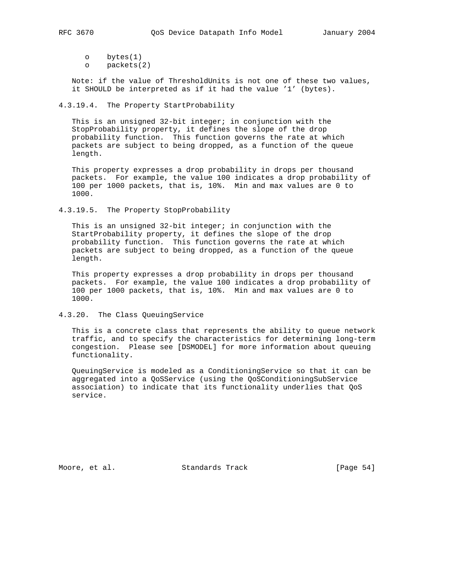o bytes(1) o packets(2)

 Note: if the value of ThresholdUnits is not one of these two values, it SHOULD be interpreted as if it had the value '1' (bytes).

4.3.19.4. The Property StartProbability

 This is an unsigned 32-bit integer; in conjunction with the StopProbability property, it defines the slope of the drop probability function. This function governs the rate at which packets are subject to being dropped, as a function of the queue length.

 This property expresses a drop probability in drops per thousand packets. For example, the value 100 indicates a drop probability of 100 per 1000 packets, that is, 10%. Min and max values are 0 to 1000.

4.3.19.5. The Property StopProbability

 This is an unsigned 32-bit integer; in conjunction with the StartProbability property, it defines the slope of the drop probability function. This function governs the rate at which packets are subject to being dropped, as a function of the queue length.

 This property expresses a drop probability in drops per thousand packets. For example, the value 100 indicates a drop probability of 100 per 1000 packets, that is, 10%. Min and max values are 0 to 1000.

4.3.20. The Class QueuingService

 This is a concrete class that represents the ability to queue network traffic, and to specify the characteristics for determining long-term congestion. Please see [DSMODEL] for more information about queuing functionality.

 QueuingService is modeled as a ConditioningService so that it can be aggregated into a QoSService (using the QoSConditioningSubService association) to indicate that its functionality underlies that QoS service.

Moore, et al. Standards Track [Page 54]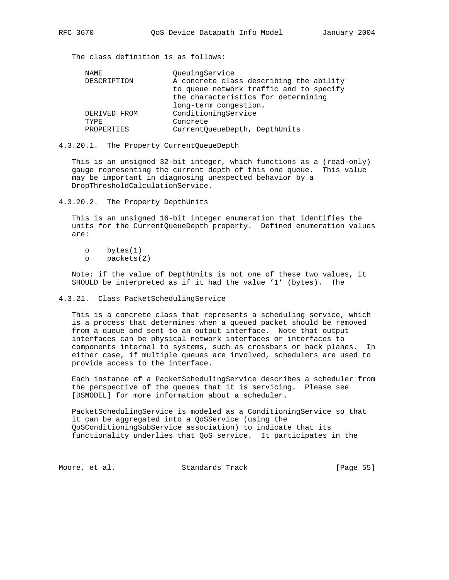| NAME         | OueuingService                          |
|--------------|-----------------------------------------|
| DESCRIPTION  | A concrete class describing the ability |
|              | to queue network traffic and to specify |
|              | the characteristics for determining     |
|              | long-term congestion.                   |
| DERIVED FROM | ConditioningService                     |
| TYPE.        | Concrete                                |
| PROPERTIES   | CurrentQueueDepth, DepthUnits           |
|              |                                         |

4.3.20.1. The Property CurrentQueueDepth

 This is an unsigned 32-bit integer, which functions as a (read-only) gauge representing the current depth of this one queue. This value may be important in diagnosing unexpected behavior by a DropThresholdCalculationService.

4.3.20.2. The Property DepthUnits

 This is an unsigned 16-bit integer enumeration that identifies the units for the CurrentQueueDepth property. Defined enumeration values are:

o bytes(1)

o packets(2)

 Note: if the value of DepthUnits is not one of these two values, it SHOULD be interpreted as if it had the value '1' (bytes). The

# 4.3.21. Class PacketSchedulingService

 This is a concrete class that represents a scheduling service, which is a process that determines when a queued packet should be removed from a queue and sent to an output interface. Note that output interfaces can be physical network interfaces or interfaces to components internal to systems, such as crossbars or back planes. In either case, if multiple queues are involved, schedulers are used to provide access to the interface.

 Each instance of a PacketSchedulingService describes a scheduler from the perspective of the queues that it is servicing. Please see [DSMODEL] for more information about a scheduler.

 PacketSchedulingService is modeled as a ConditioningService so that it can be aggregated into a QoSService (using the QoSConditioningSubService association) to indicate that its functionality underlies that QoS service. It participates in the

Moore, et al. Standards Track [Page 55]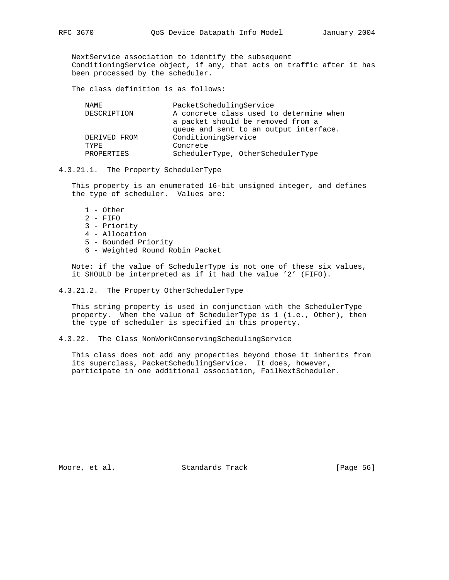NextService association to identify the subsequent ConditioningService object, if any, that acts on traffic after it has been processed by the scheduler.

The class definition is as follows:

| NAME.        | PacketSchedulingService                 |
|--------------|-----------------------------------------|
| DESCRIPTION  | A concrete class used to determine when |
|              | a packet should be removed from a       |
|              | queue and sent to an output interface.  |
| DERIVED FROM | ConditioningService                     |
| TYPE.        | Concrete                                |
| PROPERTIES   | SchedulerType, OtherSchedulerType       |
|              |                                         |

4.3.21.1. The Property SchedulerType

 This property is an enumerated 16-bit unsigned integer, and defines the type of scheduler. Values are:

- 1 Other
- 2 FIFO
- 3 Priority
- 4 Allocation
- 5 Bounded Priority
- 6 Weighted Round Robin Packet

 Note: if the value of SchedulerType is not one of these six values, it SHOULD be interpreted as if it had the value '2' (FIFO).

4.3.21.2. The Property OtherSchedulerType

 This string property is used in conjunction with the SchedulerType property. When the value of SchedulerType is 1 (i.e., Other), then the type of scheduler is specified in this property.

4.3.22. The Class NonWorkConservingSchedulingService

 This class does not add any properties beyond those it inherits from its superclass, PacketSchedulingService. It does, however, participate in one additional association, FailNextScheduler.

Moore, et al. Standards Track [Page 56]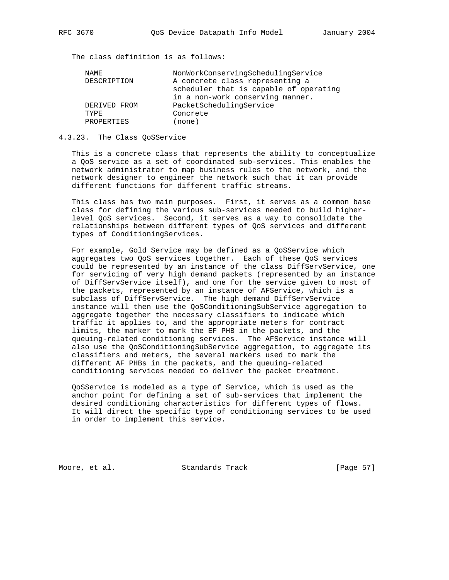| NAME.        | NonWorkConservingSchedulingService     |
|--------------|----------------------------------------|
| DESCRIPTION  | A concrete class representing a        |
|              | scheduler that is capable of operating |
|              | in a non-work conserving manner.       |
| DERIVED FROM | PacketSchedulingService                |
| TYPE.        | Concrete                               |
| PROPERTIES   | (none)                                 |

## 4.3.23. The Class QoSService

 This is a concrete class that represents the ability to conceptualize a QoS service as a set of coordinated sub-services. This enables the network administrator to map business rules to the network, and the network designer to engineer the network such that it can provide different functions for different traffic streams.

 This class has two main purposes. First, it serves as a common base class for defining the various sub-services needed to build higher level QoS services. Second, it serves as a way to consolidate the relationships between different types of QoS services and different types of ConditioningServices.

 For example, Gold Service may be defined as a QoSService which aggregates two QoS services together. Each of these QoS services could be represented by an instance of the class DiffServService, one for servicing of very high demand packets (represented by an instance of DiffServService itself), and one for the service given to most of the packets, represented by an instance of AFService, which is a subclass of DiffServService. The high demand DiffServService instance will then use the QoSConditioningSubService aggregation to aggregate together the necessary classifiers to indicate which traffic it applies to, and the appropriate meters for contract limits, the marker to mark the EF PHB in the packets, and the queuing-related conditioning services. The AFService instance will also use the QoSConditioningSubService aggregation, to aggregate its classifiers and meters, the several markers used to mark the different AF PHBs in the packets, and the queuing-related conditioning services needed to deliver the packet treatment.

 QoSService is modeled as a type of Service, which is used as the anchor point for defining a set of sub-services that implement the desired conditioning characteristics for different types of flows. It will direct the specific type of conditioning services to be used in order to implement this service.

Moore, et al. Standards Track [Page 57]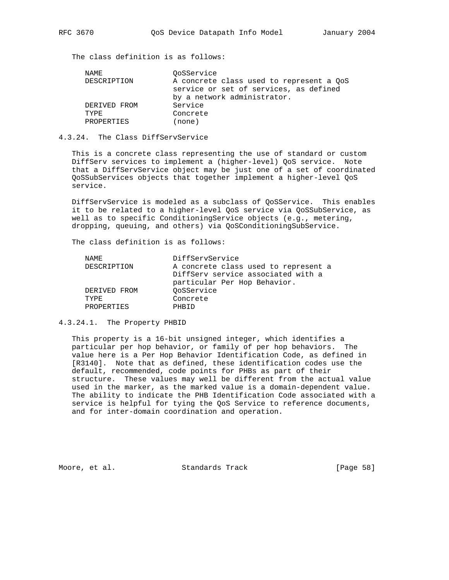| NAME.        | OoSService                                                                                                        |
|--------------|-------------------------------------------------------------------------------------------------------------------|
| DESCRIPTION  | A concrete class used to represent a OoS<br>service or set of services, as defined<br>by a network administrator. |
| DERIVED FROM | Service                                                                                                           |
| TYPF.        | Concrete                                                                                                          |
| PROPERTIES   | none)                                                                                                             |

4.3.24. The Class DiffServService

 This is a concrete class representing the use of standard or custom DiffServ services to implement a (higher-level) QoS service. Note that a DiffServService object may be just one of a set of coordinated QoSSubServices objects that together implement a higher-level QoS service.

 DiffServService is modeled as a subclass of QoSService. This enables it to be related to a higher-level QoS service via QoSSubService, as well as to specific ConditioningService objects (e.g., metering, dropping, queuing, and others) via QoSConditioningSubService.

The class definition is as follows:

| NAME.                      | DiffServService                                                                                            |
|----------------------------|------------------------------------------------------------------------------------------------------------|
| DESCRIPTION                | A concrete class used to represent a<br>DiffServ service associated with a<br>particular Per Hop Behavior. |
| OoSService<br>DERIVED FROM |                                                                                                            |
| Concrete<br>TYPE.          |                                                                                                            |
| PROPERTIES<br>PHRTD        |                                                                                                            |

4.3.24.1. The Property PHBID

 This property is a 16-bit unsigned integer, which identifies a particular per hop behavior, or family of per hop behaviors. The value here is a Per Hop Behavior Identification Code, as defined in [R3140]. Note that as defined, these identification codes use the default, recommended, code points for PHBs as part of their structure. These values may well be different from the actual value used in the marker, as the marked value is a domain-dependent value. The ability to indicate the PHB Identification Code associated with a service is helpful for tying the QoS Service to reference documents, and for inter-domain coordination and operation.

Moore, et al. Standards Track [Page 58]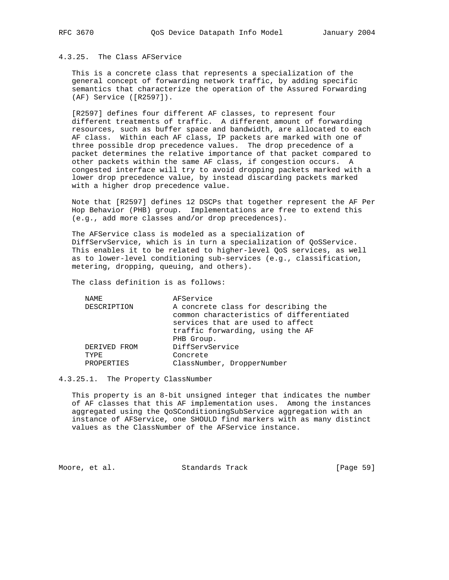# 4.3.25. The Class AFService

 This is a concrete class that represents a specialization of the general concept of forwarding network traffic, by adding specific semantics that characterize the operation of the Assured Forwarding (AF) Service ([R2597]).

 [R2597] defines four different AF classes, to represent four different treatments of traffic. A different amount of forwarding resources, such as buffer space and bandwidth, are allocated to each AF class. Within each AF class, IP packets are marked with one of three possible drop precedence values. The drop precedence of a packet determines the relative importance of that packet compared to other packets within the same AF class, if congestion occurs. A congested interface will try to avoid dropping packets marked with a lower drop precedence value, by instead discarding packets marked with a higher drop precedence value.

 Note that [R2597] defines 12 DSCPs that together represent the AF Per Hop Behavior (PHB) group. Implementations are free to extend this (e.g., add more classes and/or drop precedences).

 The AFService class is modeled as a specialization of DiffServService, which is in turn a specialization of QoSService. This enables it to be related to higher-level QoS services, as well as to lower-level conditioning sub-services (e.g., classification, metering, dropping, queuing, and others).

The class definition is as follows:

| NAME         | AFService                                |
|--------------|------------------------------------------|
| DESCRIPTION  | A concrete class for describing the      |
|              | common characteristics of differentiated |
|              | services that are used to affect         |
|              | traffic forwarding, using the AF         |
|              | PHB Group.                               |
| DERIVED FROM | DiffServService                          |
| TYPF.        | Concrete                                 |
| PROPERTIES   | ClassNumber, DropperNumber               |
|              |                                          |

# 4.3.25.1. The Property ClassNumber

 This property is an 8-bit unsigned integer that indicates the number of AF classes that this AF implementation uses. Among the instances aggregated using the QoSConditioningSubService aggregation with an instance of AFService, one SHOULD find markers with as many distinct values as the ClassNumber of the AFService instance.

Moore, et al. Standards Track [Page 59]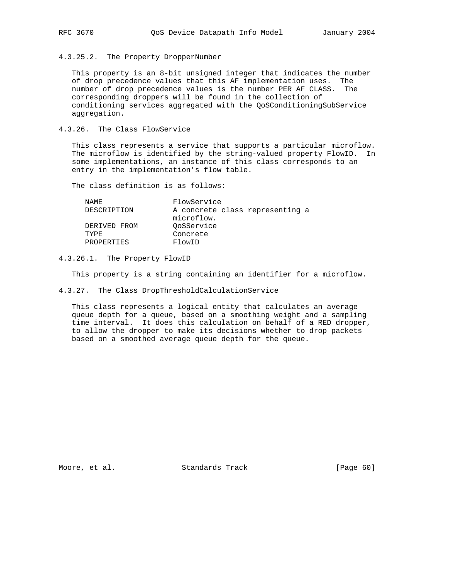# 4.3.25.2. The Property DropperNumber

 This property is an 8-bit unsigned integer that indicates the number of drop precedence values that this AF implementation uses. The number of drop precedence values is the number PER AF CLASS. The corresponding droppers will be found in the collection of conditioning services aggregated with the QoSConditioningSubService aggregation.

4.3.26. The Class FlowService

 This class represents a service that supports a particular microflow. The microflow is identified by the string-valued property FlowID. In some implementations, an instance of this class corresponds to an entry in the implementation's flow table.

The class definition is as follows:

| NAMF.        | FlowService                                   |
|--------------|-----------------------------------------------|
| DESCRIPTION  | A concrete class representing a<br>microflow. |
| DERIVED FROM | OoSService                                    |
| TYPR.        | Concrete                                      |
| PROPERTIES   | FlowID                                        |

4.3.26.1. The Property FlowID

This property is a string containing an identifier for a microflow.

4.3.27. The Class DropThresholdCalculationService

 This class represents a logical entity that calculates an average queue depth for a queue, based on a smoothing weight and a sampling time interval. It does this calculation on behalf of a RED dropper, to allow the dropper to make its decisions whether to drop packets based on a smoothed average queue depth for the queue.

Moore, et al. Standards Track [Page 60]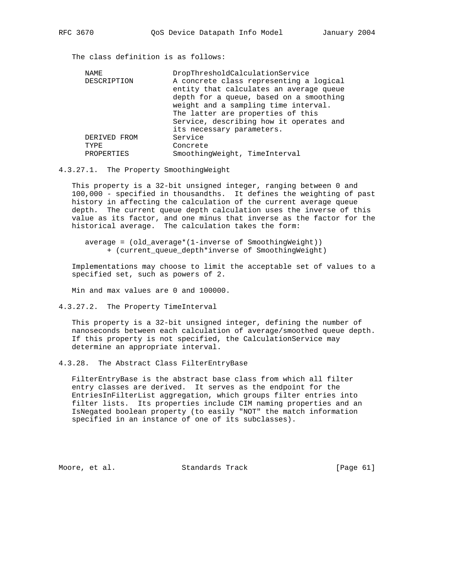| NAME               | DropThresholdCalculationService         |
|--------------------|-----------------------------------------|
| <b>DESCRIPTION</b> | A concrete class representing a logical |
|                    | entity that calculates an average queue |
|                    | depth for a queue, based on a smoothing |
|                    | weight and a sampling time interval.    |
|                    | The latter are properties of this       |
|                    | Service, describing how it operates and |
|                    | its necessary parameters.               |
| DERIVED FROM       | Service                                 |
| TYPE               | Concrete                                |
| PROPERTIES         | SmoothingWeight, TimeInterval           |

4.3.27.1. The Property SmoothingWeight

 This property is a 32-bit unsigned integer, ranging between 0 and 100,000 - specified in thousandths. It defines the weighting of past history in affecting the calculation of the current average queue depth. The current queue depth calculation uses the inverse of this value as its factor, and one minus that inverse as the factor for the historical average. The calculation takes the form:

 average = (old\_average\*(1-inverse of SmoothingWeight)) + (current\_queue\_depth\*inverse of SmoothingWeight)

 Implementations may choose to limit the acceptable set of values to a specified set, such as powers of 2.

Min and max values are 0 and 100000.

4.3.27.2. The Property TimeInterval

 This property is a 32-bit unsigned integer, defining the number of nanoseconds between each calculation of average/smoothed queue depth. If this property is not specified, the CalculationService may determine an appropriate interval.

4.3.28. The Abstract Class FilterEntryBase

 FilterEntryBase is the abstract base class from which all filter entry classes are derived. It serves as the endpoint for the EntriesInFilterList aggregation, which groups filter entries into filter lists. Its properties include CIM naming properties and an IsNegated boolean property (to easily "NOT" the match information specified in an instance of one of its subclasses).

Moore, et al. Standards Track [Page 61]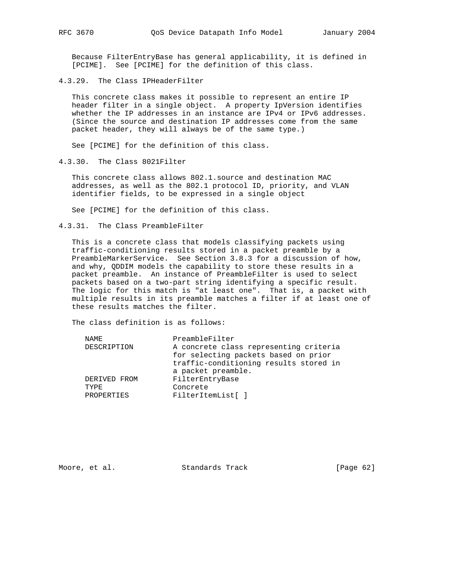Because FilterEntryBase has general applicability, it is defined in [PCIME]. See [PCIME] for the definition of this class.

4.3.29. The Class IPHeaderFilter

 This concrete class makes it possible to represent an entire IP header filter in a single object. A property IpVersion identifies whether the IP addresses in an instance are IPv4 or IPv6 addresses. (Since the source and destination IP addresses come from the same packet header, they will always be of the same type.)

See [PCIME] for the definition of this class.

4.3.30. The Class 8021Filter

 This concrete class allows 802.1.source and destination MAC addresses, as well as the 802.1 protocol ID, priority, and VLAN identifier fields, to be expressed in a single object

See [PCIME] for the definition of this class.

4.3.31. The Class PreambleFilter

 This is a concrete class that models classifying packets using traffic-conditioning results stored in a packet preamble by a PreambleMarkerService. See Section 3.8.3 for a discussion of how, and why, QDDIM models the capability to store these results in a packet preamble. An instance of PreambleFilter is used to select packets based on a two-part string identifying a specific result. The logic for this match is "at least one". That is, a packet with multiple results in its preamble matches a filter if at least one of these results matches the filter.

The class definition is as follows:

| NAME.        | PreambleFilter                         |
|--------------|----------------------------------------|
| DESCRIPTION  | A concrete class representing criteria |
|              | for selecting packets based on prior   |
|              | traffic-conditioning results stored in |
|              | a packet preamble.                     |
| DERIVED FROM | FilterEntryBase                        |
| TYPF.        | Concrete                               |
| PROPERTIES   | FilterItemList[ ]                      |
|              |                                        |

Moore, et al. Standards Track [Page 62]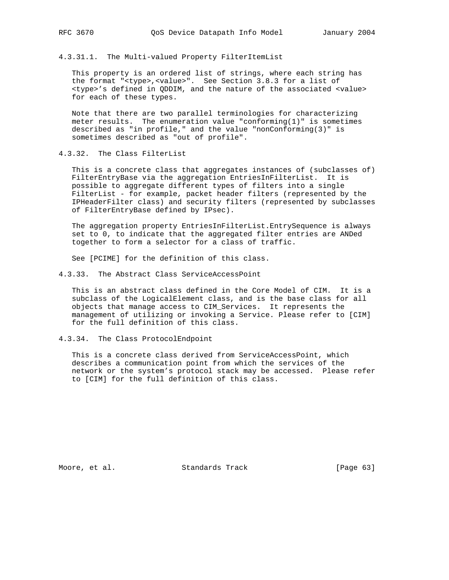4.3.31.1. The Multi-valued Property FilterItemList

 This property is an ordered list of strings, where each string has the format "<type>,<value>". See Section 3.8.3 for a list of <type>'s defined in QDDIM, and the nature of the associated <value> for each of these types.

 Note that there are two parallel terminologies for characterizing meter results. The enumeration value "conforming $(1)$ " is sometimes described as "in profile," and the value "nonConforming(3)" is sometimes described as "out of profile".

4.3.32. The Class FilterList

 This is a concrete class that aggregates instances of (subclasses of) FilterEntryBase via the aggregation EntriesInFilterList. It is possible to aggregate different types of filters into a single FilterList - for example, packet header filters (represented by the IPHeaderFilter class) and security filters (represented by subclasses of FilterEntryBase defined by IPsec).

 The aggregation property EntriesInFilterList.EntrySequence is always set to 0, to indicate that the aggregated filter entries are ANDed together to form a selector for a class of traffic.

See [PCIME] for the definition of this class.

4.3.33. The Abstract Class ServiceAccessPoint

 This is an abstract class defined in the Core Model of CIM. It is a subclass of the LogicalElement class, and is the base class for all objects that manage access to CIM\_Services. It represents the management of utilizing or invoking a Service. Please refer to [CIM] for the full definition of this class.

4.3.34. The Class ProtocolEndpoint

 This is a concrete class derived from ServiceAccessPoint, which describes a communication point from which the services of the network or the system's protocol stack may be accessed. Please refer to [CIM] for the full definition of this class.

Moore, et al. Standards Track [Page 63]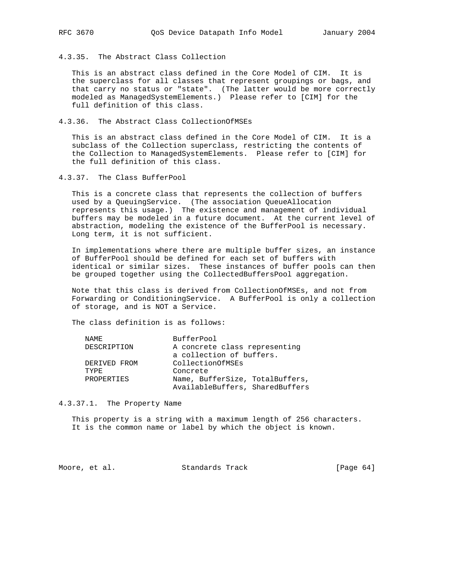4.3.35. The Abstract Class Collection

 This is an abstract class defined in the Core Model of CIM. It is the superclass for all classes that represent groupings or bags, and that carry no status or "state". (The latter would be more correctly modeled as ManagedSystemElements.) Please refer to [CIM] for the full definition of this class.

4.3.36. The Abstract Class CollectionOfMSEs

 This is an abstract class defined in the Core Model of CIM. It is a subclass of the Collection superclass, restricting the contents of the Collection to ManagedSystemElements. Please refer to [CIM] for the full definition of this class.

4.3.37. The Class BufferPool

 This is a concrete class that represents the collection of buffers used by a QueuingService. (The association QueueAllocation represents this usage.) The existence and management of individual buffers may be modeled in a future document. At the current level of abstraction, modeling the existence of the BufferPool is necessary. Long term, it is not sufficient.

 In implementations where there are multiple buffer sizes, an instance of BufferPool should be defined for each set of buffers with identical or similar sizes. These instances of buffer pools can then be grouped together using the CollectedBuffersPool aggregation.

 Note that this class is derived from CollectionOfMSEs, and not from Forwarding or ConditioningService. A BufferPool is only a collection of storage, and is NOT a Service.

The class definition is as follows:

| NAME.        |          | BufferPool                    |                                 |
|--------------|----------|-------------------------------|---------------------------------|
| DESCRIPTION  |          | A concrete class representing |                                 |
|              |          | a collection of buffers.      |                                 |
| DERIVED FROM |          | CollectionOfMSEs              |                                 |
| TYPE.        | Concrete |                               |                                 |
| PROPERTIES   |          |                               | Name, BufferSize, TotalBuffers, |
|              |          |                               | AvailableBuffers, SharedBuffers |

4.3.37.1. The Property Name

 This property is a string with a maximum length of 256 characters. It is the common name or label by which the object is known.

Moore, et al. Standards Track [Page 64]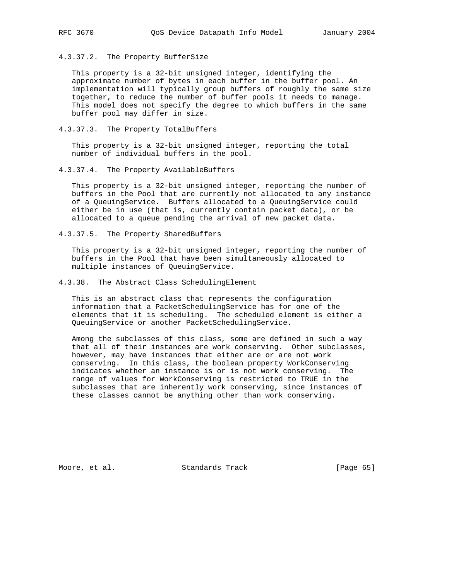- 
- 4.3.37.2. The Property BufferSize

 This property is a 32-bit unsigned integer, identifying the approximate number of bytes in each buffer in the buffer pool. An implementation will typically group buffers of roughly the same size together, to reduce the number of buffer pools it needs to manage. This model does not specify the degree to which buffers in the same buffer pool may differ in size.

4.3.37.3. The Property TotalBuffers

 This property is a 32-bit unsigned integer, reporting the total number of individual buffers in the pool.

4.3.37.4. The Property AvailableBuffers

 This property is a 32-bit unsigned integer, reporting the number of buffers in the Pool that are currently not allocated to any instance of a QueuingService. Buffers allocated to a QueuingService could either be in use (that is, currently contain packet data), or be allocated to a queue pending the arrival of new packet data.

4.3.37.5. The Property SharedBuffers

 This property is a 32-bit unsigned integer, reporting the number of buffers in the Pool that have been simultaneously allocated to multiple instances of QueuingService.

4.3.38. The Abstract Class SchedulingElement

 This is an abstract class that represents the configuration information that a PacketSchedulingService has for one of the elements that it is scheduling. The scheduled element is either a QueuingService or another PacketSchedulingService.

 Among the subclasses of this class, some are defined in such a way that all of their instances are work conserving. Other subclasses, however, may have instances that either are or are not work conserving. In this class, the boolean property WorkConserving indicates whether an instance is or is not work conserving. The range of values for WorkConserving is restricted to TRUE in the subclasses that are inherently work conserving, since instances of these classes cannot be anything other than work conserving.

Moore, et al. Standards Track [Page 65]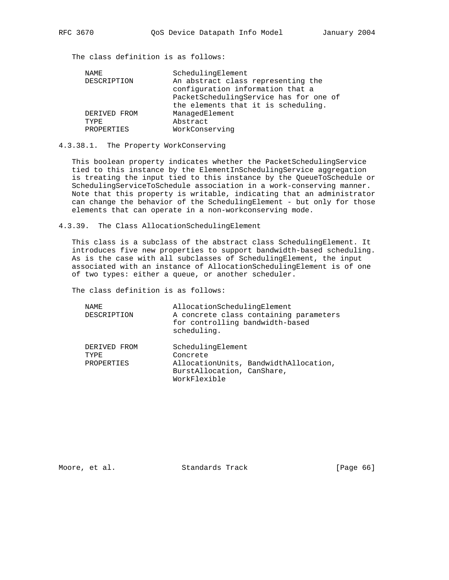| NAME         | SchedulingElement                      |
|--------------|----------------------------------------|
| DESCRIPTION  | An abstract class representing the     |
|              | configuration information that a       |
|              | PacketSchedulingService has for one of |
|              | the elements that it is scheduling.    |
| DERIVED FROM | ManagedElement                         |
| TYPE.        | Abstract                               |
| PROPERTIES   | WorkConserving                         |
|              |                                        |

## 4.3.38.1. The Property WorkConserving

 This boolean property indicates whether the PacketSchedulingService tied to this instance by the ElementInSchedulingService aggregation is treating the input tied to this instance by the QueueToSchedule or SchedulingServiceToSchedule association in a work-conserving manner. Note that this property is writable, indicating that an administrator can change the behavior of the SchedulingElement - but only for those elements that can operate in a non-workconserving mode.

4.3.39. The Class AllocationSchedulingElement

 This class is a subclass of the abstract class SchedulingElement. It introduces five new properties to support bandwidth-based scheduling. As is the case with all subclasses of SchedulingElement, the input associated with an instance of AllocationSchedulingElement is of one of two types: either a queue, or another scheduler.

The class definition is as follows:

| NAME.<br>DESCRIPTION                | AllocationSchedulingElement<br>for controlling bandwidth-based<br>scheduling. | A concrete class containing parameters |
|-------------------------------------|-------------------------------------------------------------------------------|----------------------------------------|
| DERIVED FROM<br>TYPF.<br>PROPERTIES | SchedulingElement<br>Concrete<br>BurstAllocation, CanShare,<br>WorkFlexible   | AllocationUnits, BandwidthAllocation,  |

Moore, et al. Standards Track [Page 66]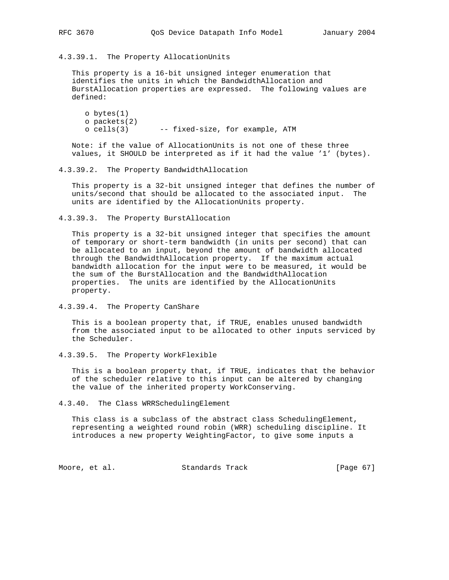# 4.3.39.1. The Property AllocationUnits

 This property is a 16-bit unsigned integer enumeration that identifies the units in which the BandwidthAllocation and BurstAllocation properties are expressed. The following values are defined:

```
 o bytes(1)
o packets(2)
o cells(3) -- fixed-size, for example, ATM
```
 Note: if the value of AllocationUnits is not one of these three values, it SHOULD be interpreted as if it had the value '1' (bytes).

4.3.39.2. The Property BandwidthAllocation

 This property is a 32-bit unsigned integer that defines the number of units/second that should be allocated to the associated input. The units are identified by the AllocationUnits property.

4.3.39.3. The Property BurstAllocation

 This property is a 32-bit unsigned integer that specifies the amount of temporary or short-term bandwidth (in units per second) that can be allocated to an input, beyond the amount of bandwidth allocated through the BandwidthAllocation property. If the maximum actual bandwidth allocation for the input were to be measured, it would be the sum of the BurstAllocation and the BandwidthAllocation properties. The units are identified by the AllocationUnits property.

4.3.39.4. The Property CanShare

 This is a boolean property that, if TRUE, enables unused bandwidth from the associated input to be allocated to other inputs serviced by the Scheduler.

4.3.39.5. The Property WorkFlexible

 This is a boolean property that, if TRUE, indicates that the behavior of the scheduler relative to this input can be altered by changing the value of the inherited property WorkConserving.

4.3.40. The Class WRRSchedulingElement

 This class is a subclass of the abstract class SchedulingElement, representing a weighted round robin (WRR) scheduling discipline. It introduces a new property WeightingFactor, to give some inputs a

Moore, et al. Standards Track [Page 67]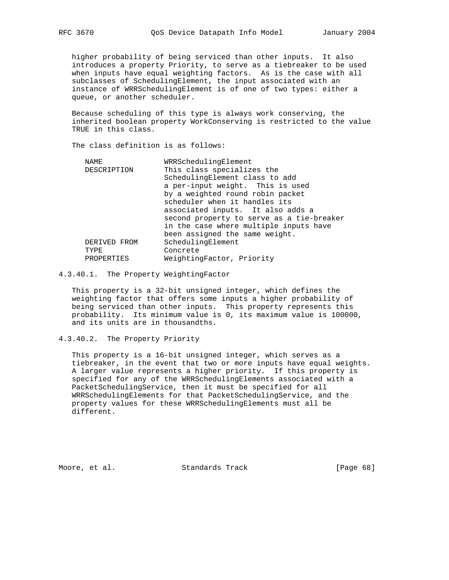higher probability of being serviced than other inputs. It also introduces a property Priority, to serve as a tiebreaker to be used when inputs have equal weighting factors. As is the case with all subclasses of SchedulingElement, the input associated with an instance of WRRSchedulingElement is of one of two types: either a queue, or another scheduler.

 Because scheduling of this type is always work conserving, the inherited boolean property WorkConserving is restricted to the value TRUE in this class.

The class definition is as follows:

| NAME         | WRRSchedulingElement                      |
|--------------|-------------------------------------------|
| DESCRIPTION  | This class specializes the                |
|              | SchedulingElement class to add            |
|              | a per-input weight. This is used          |
|              | by a weighted round robin packet          |
|              | scheduler when it handles its             |
|              | associated inputs. It also adds a         |
|              | second property to serve as a tie-breaker |
|              | in the case where multiple inputs have    |
|              | been assigned the same weight.            |
| DERIVED FROM | SchedulingElement                         |
| TYPE         | Concrete                                  |
| PROPERTIES   | WeightingFactor, Priority                 |
|              |                                           |

## 4.3.40.1. The Property WeightingFactor

 This property is a 32-bit unsigned integer, which defines the weighting factor that offers some inputs a higher probability of being serviced than other inputs. This property represents this probability. Its minimum value is 0, its maximum value is 100000, and its units are in thousandths.

## 4.3.40.2. The Property Priority

 This property is a 16-bit unsigned integer, which serves as a tiebreaker, in the event that two or more inputs have equal weights. A larger value represents a higher priority. If this property is specified for any of the WRRSchedulingElements associated with a PacketSchedulingService, then it must be specified for all WRRSchedulingElements for that PacketSchedulingService, and the property values for these WRRSchedulingElements must all be different.

Moore, et al. Standards Track [Page 68]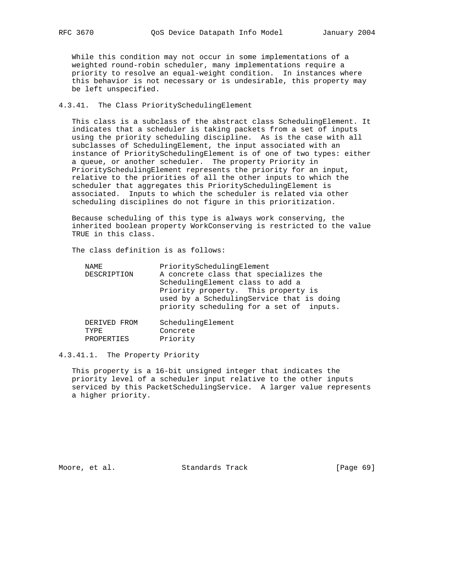While this condition may not occur in some implementations of a weighted round-robin scheduler, many implementations require a priority to resolve an equal-weight condition. In instances where this behavior is not necessary or is undesirable, this property may be left unspecified.

# 4.3.41. The Class PrioritySchedulingElement

 This class is a subclass of the abstract class SchedulingElement. It indicates that a scheduler is taking packets from a set of inputs using the priority scheduling discipline. As is the case with all subclasses of SchedulingElement, the input associated with an instance of PrioritySchedulingElement is of one of two types: either a queue, or another scheduler. The property Priority in PrioritySchedulingElement represents the priority for an input, relative to the priorities of all the other inputs to which the scheduler that aggregates this PrioritySchedulingElement is associated. Inputs to which the scheduler is related via other scheduling disciplines do not figure in this prioritization.

 Because scheduling of this type is always work conserving, the inherited boolean property WorkConserving is restricted to the value TRUE in this class.

The class definition is as follows:

| NAME         | PrioritySchedulingElement                 |
|--------------|-------------------------------------------|
| DESCRIPTION  | A concrete class that specializes the     |
|              | SchedulingElement class to add a          |
|              | Priority property. This property is       |
|              | used by a SchedulingService that is doing |
|              | priority scheduling for a set of inputs.  |
|              |                                           |
| DERIVED FROM | SchedulingElement                         |
| TYPE         | Concrete                                  |
| PROPERTIES   | Priority                                  |

4.3.41.1. The Property Priority

 This property is a 16-bit unsigned integer that indicates the priority level of a scheduler input relative to the other inputs serviced by this PacketSchedulingService. A larger value represents a higher priority.

Moore, et al. Standards Track [Page 69]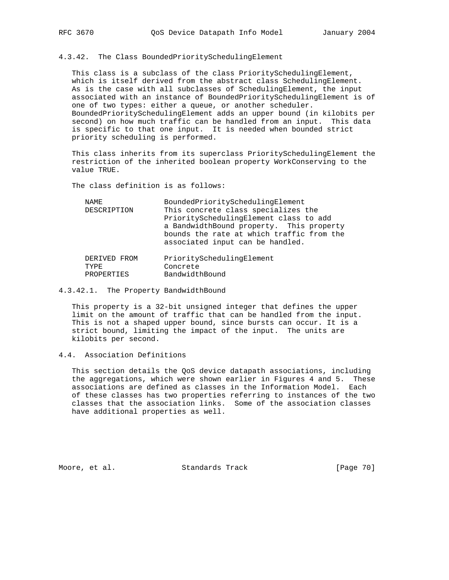# 4.3.42. The Class BoundedPrioritySchedulingElement

 This class is a subclass of the class PrioritySchedulingElement, which is itself derived from the abstract class SchedulingElement. As is the case with all subclasses of SchedulingElement, the input associated with an instance of BoundedPrioritySchedulingElement is of one of two types: either a queue, or another scheduler. BoundedPrioritySchedulingElement adds an upper bound (in kilobits per second) on how much traffic can be handled from an input. This data is specific to that one input. It is needed when bounded strict priority scheduling is performed.

 This class inherits from its superclass PrioritySchedulingElement the restriction of the inherited boolean property WorkConserving to the value TRUE.

The class definition is as follows:

| NAME<br><b>DESCRIPTION</b>         | BoundedPrioritySchedulingElement<br>This concrete class specializes the<br>PrioritySchedulingElement class to add<br>a BandwidthBound property. This property<br>bounds the rate at which traffic from the<br>associated input can be handled. |
|------------------------------------|------------------------------------------------------------------------------------------------------------------------------------------------------------------------------------------------------------------------------------------------|
| DERIVED FROM<br>TYPE<br>PROPERTIES | PrioritySchedulingElement<br>Concrete<br>BandwidthBound                                                                                                                                                                                        |

4.3.42.1. The Property BandwidthBound

 This property is a 32-bit unsigned integer that defines the upper limit on the amount of traffic that can be handled from the input. This is not a shaped upper bound, since bursts can occur. It is a strict bound, limiting the impact of the input. The units are kilobits per second.

# 4.4. Association Definitions

 This section details the QoS device datapath associations, including the aggregations, which were shown earlier in Figures 4 and 5. These associations are defined as classes in the Information Model. Each of these classes has two properties referring to instances of the two classes that the association links. Some of the association classes have additional properties as well.

Moore, et al. Standards Track [Page 70]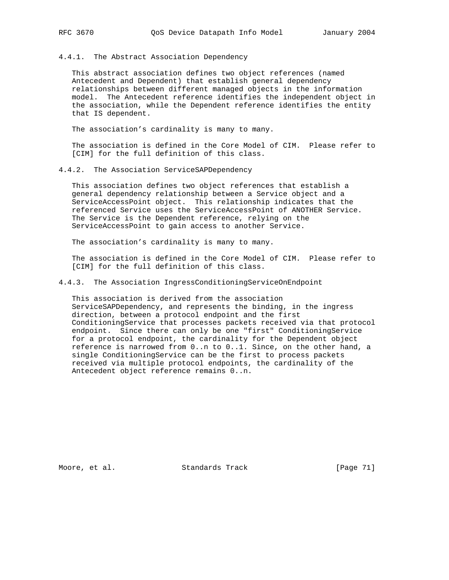4.4.1. The Abstract Association Dependency

 This abstract association defines two object references (named Antecedent and Dependent) that establish general dependency relationships between different managed objects in the information model. The Antecedent reference identifies the independent object in the association, while the Dependent reference identifies the entity that IS dependent.

The association's cardinality is many to many.

 The association is defined in the Core Model of CIM. Please refer to [CIM] for the full definition of this class.

## 4.4.2. The Association ServiceSAPDependency

 This association defines two object references that establish a general dependency relationship between a Service object and a ServiceAccessPoint object. This relationship indicates that the referenced Service uses the ServiceAccessPoint of ANOTHER Service. The Service is the Dependent reference, relying on the ServiceAccessPoint to gain access to another Service.

The association's cardinality is many to many.

 The association is defined in the Core Model of CIM. Please refer to [CIM] for the full definition of this class.

## 4.4.3. The Association IngressConditioningServiceOnEndpoint

 This association is derived from the association ServiceSAPDependency, and represents the binding, in the ingress direction, between a protocol endpoint and the first ConditioningService that processes packets received via that protocol endpoint. Since there can only be one "first" ConditioningService for a protocol endpoint, the cardinality for the Dependent object reference is narrowed from 0..n to 0..1. Since, on the other hand, a single ConditioningService can be the first to process packets received via multiple protocol endpoints, the cardinality of the Antecedent object reference remains 0..n.

Moore, et al. Standards Track [Page 71]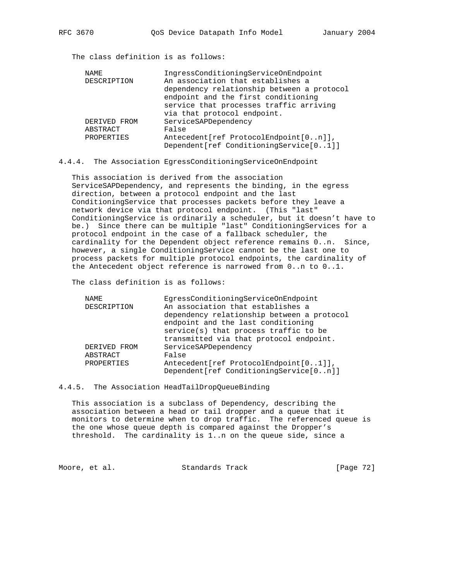| <b>NAME</b>  | IngressConditioningServiceOnEndpoint       |
|--------------|--------------------------------------------|
| DESCRIPTION  | An association that establishes a          |
|              | dependency relationship between a protocol |
|              | endpoint and the first conditioning        |
|              | service that processes traffic arriving    |
|              | via that protocol endpoint.                |
| DERIVED FROM | ServiceSAPDependency                       |
| ABSTRACT     | False                                      |
| PROPERTIES   | Antecedent[ref ProtocolEndpoint[0n]],      |
|              | Dependent[ref ConditioningService[01]]     |
|              |                                            |

4.4.4. The Association EgressConditioningServiceOnEndpoint

 This association is derived from the association ServiceSAPDependency, and represents the binding, in the egress direction, between a protocol endpoint and the last ConditioningService that processes packets before they leave a network device via that protocol endpoint. (This "last" ConditioningService is ordinarily a scheduler, but it doesn't have to be.) Since there can be multiple "last" ConditioningServices for a protocol endpoint in the case of a fallback scheduler, the cardinality for the Dependent object reference remains 0..n. Since, however, a single ConditioningService cannot be the last one to process packets for multiple protocol endpoints, the cardinality of the Antecedent object reference is narrowed from 0..n to 0..1.

The class definition is as follows:

| NAME         | EqressConditioningServiceOnEndpoint        |
|--------------|--------------------------------------------|
| DESCRIPTION  | An association that establishes a          |
|              | dependency relationship between a protocol |
|              | endpoint and the last conditioning         |
|              | service(s) that process traffic to be      |
|              | transmitted via that protocol endpoint.    |
| DERIVED FROM | ServiceSAPDependency                       |
| ABSTRACT     | False                                      |
| PROPERTIES   | Antecedent [ref ProtocolEndpoint [01]],    |
|              | Dependent [ref ConditioningService[0n]]    |
|              |                                            |

4.4.5. The Association HeadTailDropQueueBinding

 This association is a subclass of Dependency, describing the association between a head or tail dropper and a queue that it monitors to determine when to drop traffic. The referenced queue is the one whose queue depth is compared against the Dropper's threshold. The cardinality is 1..n on the queue side, since a

Moore, et al. Standards Track [Page 72]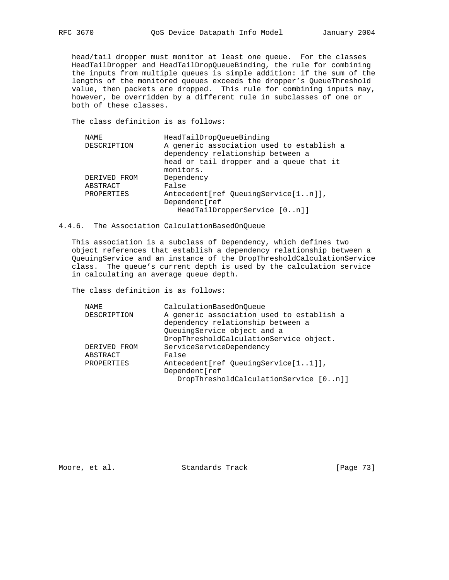head/tail dropper must monitor at least one queue. For the classes HeadTailDropper and HeadTailDropQueueBinding, the rule for combining the inputs from multiple queues is simple addition: if the sum of the lengths of the monitored queues exceeds the dropper's QueueThreshold value, then packets are dropped. This rule for combining inputs may, however, be overridden by a different rule in subclasses of one or both of these classes.

The class definition is as follows:

| NAME         | HeadTailDropOueueBinding                  |
|--------------|-------------------------------------------|
| DESCRIPTION  | A generic association used to establish a |
|              | dependency relationship between a         |
|              | head or tail dropper and a queue that it  |
|              | monitors.                                 |
| DERIVED FROM | Dependency                                |
| ABSTRACT     | False                                     |
| PROPERTIES   | Antecedent [ref QueuingService[1n]],      |
|              | Dependent [ref                            |
|              | HeadTailDropperService [0n]]              |

## 4.4.6. The Association CalculationBasedOnQueue

 This association is a subclass of Dependency, which defines two object references that establish a dependency relationship between a QueuingService and an instance of the DropThresholdCalculationService class. The queue's current depth is used by the calculation service in calculating an average queue depth.

The class definition is as follows:

| NAME.        | CalculationBasedOnOueue                                                        |
|--------------|--------------------------------------------------------------------------------|
| DESCRIPTION  | A generic association used to establish a<br>dependency relationship between a |
|              | QueuingService object and a                                                    |
|              | DropThresholdCalculationService object.                                        |
| DERIVED FROM | ServiceServiceDependency                                                       |
| ABSTRACT     | False                                                                          |
| PROPERTIES   | Antecedent [ref OueuingService[11]],<br>Dependent [ref                         |
|              | DropThresholdCalculationService [0n]]                                          |

Moore, et al. Standards Track [Page 73]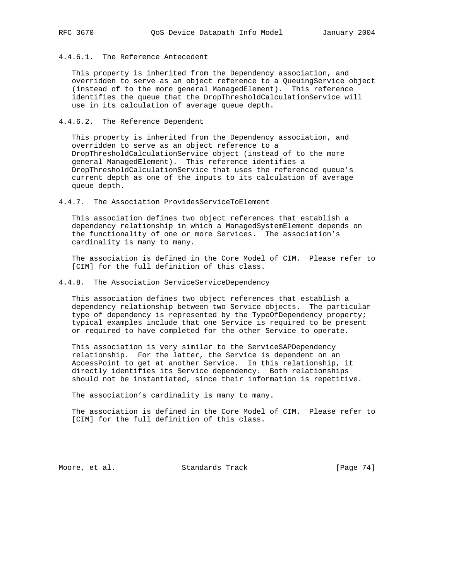# 4.4.6.1. The Reference Antecedent

 This property is inherited from the Dependency association, and overridden to serve as an object reference to a QueuingService object (instead of to the more general ManagedElement). This reference identifies the queue that the DropThresholdCalculationService will use in its calculation of average queue depth.

4.4.6.2. The Reference Dependent

 This property is inherited from the Dependency association, and overridden to serve as an object reference to a DropThresholdCalculationService object (instead of to the more general ManagedElement). This reference identifies a DropThresholdCalculationService that uses the referenced queue's current depth as one of the inputs to its calculation of average queue depth.

4.4.7. The Association ProvidesServiceToElement

 This association defines two object references that establish a dependency relationship in which a ManagedSystemElement depends on the functionality of one or more Services. The association's cardinality is many to many.

 The association is defined in the Core Model of CIM. Please refer to [CIM] for the full definition of this class.

4.4.8. The Association ServiceServiceDependency

 This association defines two object references that establish a dependency relationship between two Service objects. The particular type of dependency is represented by the TypeOfDependency property; typical examples include that one Service is required to be present or required to have completed for the other Service to operate.

 This association is very similar to the ServiceSAPDependency relationship. For the latter, the Service is dependent on an AccessPoint to get at another Service. In this relationship, it directly identifies its Service dependency. Both relationships should not be instantiated, since their information is repetitive.

The association's cardinality is many to many.

 The association is defined in the Core Model of CIM. Please refer to [CIM] for the full definition of this class.

Moore, et al. Standards Track [Page 74]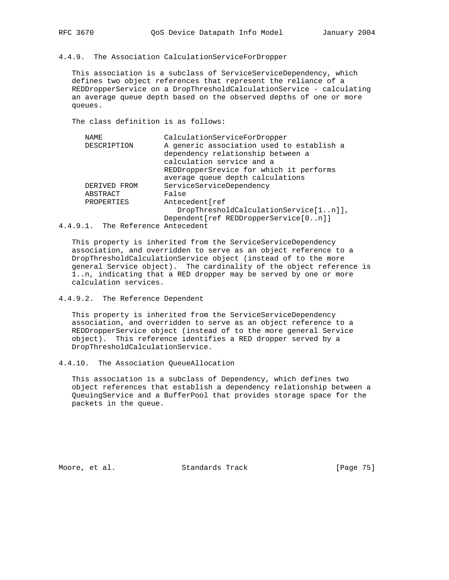## 4.4.9. The Association CalculationServiceForDropper

 This association is a subclass of ServiceServiceDependency, which defines two object references that represent the reliance of a REDDropperService on a DropThresholdCalculationService - calculating an average queue depth based on the observed depths of one or more queues.

The class definition is as follows:

| NAME.                             | CalculationServiceForDropper              |
|-----------------------------------|-------------------------------------------|
| DESCRIPTION                       | A generic association used to establish a |
|                                   | dependency relationship between a         |
|                                   | calculation service and a                 |
|                                   | REDDropperSrevice for which it performs   |
|                                   | average queue depth calculations          |
| DERIVED FROM                      | ServiceServiceDependency                  |
| ABSTRACT                          | False                                     |
| PROPERTIES                        | Antecedent [ref                           |
|                                   | DropThresholdCalculationService[1n]],     |
|                                   | Dependent [ref REDDropperService [0n]]    |
| 4.4.9.1. The Reference Antecedent |                                           |

 This property is inherited from the ServiceServiceDependency association, and overridden to serve as an object reference to a DropThresholdCalculationService object (instead of to the more general Service object). The cardinality of the object reference is 1..n, indicating that a RED dropper may be served by one or more calculation services.

4.4.9.2. The Reference Dependent

 This property is inherited from the ServiceServiceDependency association, and overridden to serve as an object reference to a REDDropperService object (instead of to the more general Service object). This reference identifies a RED dropper served by a DropThresholdCalculationService.

 This association is a subclass of Dependency, which defines two object references that establish a dependency relationship between a QueuingService and a BufferPool that provides storage space for the packets in the queue.

Moore, et al. Standards Track [Page 75]

<sup>4.4.10.</sup> The Association QueueAllocation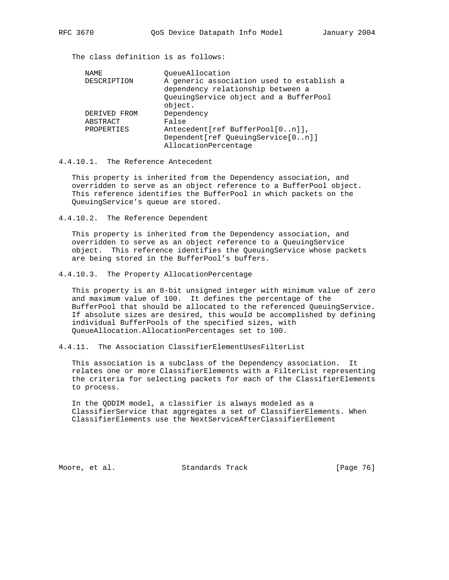The class definition is as follows:

| NAME         | OueueAllocation                           |
|--------------|-------------------------------------------|
| DESCRIPTION  | A generic association used to establish a |
|              | dependency relationship between a         |
|              | OueuingService object and a BufferPool    |
|              | object.                                   |
| DERIVED FROM | Dependency                                |
| ABSTRACT     | False                                     |
| PROPERTIES   | Antecedent [ref BufferPool [0n]],         |
|              | Dependent [ref QueuingService[0n]]        |
|              | AllocationPercentage                      |
|              |                                           |

4.4.10.1. The Reference Antecedent

 This property is inherited from the Dependency association, and overridden to serve as an object reference to a BufferPool object. This reference identifies the BufferPool in which packets on the QueuingService's queue are stored.

4.4.10.2. The Reference Dependent

 This property is inherited from the Dependency association, and overridden to serve as an object reference to a QueuingService object. This reference identifies the QueuingService whose packets are being stored in the BufferPool's buffers.

4.4.10.3. The Property AllocationPercentage

 This property is an 8-bit unsigned integer with minimum value of zero and maximum value of 100. It defines the percentage of the BufferPool that should be allocated to the referenced QueuingService. If absolute sizes are desired, this would be accomplished by defining individual BufferPools of the specified sizes, with QueueAllocation.AllocationPercentages set to 100.

4.4.11. The Association ClassifierElementUsesFilterList

This association is a subclass of the Dependency association. relates one or more ClassifierElements with a FilterList representing the criteria for selecting packets for each of the ClassifierElements to process.

 In the QDDIM model, a classifier is always modeled as a ClassifierService that aggregates a set of ClassifierElements. When ClassifierElements use the NextServiceAfterClassifierElement

Moore, et al. Standards Track [Page 76]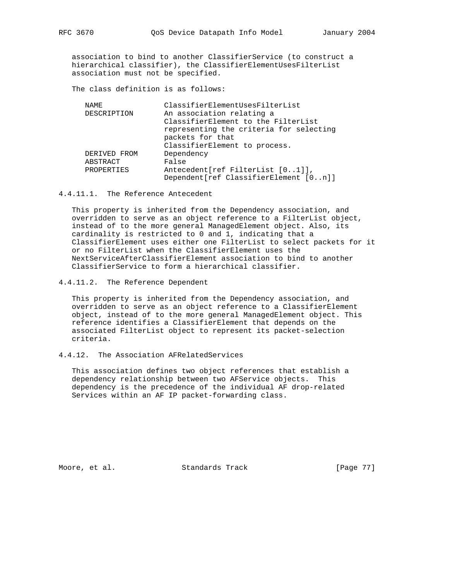association to bind to another ClassifierService (to construct a hierarchical classifier), the ClassifierElementUsesFilterList association must not be specified.

The class definition is as follows:

| NAME         | ClassifierElementUsesFilterList         |
|--------------|-----------------------------------------|
| DESCRIPTION  | An association relating a               |
|              | ClassifierElement to the FilterList     |
|              | representing the criteria for selecting |
|              | packets for that                        |
|              | ClassifierElement to process.           |
| DERIVED FROM | Dependency                              |
| ABSTRACT     | False                                   |
| PROPERTIES   | Antecedent [ref FilterList [01]],       |
|              | Dependent[ref ClassifierElement [0n]]   |

#### 4.4.11.1. The Reference Antecedent

 This property is inherited from the Dependency association, and overridden to serve as an object reference to a FilterList object, instead of to the more general ManagedElement object. Also, its cardinality is restricted to 0 and 1, indicating that a ClassifierElement uses either one FilterList to select packets for it or no FilterList when the ClassifierElement uses the NextServiceAfterClassifierElement association to bind to another ClassifierService to form a hierarchical classifier.

4.4.11.2. The Reference Dependent

 This property is inherited from the Dependency association, and overridden to serve as an object reference to a ClassifierElement object, instead of to the more general ManagedElement object. This reference identifies a ClassifierElement that depends on the associated FilterList object to represent its packet-selection criteria.

 This association defines two object references that establish a dependency relationship between two AFService objects. This dependency is the precedence of the individual AF drop-related Services within an AF IP packet-forwarding class.

Moore, et al. Standards Track [Page 77]

<sup>4.4.12.</sup> The Association AFRelatedServices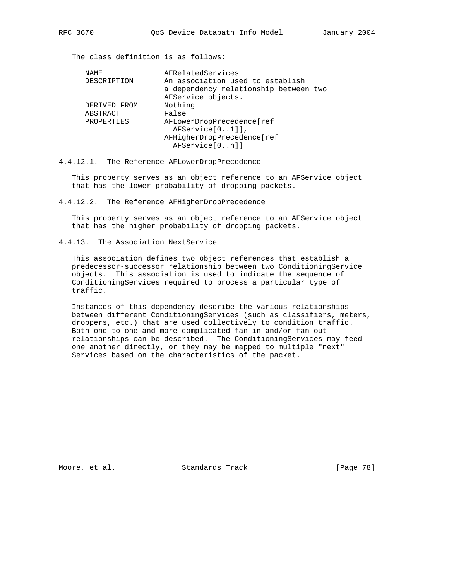The class definition is as follows:

| NAME.        | AFRelatedServices                     |
|--------------|---------------------------------------|
| DESCRIPTION  | An association used to establish      |
|              | a dependency relationship between two |
|              | AFService objects.                    |
| DERIVED FROM | Nothing                               |
| ABSTRACT     | False                                 |
| PROPERTIES   | AFLowerDropPrecedence[ref             |
|              | $AFService[01]]$ ,                    |
|              | AFHigherDropPrecedence[ref            |
|              | AFService[0n]                         |
|              |                                       |

4.4.12.1. The Reference AFLowerDropPrecedence

 This property serves as an object reference to an AFService object that has the lower probability of dropping packets.

4.4.12.2. The Reference AFHigherDropPrecedence

 This property serves as an object reference to an AFService object that has the higher probability of dropping packets.

4.4.13. The Association NextService

 This association defines two object references that establish a predecessor-successor relationship between two ConditioningService objects. This association is used to indicate the sequence of ConditioningServices required to process a particular type of traffic.

 Instances of this dependency describe the various relationships between different ConditioningServices (such as classifiers, meters, droppers, etc.) that are used collectively to condition traffic. Both one-to-one and more complicated fan-in and/or fan-out relationships can be described. The ConditioningServices may feed one another directly, or they may be mapped to multiple "next" Services based on the characteristics of the packet.

Moore, et al. Standards Track [Page 78]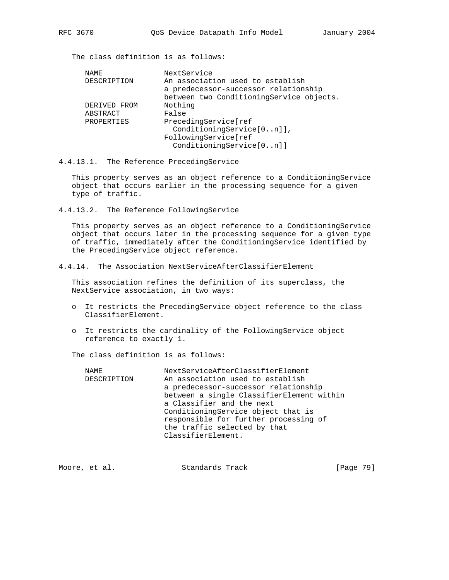The class definition is as follows:

| NAME         | NextService                                                              |
|--------------|--------------------------------------------------------------------------|
| DESCRIPTION  | An association used to establish<br>a predecessor-successor relationship |
|              | between two ConditioningService objects.                                 |
| DERIVED FROM | Nothing                                                                  |
| ABSTRACT     | False                                                                    |
| PROPERTIES   | PrecedingService[ref<br>ConditioningService[0n]],                        |
|              | FollowingService[ref<br>ConditioningService[0n]]                         |

4.4.13.1. The Reference PrecedingService

 This property serves as an object reference to a ConditioningService object that occurs earlier in the processing sequence for a given type of traffic.

4.4.13.2. The Reference FollowingService

 This property serves as an object reference to a ConditioningService object that occurs later in the processing sequence for a given type of traffic, immediately after the ConditioningService identified by the PrecedingService object reference.

4.4.14. The Association NextServiceAfterClassifierElement

 This association refines the definition of its superclass, the NextService association, in two ways:

- o It restricts the PrecedingService object reference to the class ClassifierElement.
- o It restricts the cardinality of the FollowingService object reference to exactly 1.

| NAME        | NextServiceAfterClassifierElement         |
|-------------|-------------------------------------------|
| DESCRIPTION | An association used to establish          |
|             | a predecessor-successor relationship      |
|             | between a single ClassifierElement within |
|             | a Classifier and the next                 |
|             | Conditioning Service object that is       |
|             | responsible for further processing of     |
|             | the traffic selected by that              |
|             | ClassifierElement.                        |
|             |                                           |

| [Page 79]<br>Standards Track<br>Moore, et al. |  |  |
|-----------------------------------------------|--|--|
|-----------------------------------------------|--|--|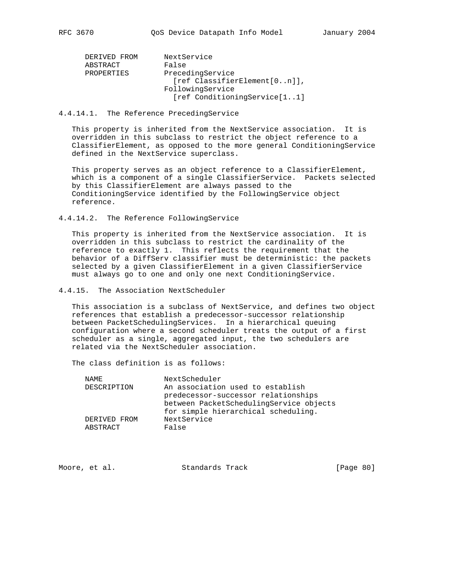| DERIVED FROM | NextService                           |
|--------------|---------------------------------------|
| ABSTRACT     | False                                 |
| PROPERTIES   | PrecedingService                      |
|              | $[ref \text{ClassifierElement}[0n]],$ |
|              | FollowingService                      |
|              | [ref ConditioningService[11]          |

#### 4.4.14.1. The Reference PrecedingService

 This property is inherited from the NextService association. It is overridden in this subclass to restrict the object reference to a ClassifierElement, as opposed to the more general ConditioningService defined in the NextService superclass.

 This property serves as an object reference to a ClassifierElement, which is a component of a single ClassifierService. Packets selected by this ClassifierElement are always passed to the ConditioningService identified by the FollowingService object reference.

4.4.14.2. The Reference FollowingService

 This property is inherited from the NextService association. It is overridden in this subclass to restrict the cardinality of the reference to exactly 1. This reflects the requirement that the behavior of a DiffServ classifier must be deterministic: the packets selected by a given ClassifierElement in a given ClassifierService must always go to one and only one next ConditioningService.

4.4.15. The Association NextScheduler

 This association is a subclass of NextService, and defines two object references that establish a predecessor-successor relationship between PacketSchedulingServices. In a hierarchical queuing configuration where a second scheduler treats the output of a first scheduler as a single, aggregated input, the two schedulers are related via the NextScheduler association.

| NAME.        | NextScheduler                           |
|--------------|-----------------------------------------|
| DESCRIPTION  | An association used to establish        |
|              | predecessor-successor relationships     |
|              | between PacketSchedulingService objects |
|              | for simple hierarchical scheduling.     |
| DERIVED FROM | NextService                             |
| ABSTRACT     | False                                   |
|              |                                         |

| Standards Track<br>Moore, et al. |  |  |  | [Page 80] |
|----------------------------------|--|--|--|-----------|
|----------------------------------|--|--|--|-----------|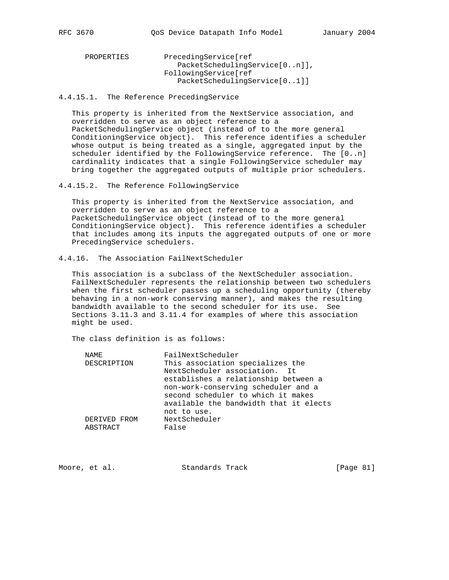PROPERTIES PrecedingService[ref PacketSchedulingService[0..n]], FollowingService[ref PacketSchedulingService[0..1]]

## 4.4.15.1. The Reference PrecedingService

 This property is inherited from the NextService association, and overridden to serve as an object reference to a PacketSchedulingService object (instead of to the more general ConditioningService object). This reference identifies a scheduler whose output is being treated as a single, aggregated input by the scheduler identified by the FollowingService reference. The [0..n] cardinality indicates that a single FollowingService scheduler may bring together the aggregated outputs of multiple prior schedulers.

4.4.15.2. The Reference FollowingService

 This property is inherited from the NextService association, and overridden to serve as an object reference to a PacketSchedulingService object (instead of to the more general ConditioningService object). This reference identifies a scheduler that includes among its inputs the aggregated outputs of one or more PrecedingService schedulers.

4.4.16. The Association FailNextScheduler

 This association is a subclass of the NextScheduler association. FailNextScheduler represents the relationship between two schedulers when the first scheduler passes up a scheduling opportunity (thereby behaving in a non-work conserving manner), and makes the resulting bandwidth available to the second scheduler for its use. See Sections 3.11.3 and 3.11.4 for examples of where this association might be used.

| NAME         | FailNextScheduler                      |
|--------------|----------------------------------------|
| DESCRIPTION  | This association specializes the       |
|              | NextScheduler association. It          |
|              | establishes a relationship between a   |
|              | non-work-conserving scheduler and a    |
|              | second scheduler to which it makes     |
|              | available the bandwidth that it elects |
|              | not to use.                            |
| DERIVED FROM | NextScheduler                          |
| ABSTRACT     | False                                  |
|              |                                        |

| [Page 81]<br>Moore, et al. |  |  | Standards Track |  |  |
|----------------------------|--|--|-----------------|--|--|
|----------------------------|--|--|-----------------|--|--|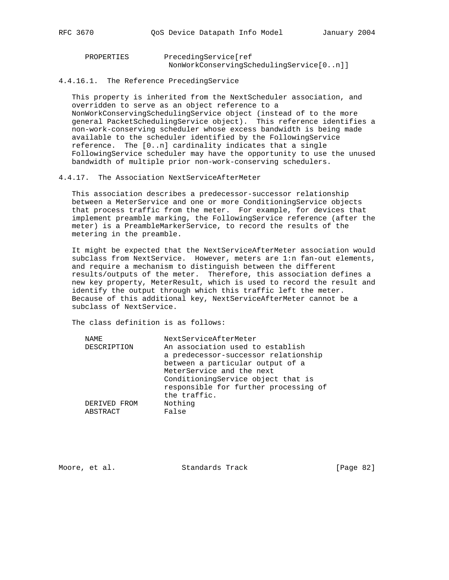| PROPERTIES | PrecedingService[ref                    |
|------------|-----------------------------------------|
|            | NonWorkConservingSchedulingService[0n]] |

## 4.4.16.1. The Reference PrecedingService

 This property is inherited from the NextScheduler association, and overridden to serve as an object reference to a NonWorkConservingSchedulingService object (instead of to the more general PacketSchedulingService object). This reference identifies a non-work-conserving scheduler whose excess bandwidth is being made available to the scheduler identified by the FollowingService reference. The [0..n] cardinality indicates that a single FollowingService scheduler may have the opportunity to use the unused bandwidth of multiple prior non-work-conserving schedulers.

# 4.4.17. The Association NextServiceAfterMeter

 This association describes a predecessor-successor relationship between a MeterService and one or more ConditioningService objects that process traffic from the meter. For example, for devices that implement preamble marking, the FollowingService reference (after the meter) is a PreambleMarkerService, to record the results of the metering in the preamble.

 It might be expected that the NextServiceAfterMeter association would subclass from NextService. However, meters are 1:n fan-out elements, and require a mechanism to distinguish between the different results/outputs of the meter. Therefore, this association defines a new key property, MeterResult, which is used to record the result and identify the output through which this traffic left the meter. Because of this additional key, NextServiceAfterMeter cannot be a subclass of NextService.

The class definition is as follows:

| NAME.<br>DESCRIPTION | NextServiceAfterMeter<br>An association used to establish<br>a predecessor-successor relationship<br>between a particular output of a<br>MeterService and the next<br>ConditioningService object that is<br>responsible for further processing of<br>the traffic. |
|----------------------|-------------------------------------------------------------------------------------------------------------------------------------------------------------------------------------------------------------------------------------------------------------------|
| DERIVED FROM         | Nothing                                                                                                                                                                                                                                                           |
| ABSTRACT             | False                                                                                                                                                                                                                                                             |

Moore, et al. Standards Track [Page 82]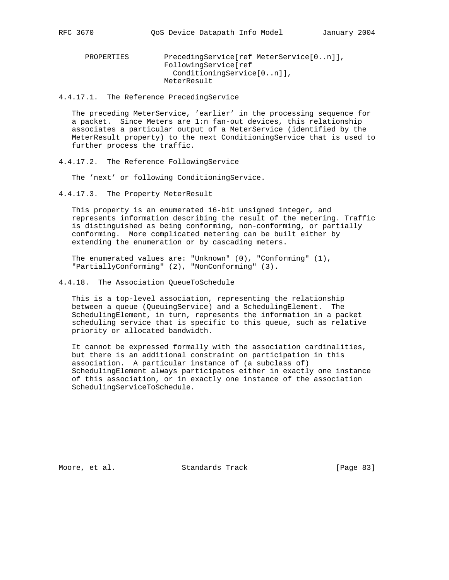PROPERTIES PrecedingService[ref MeterService[0..n]], FollowingService[ref ConditioningService[0..n]], MeterResult

4.4.17.1. The Reference PrecedingService

 The preceding MeterService, 'earlier' in the processing sequence for a packet. Since Meters are 1:n fan-out devices, this relationship associates a particular output of a MeterService (identified by the MeterResult property) to the next ConditioningService that is used to further process the traffic.

4.4.17.2. The Reference FollowingService

The 'next' or following ConditioningService.

4.4.17.3. The Property MeterResult

 This property is an enumerated 16-bit unsigned integer, and represents information describing the result of the metering. Traffic is distinguished as being conforming, non-conforming, or partially conforming. More complicated metering can be built either by extending the enumeration or by cascading meters.

 The enumerated values are: "Unknown" (0), "Conforming" (1), "PartiallyConforming" (2), "NonConforming" (3).

4.4.18. The Association QueueToSchedule

 This is a top-level association, representing the relationship between a queue (QueuingService) and a SchedulingElement. The SchedulingElement, in turn, represents the information in a packet scheduling service that is specific to this queue, such as relative priority or allocated bandwidth.

 It cannot be expressed formally with the association cardinalities, but there is an additional constraint on participation in this association. A particular instance of (a subclass of) SchedulingElement always participates either in exactly one instance of this association, or in exactly one instance of the association SchedulingServiceToSchedule.

Moore, et al. Standards Track [Page 83]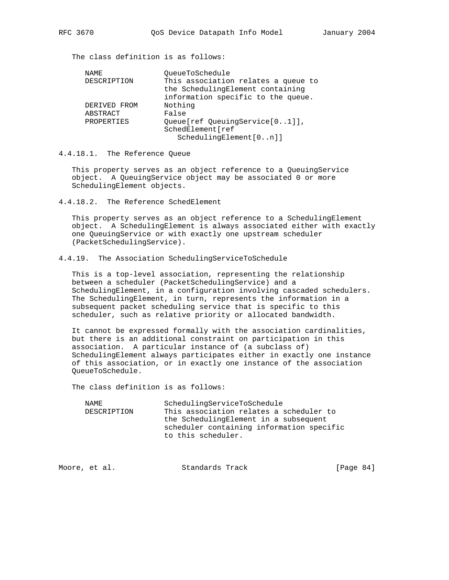The class definition is as follows:

| NAME         | OueueToSchedule                                                         |
|--------------|-------------------------------------------------------------------------|
| DESCRIPTION  | This association relates a queue to<br>the SchedulingElement containing |
|              | information specific to the queue.                                      |
| DERIVED FROM | Nothing                                                                 |
| ABSTRACT     | False                                                                   |
| PROPERTIES   | Queue[ref QueuingService[01]],                                          |
|              | SchedElement[ref                                                        |
|              | SchedulingElement[0n]                                                   |

4.4.18.1. The Reference Queue

 This property serves as an object reference to a QueuingService object. A QueuingService object may be associated 0 or more SchedulingElement objects.

4.4.18.2. The Reference SchedElement

 This property serves as an object reference to a SchedulingElement object. A SchedulingElement is always associated either with exactly one QueuingService or with exactly one upstream scheduler (PacketSchedulingService).

4.4.19. The Association SchedulingServiceToSchedule

 This is a top-level association, representing the relationship between a scheduler (PacketSchedulingService) and a SchedulingElement, in a configuration involving cascaded schedulers. The SchedulingElement, in turn, represents the information in a subsequent packet scheduling service that is specific to this scheduler, such as relative priority or allocated bandwidth.

 It cannot be expressed formally with the association cardinalities, but there is an additional constraint on participation in this association. A particular instance of (a subclass of) SchedulingElement always participates either in exactly one instance of this association, or in exactly one instance of the association QueueToSchedule.

| NAMF.       | SchedulingServiceToSchedule               |
|-------------|-------------------------------------------|
| DESCRIPTION | This association relates a scheduler to   |
|             | the SchedulingElement in a subsequent     |
|             | scheduler containing information specific |
|             | to this scheduler.                        |
|             |                                           |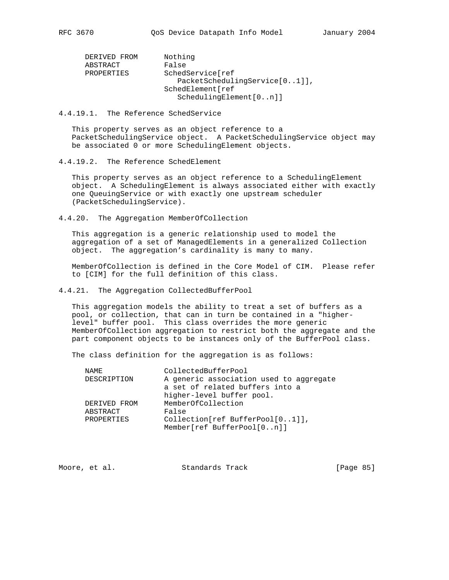| DERIVED FROM | Nothing                       |
|--------------|-------------------------------|
| ABSTRACT     | False                         |
| PROPERTIES   | SchedService[ref              |
|              | PacketSchedulingService[01]], |
|              | SchedElement[ref              |
|              | SchedulingElement[0n]         |

#### 4.4.19.1. The Reference SchedService

 This property serves as an object reference to a PacketSchedulingService object. A PacketSchedulingService object may be associated 0 or more SchedulingElement objects.

# 4.4.19.2. The Reference SchedElement

This property serves as an object reference to a SchedulingElement object. A SchedulingElement is always associated either with exactly one QueuingService or with exactly one upstream scheduler (PacketSchedulingService).

4.4.20. The Aggregation MemberOfCollection

 This aggregation is a generic relationship used to model the aggregation of a set of ManagedElements in a generalized Collection object. The aggregation's cardinality is many to many.

 MemberOfCollection is defined in the Core Model of CIM. Please refer to [CIM] for the full definition of this class.

### 4.4.21. The Aggregation CollectedBufferPool

 This aggregation models the ability to treat a set of buffers as a pool, or collection, that can in turn be contained in a "higher level" buffer pool. This class overrides the more generic MemberOfCollection aggregation to restrict both the aggregate and the part component objects to be instances only of the BufferPool class.

The class definition for the aggregation is as follows:

| CollectedBufferPool                                           |
|---------------------------------------------------------------|
| A generic association used to aggregate                       |
| a set of related buffers into a                               |
| higher-level buffer pool.                                     |
| MemberOfCollection                                            |
| False                                                         |
| Collection[ref BufferPool[01]],<br>Member[ref BufferPool[0n]] |
|                                                               |

| [Page 85]<br>Standards Track<br>Moore, et al. |
|-----------------------------------------------|
|-----------------------------------------------|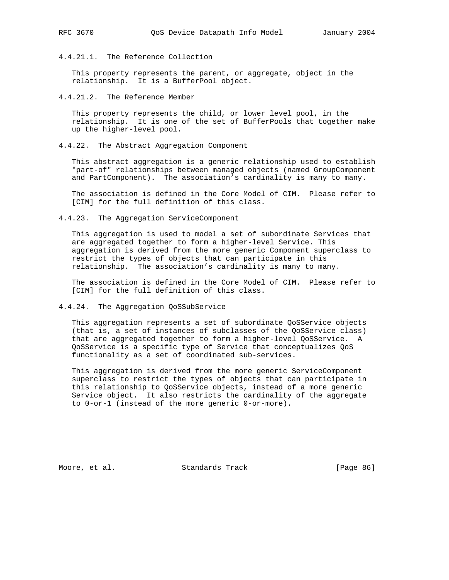4.4.21.1. The Reference Collection

 This property represents the parent, or aggregate, object in the relationship. It is a BufferPool object.

4.4.21.2. The Reference Member

 This property represents the child, or lower level pool, in the relationship. It is one of the set of BufferPools that together make up the higher-level pool.

4.4.22. The Abstract Aggregation Component

 This abstract aggregation is a generic relationship used to establish "part-of" relationships between managed objects (named GroupComponent and PartComponent). The association's cardinality is many to many.

 The association is defined in the Core Model of CIM. Please refer to [CIM] for the full definition of this class.

4.4.23. The Aggregation ServiceComponent

 This aggregation is used to model a set of subordinate Services that are aggregated together to form a higher-level Service. This aggregation is derived from the more generic Component superclass to restrict the types of objects that can participate in this relationship. The association's cardinality is many to many.

 The association is defined in the Core Model of CIM. Please refer to [CIM] for the full definition of this class.

4.4.24. The Aggregation QoSSubService

 This aggregation represents a set of subordinate QoSService objects (that is, a set of instances of subclasses of the QoSService class) that are aggregated together to form a higher-level QoSService. A QoSService is a specific type of Service that conceptualizes QoS functionality as a set of coordinated sub-services.

 This aggregation is derived from the more generic ServiceComponent superclass to restrict the types of objects that can participate in this relationship to QoSService objects, instead of a more generic Service object. It also restricts the cardinality of the aggregate to 0-or-1 (instead of the more generic 0-or-more).

Moore, et al. Standards Track [Page 86]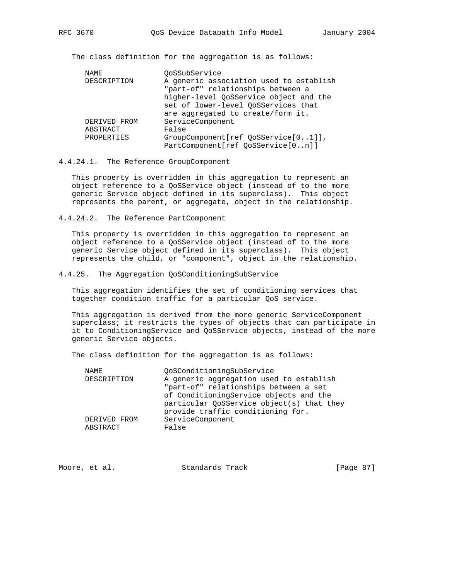The class definition for the aggregation is as follows:

| NAME               | OoSSubService                           |
|--------------------|-----------------------------------------|
| <b>DESCRIPTION</b> | A generic association used to establish |
|                    | "part-of" relationships between a       |
|                    | higher-level QoSService object and the  |
|                    | set of lower-level OoSServices that     |
|                    | are aggregated to create/form it.       |
| DERIVED FROM       | ServiceComponent                        |
| ABSTRACT           | False                                   |
| PROPERTIES         | GroupComponent[ref QoSService[01]],     |
|                    | PartComponent[ref QoSService[0n]]       |

#### 4.4.24.1. The Reference GroupComponent

 This property is overridden in this aggregation to represent an object reference to a QoSService object (instead of to the more generic Service object defined in its superclass). This object represents the parent, or aggregate, object in the relationship.

4.4.24.2. The Reference PartComponent

 This property is overridden in this aggregation to represent an object reference to a QoSService object (instead of to the more generic Service object defined in its superclass). This object represents the child, or "component", object in the relationship.

4.4.25. The Aggregation QoSConditioningSubService

 This aggregation identifies the set of conditioning services that together condition traffic for a particular QoS service.

 This aggregation is derived from the more generic ServiceComponent superclass; it restricts the types of objects that can participate in it to ConditioningService and QoSService objects, instead of the more generic Service objects.

The class definition for the aggregation is as follows:

| NAME         | OoSConditioningSubService                 |
|--------------|-------------------------------------------|
| DESCRIPTION  | A generic aggregation used to establish   |
|              | "part-of" relationships between a set     |
|              | of ConditioningService objects and the    |
|              | particular QoSService object(s) that they |
|              | provide traffic conditioning for.         |
| DERIVED FROM | ServiceComponent                          |
| ABSTRACT     | False                                     |
|              |                                           |

| Moore, et al. | Standards Track | [Page 87] |
|---------------|-----------------|-----------|
|               |                 |           |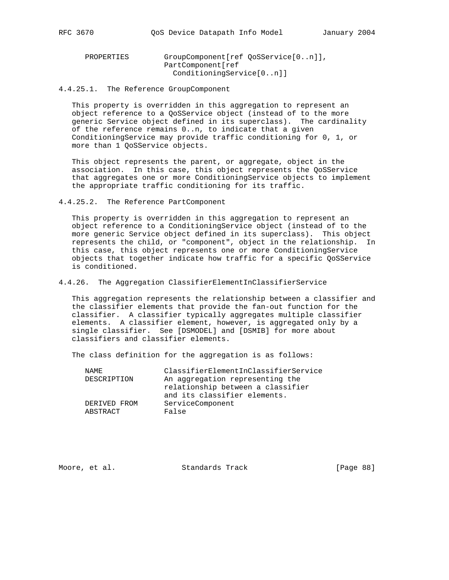PROPERTIES GroupComponent[ref QoSService[0..n]], PartComponent[ref ConditioningService[0..n]]

4.4.25.1. The Reference GroupComponent

 This property is overridden in this aggregation to represent an object reference to a QoSService object (instead of to the more generic Service object defined in its superclass). The cardinality of the reference remains 0..n, to indicate that a given ConditioningService may provide traffic conditioning for 0, 1, or more than 1 QoSService objects.

 This object represents the parent, or aggregate, object in the association. In this case, this object represents the QoSService that aggregates one or more ConditioningService objects to implement the appropriate traffic conditioning for its traffic.

4.4.25.2. The Reference PartComponent

 This property is overridden in this aggregation to represent an object reference to a ConditioningService object (instead of to the more generic Service object defined in its superclass). This object represents the child, or "component", object in the relationship. In this case, this object represents one or more ConditioningService objects that together indicate how traffic for a specific QoSService is conditioned.

4.4.26. The Aggregation ClassifierElementInClassifierService

 This aggregation represents the relationship between a classifier and the classifier elements that provide the fan-out function for the classifier. A classifier typically aggregates multiple classifier elements. A classifier element, however, is aggregated only by a single classifier. See [DSMODEL] and [DSMIB] for more about classifiers and classifier elements.

The class definition for the aggregation is as follows:

| NAMF.<br>DESCRIPTION     | ClassifierElementInClassifierService<br>An aggregation representing the |  |
|--------------------------|-------------------------------------------------------------------------|--|
|                          | relationship between a classifier<br>and its classifier elements.       |  |
| DERIVED FROM<br>ABSTRACT | ServiceComponent<br>False                                               |  |

Moore, et al. Standards Track [Page 88]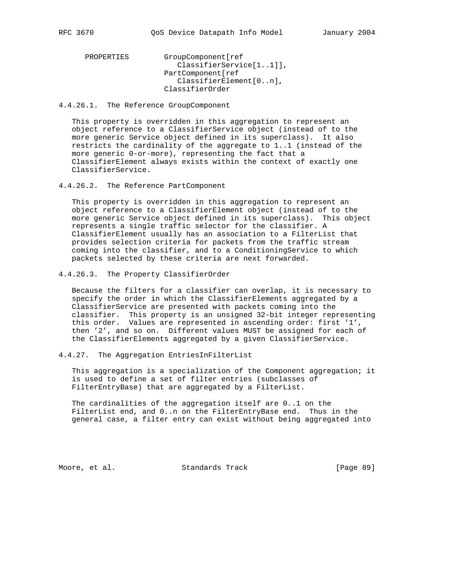PROPERTIES GroupComponent [ref ClassifierService[1..1]], PartComponent[ref ClassifierElement[0..n], ClassifierOrder

## 4.4.26.1. The Reference GroupComponent

 This property is overridden in this aggregation to represent an object reference to a ClassifierService object (instead of to the more generic Service object defined in its superclass). It also restricts the cardinality of the aggregate to 1..1 (instead of the more generic 0-or-more), representing the fact that a ClassifierElement always exists within the context of exactly one ClassifierService.

4.4.26.2. The Reference PartComponent

 This property is overridden in this aggregation to represent an object reference to a ClassifierElement object (instead of to the more generic Service object defined in its superclass). This object represents a single traffic selector for the classifier. A ClassifierElement usually has an association to a FilterList that provides selection criteria for packets from the traffic stream coming into the classifier, and to a ConditioningService to which packets selected by these criteria are next forwarded.

4.4.26.3. The Property ClassifierOrder

 Because the filters for a classifier can overlap, it is necessary to specify the order in which the ClassifierElements aggregated by a ClassifierService are presented with packets coming into the classifier. This property is an unsigned 32-bit integer representing this order. Values are represented in ascending order: first '1', then '2', and so on. Different values MUST be assigned for each of the ClassifierElements aggregated by a given ClassifierService.

4.4.27. The Aggregation EntriesInFilterList

 This aggregation is a specialization of the Component aggregation; it is used to define a set of filter entries (subclasses of FilterEntryBase) that are aggregated by a FilterList.

 The cardinalities of the aggregation itself are 0..1 on the FilterList end, and 0..n on the FilterEntryBase end. Thus in the general case, a filter entry can exist without being aggregated into

Moore, et al. Standards Track [Page 89]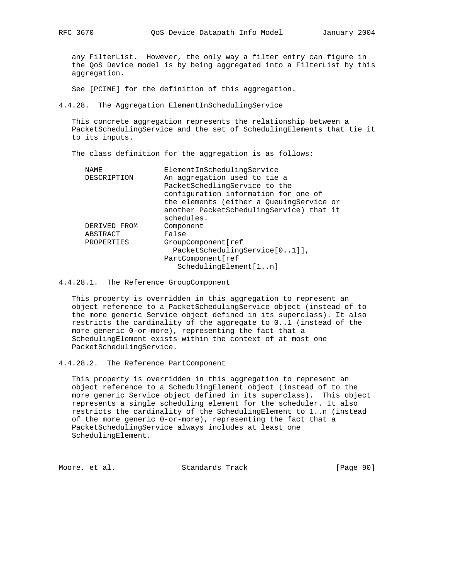any FilterList. However, the only way a filter entry can figure in the QoS Device model is by being aggregated into a FilterList by this aggregation.

See [PCIME] for the definition of this aggregation.

4.4.28. The Aggregation ElementInSchedulingService

 This concrete aggregation represents the relationship between a PacketSchedulingService and the set of SchedulingElements that tie it to its inputs.

The class definition for the aggregation is as follows:

| NAME         | ElementInSchedulingService               |
|--------------|------------------------------------------|
| DESCRIPTION  | An aggregation used to tie a             |
|              | PacketSchedlingService to the            |
|              | configuration information for one of     |
|              | the elements (either a QueuingService or |
|              | another PacketSchedulingService) that it |
|              | schedules.                               |
| DERIVED FROM | Component                                |
| ABSTRACT     | False                                    |
| PROPERTIES   | GroupComponent [ref                      |
|              | PacketSchedulingService[01]],            |
|              | PartComponent[ref                        |
|              | SchedulingElement[1n]                    |
|              |                                          |

4.4.28.1. The Reference GroupComponent

 This property is overridden in this aggregation to represent an object reference to a PacketSchedulingService object (instead of to the more generic Service object defined in its superclass). It also restricts the cardinality of the aggregate to 0..1 (instead of the more generic 0-or-more), representing the fact that a SchedulingElement exists within the context of at most one PacketSchedulingService.

 This property is overridden in this aggregation to represent an object reference to a SchedulingElement object (instead of to the more generic Service object defined in its superclass). This object represents a single scheduling element for the scheduler. It also restricts the cardinality of the SchedulingElement to 1..n (instead of the more generic 0-or-more), representing the fact that a PacketSchedulingService always includes at least one SchedulingElement.

Moore, et al. Standards Track [Page 90]

<sup>4.4.28.2.</sup> The Reference PartComponent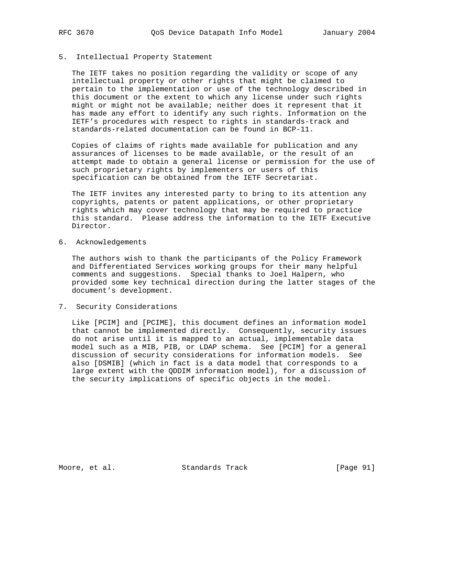# 5. Intellectual Property Statement

 The IETF takes no position regarding the validity or scope of any intellectual property or other rights that might be claimed to pertain to the implementation or use of the technology described in this document or the extent to which any license under such rights might or might not be available; neither does it represent that it has made any effort to identify any such rights. Information on the IETF's procedures with respect to rights in standards-track and standards-related documentation can be found in BCP-11.

 Copies of claims of rights made available for publication and any assurances of licenses to be made available, or the result of an attempt made to obtain a general license or permission for the use of such proprietary rights by implementers or users of this specification can be obtained from the IETF Secretariat.

 The IETF invites any interested party to bring to its attention any copyrights, patents or patent applications, or other proprietary rights which may cover technology that may be required to practice this standard. Please address the information to the IETF Executive Director.

## 6. Acknowledgements

 The authors wish to thank the participants of the Policy Framework and Differentiated Services working groups for their many helpful comments and suggestions. Special thanks to Joel Halpern, who provided some key technical direction during the latter stages of the document's development.

7. Security Considerations

 Like [PCIM] and [PCIME], this document defines an information model that cannot be implemented directly. Consequently, security issues do not arise until it is mapped to an actual, implementable data model such as a MIB, PIB, or LDAP schema. See [PCIM] for a general discussion of security considerations for information models. See also [DSMIB] (which in fact is a data model that corresponds to a large extent with the QDDIM information model), for a discussion of the security implications of specific objects in the model.

Moore, et al. Standards Track [Page 91]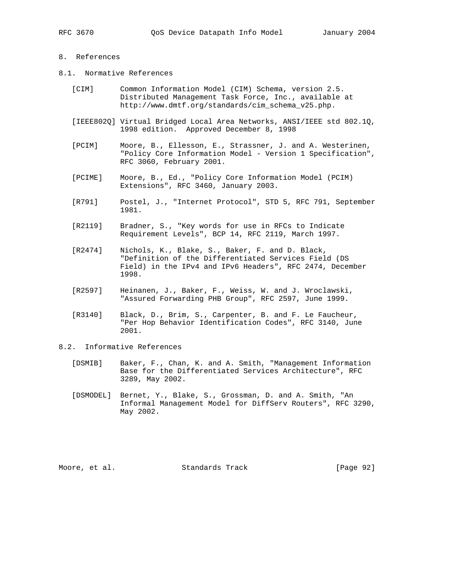## 8. References

- 8.1. Normative References
	- [CIM] Common Information Model (CIM) Schema, version 2.5. Distributed Management Task Force, Inc., available at http://www.dmtf.org/standards/cim\_schema\_v25.php.
	- [IEEE802Q] Virtual Bridged Local Area Networks, ANSI/IEEE std 802.1Q, 1998 edition. Approved December 8, 1998
	- [PCIM] Moore, B., Ellesson, E., Strassner, J. and A. Westerinen, "Policy Core Information Model - Version 1 Specification", RFC 3060, February 2001.
	- [PCIME] Moore, B., Ed., "Policy Core Information Model (PCIM) Extensions", RFC 3460, January 2003.
	- [R791] Postel, J., "Internet Protocol", STD 5, RFC 791, September 1981.
	- [R2119] Bradner, S., "Key words for use in RFCs to Indicate Requirement Levels", BCP 14, RFC 2119, March 1997.
	- [R2474] Nichols, K., Blake, S., Baker, F. and D. Black, "Definition of the Differentiated Services Field (DS Field) in the IPv4 and IPv6 Headers", RFC 2474, December 1998.
	- [R2597] Heinanen, J., Baker, F., Weiss, W. and J. Wroclawski, "Assured Forwarding PHB Group", RFC 2597, June 1999.
	- [R3140] Black, D., Brim, S., Carpenter, B. and F. Le Faucheur, "Per Hop Behavior Identification Codes", RFC 3140, June 2001.
- 8.2. Informative References
	- [DSMIB] Baker, F., Chan, K. and A. Smith, "Management Information Base for the Differentiated Services Architecture", RFC 3289, May 2002.
	- [DSMODEL] Bernet, Y., Blake, S., Grossman, D. and A. Smith, "An Informal Management Model for DiffServ Routers", RFC 3290, May 2002.

Moore, et al. Standards Track [Page 92]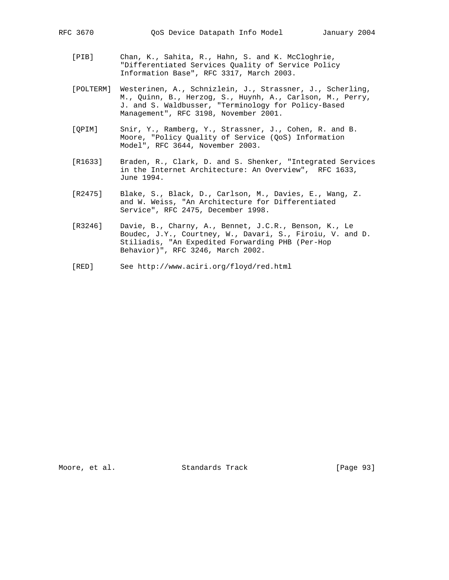- 
- [PIB] Chan, K., Sahita, R., Hahn, S. and K. McCloghrie, "Differentiated Services Quality of Service Policy Information Base", RFC 3317, March 2003.
- [POLTERM] Westerinen, A., Schnizlein, J., Strassner, J., Scherling, M., Quinn, B., Herzog, S., Huynh, A., Carlson, M., Perry, J. and S. Waldbusser, "Terminology for Policy-Based Management", RFC 3198, November 2001.
- [QPIM] Snir, Y., Ramberg, Y., Strassner, J., Cohen, R. and B. Moore, "Policy Quality of Service (QoS) Information Model", RFC 3644, November 2003.
- [R1633] Braden, R., Clark, D. and S. Shenker, "Integrated Services in the Internet Architecture: An Overview", RFC 1633, June 1994.
- [R2475] Blake, S., Black, D., Carlson, M., Davies, E., Wang, Z. and W. Weiss, "An Architecture for Differentiated Service", RFC 2475, December 1998.
- [R3246] Davie, B., Charny, A., Bennet, J.C.R., Benson, K., Le Boudec, J.Y., Courtney, W., Davari, S., Firoiu, V. and D. Stiliadis, "An Expedited Forwarding PHB (Per-Hop Behavior)", RFC 3246, March 2002.
- [RED] See http://www.aciri.org/floyd/red.html

Moore, et al. Standards Track [Page 93]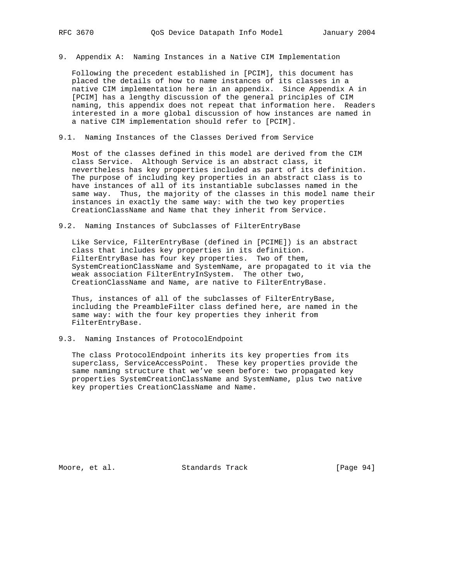9. Appendix A: Naming Instances in a Native CIM Implementation

 Following the precedent established in [PCIM], this document has placed the details of how to name instances of its classes in a native CIM implementation here in an appendix. Since Appendix A in [PCIM] has a lengthy discussion of the general principles of CIM naming, this appendix does not repeat that information here. Readers interested in a more global discussion of how instances are named in a native CIM implementation should refer to [PCIM].

9.1. Naming Instances of the Classes Derived from Service

 Most of the classes defined in this model are derived from the CIM class Service. Although Service is an abstract class, it nevertheless has key properties included as part of its definition. The purpose of including key properties in an abstract class is to have instances of all of its instantiable subclasses named in the same way. Thus, the majority of the classes in this model name their instances in exactly the same way: with the two key properties CreationClassName and Name that they inherit from Service.

9.2. Naming Instances of Subclasses of FilterEntryBase

 Like Service, FilterEntryBase (defined in [PCIME]) is an abstract class that includes key properties in its definition. FilterEntryBase has four key properties. Two of them, SystemCreationClassName and SystemName, are propagated to it via the weak association FilterEntryInSystem. The other two, CreationClassName and Name, are native to FilterEntryBase.

Thus, instances of all of the subclasses of FilterEntryBase, including the PreambleFilter class defined here, are named in the same way: with the four key properties they inherit from FilterEntryBase.

9.3. Naming Instances of ProtocolEndpoint

 The class ProtocolEndpoint inherits its key properties from its superclass, ServiceAccessPoint. These key properties provide the same naming structure that we've seen before: two propagated key properties SystemCreationClassName and SystemName, plus two native key properties CreationClassName and Name.

Moore, et al. Standards Track [Page 94]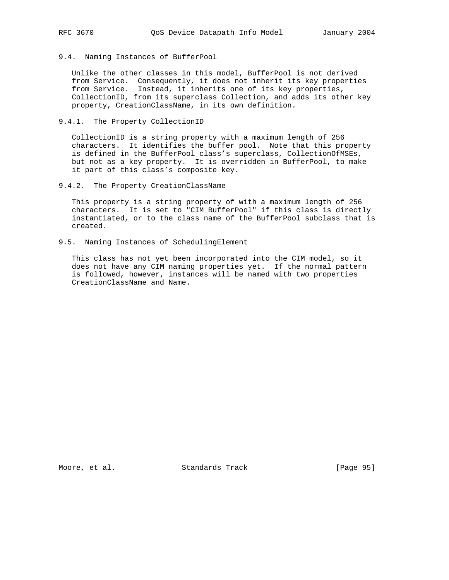### 9.4. Naming Instances of BufferPool

 Unlike the other classes in this model, BufferPool is not derived from Service. Consequently, it does not inherit its key properties from Service. Instead, it inherits one of its key properties, CollectionID, from its superclass Collection, and adds its other key property, CreationClassName, in its own definition.

## 9.4.1. The Property CollectionID

 CollectionID is a string property with a maximum length of 256 characters. It identifies the buffer pool. Note that this property is defined in the BufferPool class's superclass, CollectionOfMSEs, but not as a key property. It is overridden in BufferPool, to make it part of this class's composite key.

## 9.4.2. The Property CreationClassName

 This property is a string property of with a maximum length of 256 characters. It is set to "CIM\_BufferPool" if this class is directly instantiated, or to the class name of the BufferPool subclass that is created.

9.5. Naming Instances of SchedulingElement

 This class has not yet been incorporated into the CIM model, so it does not have any CIM naming properties yet. If the normal pattern is followed, however, instances will be named with two properties CreationClassName and Name.

Moore, et al. Standards Track [Page 95]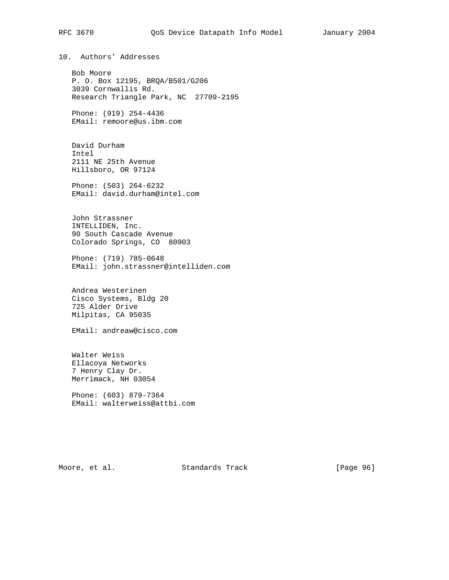# RFC 3670 QoS Device Datapath Info Model January 2004

10. Authors' Addresses

 Bob Moore P. O. Box 12195, BRQA/B501/G206 3039 Cornwallis Rd. Research Triangle Park, NC 27709-2195

 Phone: (919) 254-4436 EMail: remoore@us.ibm.com

 David Durham Intel 2111 NE 25th Avenue Hillsboro, OR 97124

 Phone: (503) 264-6232 EMail: david.durham@intel.com

 John Strassner INTELLIDEN, Inc. 90 South Cascade Avenue Colorado Springs, CO 80903

 Phone: (719) 785-0648 EMail: john.strassner@intelliden.com

 Andrea Westerinen Cisco Systems, Bldg 20 725 Alder Drive Milpitas, CA 95035

EMail: andreaw@cisco.com

 Walter Weiss Ellacoya Networks 7 Henry Clay Dr. Merrimack, NH 03054

 Phone: (603) 879-7364 EMail: walterweiss@attbi.com

Moore, et al. Standards Track [Page 96]